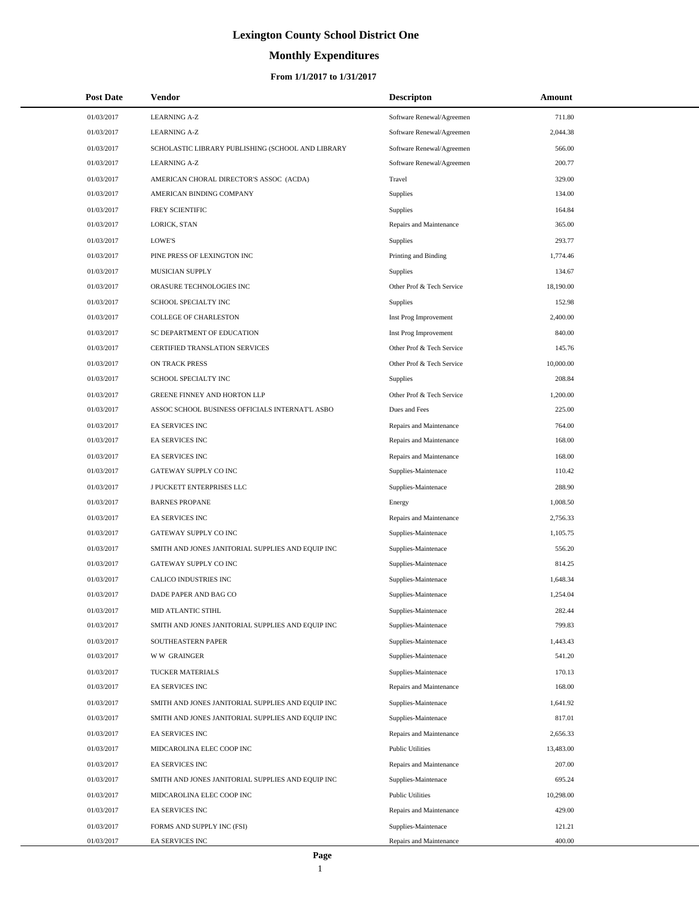# **Monthly Expenditures**

| <b>Post Date</b> | Vendor                                            | <b>Descripton</b>         | Amount    |
|------------------|---------------------------------------------------|---------------------------|-----------|
| 01/03/2017       | <b>LEARNING A-Z</b>                               | Software Renewal/Agreemen | 711.80    |
| 01/03/2017       | <b>LEARNING A-Z</b>                               | Software Renewal/Agreemen | 2,044.38  |
| 01/03/2017       | SCHOLASTIC LIBRARY PUBLISHING (SCHOOL AND LIBRARY | Software Renewal/Agreemen | 566.00    |
| 01/03/2017       | <b>LEARNING A-Z</b>                               | Software Renewal/Agreemen | 200.77    |
| 01/03/2017       | AMERICAN CHORAL DIRECTOR'S ASSOC (ACDA)           | Travel                    | 329.00    |
| 01/03/2017       | AMERICAN BINDING COMPANY                          | Supplies                  | 134.00    |
| 01/03/2017       | FREY SCIENTIFIC                                   | Supplies                  | 164.84    |
| 01/03/2017       | LORICK, STAN                                      | Repairs and Maintenance   | 365.00    |
| 01/03/2017       | LOWE'S                                            | Supplies                  | 293.77    |
| 01/03/2017       | PINE PRESS OF LEXINGTON INC                       | Printing and Binding      | 1,774.46  |
| 01/03/2017       | MUSICIAN SUPPLY                                   | Supplies                  | 134.67    |
| 01/03/2017       | ORASURE TECHNOLOGIES INC                          | Other Prof & Tech Service | 18,190.00 |
| 01/03/2017       | SCHOOL SPECIALTY INC                              | Supplies                  | 152.98    |
| 01/03/2017       | <b>COLLEGE OF CHARLESTON</b>                      | Inst Prog Improvement     | 2,400.00  |
| 01/03/2017       | SC DEPARTMENT OF EDUCATION                        | Inst Prog Improvement     | 840.00    |
| 01/03/2017       | CERTIFIED TRANSLATION SERVICES                    | Other Prof & Tech Service | 145.76    |
| 01/03/2017       | ON TRACK PRESS                                    | Other Prof & Tech Service | 10,000.00 |
| 01/03/2017       | SCHOOL SPECIALTY INC                              | Supplies                  | 208.84    |
| 01/03/2017       | <b>GREENE FINNEY AND HORTON LLP</b>               | Other Prof & Tech Service | 1,200.00  |
| 01/03/2017       | ASSOC SCHOOL BUSINESS OFFICIALS INTERNAT'L ASBO   | Dues and Fees             | 225.00    |
| 01/03/2017       | EA SERVICES INC                                   | Repairs and Maintenance   | 764.00    |
| 01/03/2017       | EA SERVICES INC                                   | Repairs and Maintenance   | 168.00    |
| 01/03/2017       | EA SERVICES INC                                   | Repairs and Maintenance   | 168.00    |
| 01/03/2017       | GATEWAY SUPPLY CO INC                             | Supplies-Maintenace       | 110.42    |
| 01/03/2017       | J PUCKETT ENTERPRISES LLC                         | Supplies-Maintenace       | 288.90    |
| 01/03/2017       | <b>BARNES PROPANE</b>                             | Energy                    | 1,008.50  |
| 01/03/2017       | EA SERVICES INC                                   | Repairs and Maintenance   | 2,756.33  |
| 01/03/2017       | GATEWAY SUPPLY CO INC                             | Supplies-Maintenace       | 1,105.75  |
| 01/03/2017       | SMITH AND JONES JANITORIAL SUPPLIES AND EQUIP INC | Supplies-Maintenace       | 556.20    |
| 01/03/2017       | GATEWAY SUPPLY CO INC                             | Supplies-Maintenace       | 814.25    |
| 01/03/2017       | CALICO INDUSTRIES INC                             | Supplies-Maintenace       | 1,648.34  |
| 01/03/2017       | DADE PAPER AND BAG CO                             | Supplies-Maintenace       | 1,254.04  |
| 01/03/2017       | MID ATLANTIC STIHL                                | Supplies-Maintenace       | 282.44    |
| 01/03/2017       | SMITH AND JONES JANITORIAL SUPPLIES AND EQUIP INC | Supplies-Maintenace       | 799.83    |
| 01/03/2017       | SOUTHEASTERN PAPER                                | Supplies-Maintenace       | 1,443.43  |
| 01/03/2017       | <b>WW GRAINGER</b>                                | Supplies-Maintenace       | 541.20    |
| 01/03/2017       | TUCKER MATERIALS                                  | Supplies-Maintenace       | 170.13    |
| 01/03/2017       | EA SERVICES INC                                   | Repairs and Maintenance   | 168.00    |
| 01/03/2017       | SMITH AND JONES JANITORIAL SUPPLIES AND EQUIP INC | Supplies-Maintenace       | 1,641.92  |
| 01/03/2017       | SMITH AND JONES JANITORIAL SUPPLIES AND EQUIP INC | Supplies-Maintenace       | 817.01    |
| 01/03/2017       | EA SERVICES INC                                   | Repairs and Maintenance   | 2,656.33  |
| 01/03/2017       | MIDCAROLINA ELEC COOP INC                         | <b>Public Utilities</b>   | 13,483.00 |
| 01/03/2017       | EA SERVICES INC                                   | Repairs and Maintenance   | 207.00    |
| 01/03/2017       | SMITH AND JONES JANITORIAL SUPPLIES AND EQUIP INC | Supplies-Maintenace       | 695.24    |
| 01/03/2017       | MIDCAROLINA ELEC COOP INC                         | <b>Public Utilities</b>   | 10,298.00 |
| 01/03/2017       | EA SERVICES INC                                   | Repairs and Maintenance   | 429.00    |
| 01/03/2017       | FORMS AND SUPPLY INC (FSI)                        | Supplies-Maintenace       | 121.21    |
| 01/03/2017       | EA SERVICES INC                                   | Repairs and Maintenance   | 400.00    |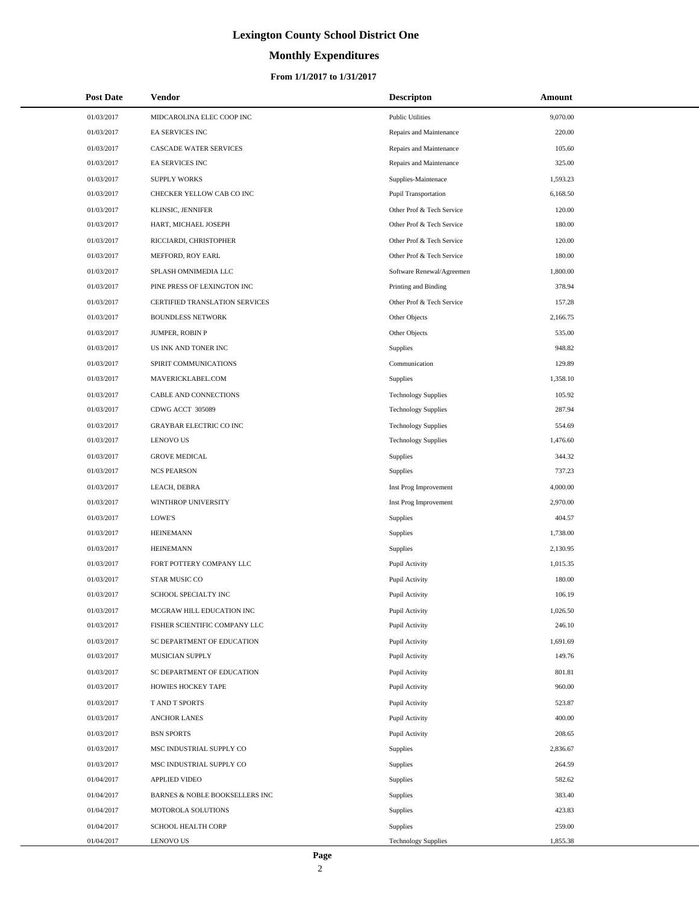# **Monthly Expenditures**

#### **From 1/1/2017 to 1/31/2017**

| <b>Post Date</b> | Vendor                         | <b>Descripton</b>          | Amount   |
|------------------|--------------------------------|----------------------------|----------|
| 01/03/2017       | MIDCAROLINA ELEC COOP INC      | <b>Public Utilities</b>    | 9,070.00 |
| 01/03/2017       | EA SERVICES INC                | Repairs and Maintenance    | 220.00   |
| 01/03/2017       | CASCADE WATER SERVICES         | Repairs and Maintenance    | 105.60   |
| 01/03/2017       | EA SERVICES INC                | Repairs and Maintenance    | 325.00   |
| 01/03/2017       | <b>SUPPLY WORKS</b>            | Supplies-Maintenace        | 1,593.23 |
| 01/03/2017       | CHECKER YELLOW CAB CO INC      | Pupil Transportation       | 6,168.50 |
| 01/03/2017       | KLINSIC, JENNIFER              | Other Prof & Tech Service  | 120.00   |
| 01/03/2017       | HART, MICHAEL JOSEPH           | Other Prof & Tech Service  | 180.00   |
| 01/03/2017       | RICCIARDI, CHRISTOPHER         | Other Prof & Tech Service  | 120.00   |
| 01/03/2017       | MEFFORD, ROY EARL              | Other Prof & Tech Service  | 180.00   |
| 01/03/2017       | SPLASH OMNIMEDIA LLC           | Software Renewal/Agreemen  | 1,800.00 |
| 01/03/2017       | PINE PRESS OF LEXINGTON INC    | Printing and Binding       | 378.94   |
| 01/03/2017       | CERTIFIED TRANSLATION SERVICES | Other Prof & Tech Service  | 157.28   |
| 01/03/2017       | <b>BOUNDLESS NETWORK</b>       | Other Objects              | 2,166.75 |
| 01/03/2017       | <b>JUMPER, ROBIN P</b>         | Other Objects              | 535.00   |
| 01/03/2017       | US INK AND TONER INC           | <b>Supplies</b>            | 948.82   |
| 01/03/2017       | SPIRIT COMMUNICATIONS          | Communication              | 129.89   |
| 01/03/2017       | MAVERICKLABEL.COM              | Supplies                   | 1,358.10 |
| 01/03/2017       | CABLE AND CONNECTIONS          | <b>Technology Supplies</b> | 105.92   |
| 01/03/2017       | CDWG ACCT 305089               | <b>Technology Supplies</b> | 287.94   |
| 01/03/2017       | <b>GRAYBAR ELECTRIC CO INC</b> | <b>Technology Supplies</b> | 554.69   |
| 01/03/2017       | <b>LENOVO US</b>               | <b>Technology Supplies</b> | 1,476.60 |
| 01/03/2017       | <b>GROVE MEDICAL</b>           | Supplies                   | 344.32   |
| 01/03/2017       | <b>NCS PEARSON</b>             | Supplies                   | 737.23   |
| 01/03/2017       | LEACH, DEBRA                   | Inst Prog Improvement      | 4,000.00 |
| 01/03/2017       | WINTHROP UNIVERSITY            | Inst Prog Improvement      | 2,970.00 |
| 01/03/2017       | LOWE'S                         | Supplies                   | 404.57   |
| 01/03/2017       | <b>HEINEMANN</b>               | Supplies                   | 1,738.00 |
| 01/03/2017       | <b>HEINEMANN</b>               | Supplies                   | 2,130.95 |
| 01/03/2017       | FORT POTTERY COMPANY LLC       | Pupil Activity             | 1,015.35 |
| 01/03/2017       | STAR MUSIC CO                  | Pupil Activity             | 180.00   |
| 01/03/2017       | SCHOOL SPECIALTY INC           | Pupil Activity             | 106.19   |
| 01/03/2017       | MCGRAW HILL EDUCATION INC      | Pupil Activity             | 1,026.50 |
| 01/03/2017       | FISHER SCIENTIFIC COMPANY LLC  | Pupil Activity             | 246.10   |
| 01/03/2017       | SC DEPARTMENT OF EDUCATION     | Pupil Activity             | 1,691.69 |
| 01/03/2017       | MUSICIAN SUPPLY                | Pupil Activity             | 149.76   |
| 01/03/2017       | SC DEPARTMENT OF EDUCATION     | Pupil Activity             | 801.81   |
| 01/03/2017       | HOWIES HOCKEY TAPE             | Pupil Activity             | 960.00   |
| 01/03/2017       | T AND T SPORTS                 | Pupil Activity             | 523.87   |
| 01/03/2017       | <b>ANCHOR LANES</b>            | Pupil Activity             | 400.00   |
| 01/03/2017       | <b>BSN SPORTS</b>              | Pupil Activity             | 208.65   |
| 01/03/2017       | MSC INDUSTRIAL SUPPLY CO       | Supplies                   | 2,836.67 |
| 01/03/2017       | MSC INDUSTRIAL SUPPLY CO       | Supplies                   | 264.59   |
| 01/04/2017       | <b>APPLIED VIDEO</b>           | Supplies                   | 582.62   |
| 01/04/2017       | BARNES & NOBLE BOOKSELLERS INC | Supplies                   | 383.40   |
| 01/04/2017       | MOTOROLA SOLUTIONS             | Supplies                   | 423.83   |
| 01/04/2017       | SCHOOL HEALTH CORP             | Supplies                   | 259.00   |
| 01/04/2017       | LENOVO US                      | <b>Technology Supplies</b> | 1,855.38 |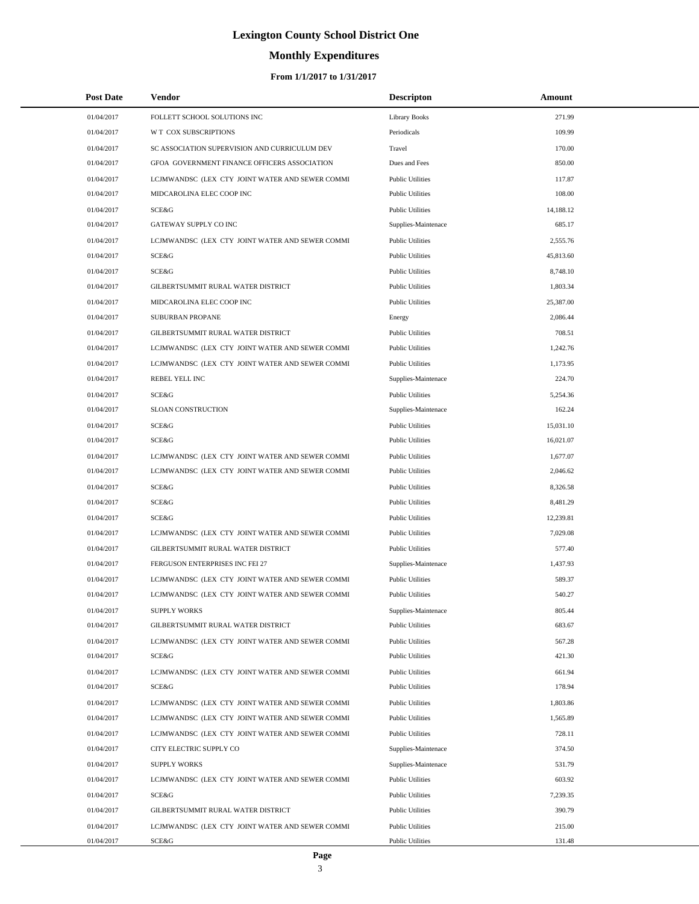# **Monthly Expenditures**

| <b>Post Date</b>         | Vendor                                                   | <b>Descripton</b>                                  | Amount           |
|--------------------------|----------------------------------------------------------|----------------------------------------------------|------------------|
| 01/04/2017               | FOLLETT SCHOOL SOLUTIONS INC                             | <b>Library Books</b>                               | 271.99           |
| 01/04/2017               | <b>WT COX SUBSCRIPTIONS</b>                              | Periodicals                                        | 109.99           |
| 01/04/2017               | SC ASSOCIATION SUPERVISION AND CURRICULUM DEV            | Travel                                             | 170.00           |
| 01/04/2017               | GFOA GOVERNMENT FINANCE OFFICERS ASSOCIATION             | Dues and Fees                                      | 850.00           |
| 01/04/2017               | LCJMWANDSC (LEX CTY JOINT WATER AND SEWER COMMI          | <b>Public Utilities</b>                            | 117.87           |
| 01/04/2017               | MIDCAROLINA ELEC COOP INC                                | <b>Public Utilities</b>                            | 108.00           |
| 01/04/2017               | SCE&G                                                    | <b>Public Utilities</b>                            | 14,188.12        |
| 01/04/2017               | GATEWAY SUPPLY CO INC                                    | Supplies-Maintenace                                | 685.17           |
| 01/04/2017               | LCJMWANDSC (LEX CTY JOINT WATER AND SEWER COMMI          | <b>Public Utilities</b>                            | 2,555.76         |
| 01/04/2017               | SCE&G                                                    | <b>Public Utilities</b>                            | 45,813.60        |
| 01/04/2017               | SCE&G                                                    | <b>Public Utilities</b>                            | 8,748.10         |
| 01/04/2017               | GILBERTSUMMIT RURAL WATER DISTRICT                       | <b>Public Utilities</b>                            | 1,803.34         |
| 01/04/2017               | MIDCAROLINA ELEC COOP INC                                | <b>Public Utilities</b>                            | 25,387.00        |
| 01/04/2017               | SUBURBAN PROPANE                                         | Energy                                             | 2,086.44         |
| 01/04/2017               | GILBERTSUMMIT RURAL WATER DISTRICT                       | <b>Public Utilities</b>                            | 708.51           |
| 01/04/2017               | LCJMWANDSC (LEX CTY JOINT WATER AND SEWER COMMI          | <b>Public Utilities</b>                            | 1,242.76         |
| 01/04/2017               | LCJMWANDSC (LEX CTY JOINT WATER AND SEWER COMMI          | <b>Public Utilities</b>                            | 1,173.95         |
| 01/04/2017               | REBEL YELL INC                                           | Supplies-Maintenace                                | 224.70           |
| 01/04/2017               | SCE&G                                                    | <b>Public Utilities</b>                            | 5,254.36         |
| 01/04/2017               | SLOAN CONSTRUCTION                                       | Supplies-Maintenace                                | 162.24           |
| 01/04/2017               | SCE&G                                                    | <b>Public Utilities</b>                            | 15,031.10        |
| 01/04/2017               | SCE&G                                                    | <b>Public Utilities</b>                            | 16,021.07        |
| 01/04/2017               | LCJMWANDSC (LEX CTY JOINT WATER AND SEWER COMMI          | <b>Public Utilities</b>                            | 1,677.07         |
| 01/04/2017               | LCJMWANDSC (LEX CTY JOINT WATER AND SEWER COMMI          | <b>Public Utilities</b>                            | 2,046.62         |
| 01/04/2017               | SCE&G                                                    | <b>Public Utilities</b>                            | 8,326.58         |
| 01/04/2017               | SCE&G                                                    | <b>Public Utilities</b>                            | 8,481.29         |
| 01/04/2017               | SCE&G                                                    | <b>Public Utilities</b>                            | 12,239.81        |
| 01/04/2017               | LCJMWANDSC (LEX CTY JOINT WATER AND SEWER COMMI          | <b>Public Utilities</b>                            | 7,029.08         |
| 01/04/2017               | GILBERTSUMMIT RURAL WATER DISTRICT                       | <b>Public Utilities</b>                            | 577.40           |
| 01/04/2017               | FERGUSON ENTERPRISES INC FEI 27                          | Supplies-Maintenace                                | 1,437.93         |
| 01/04/2017               | LCJMWANDSC (LEX CTY JOINT WATER AND SEWER COMMI          | <b>Public Utilities</b>                            | 589.37           |
| 01/04/2017               | LCJMWANDSC (LEX CTY JOINT WATER AND SEWER COMMI          | <b>Public Utilities</b>                            | 540.27           |
| 01/04/2017               | <b>SUPPLY WORKS</b>                                      | Supplies-Maintenace                                | 805.44           |
| 01/04/2017               | GILBERTSUMMIT RURAL WATER DISTRICT                       | <b>Public Utilities</b>                            | 683.67           |
| 01/04/2017               | LCJMWANDSC (LEX CTY JOINT WATER AND SEWER COMMI          | <b>Public Utilities</b>                            | 567.28           |
| 01/04/2017               | SCE&G                                                    | <b>Public Utilities</b>                            | 421.30           |
| 01/04/2017               | LCJMWANDSC (LEX CTY JOINT WATER AND SEWER COMMI          | <b>Public Utilities</b>                            | 661.94           |
| 01/04/2017               | SCE&G                                                    | <b>Public Utilities</b>                            | 178.94           |
| 01/04/2017               | LCJMWANDSC (LEX CTY JOINT WATER AND SEWER COMMI          | <b>Public Utilities</b>                            | 1,803.86         |
| 01/04/2017               | LCJMWANDSC (LEX CTY JOINT WATER AND SEWER COMMI          | <b>Public Utilities</b>                            | 1,565.89         |
| 01/04/2017               | LCJMWANDSC (LEX CTY JOINT WATER AND SEWER COMMI          | <b>Public Utilities</b>                            | 728.11           |
| 01/04/2017               | CITY ELECTRIC SUPPLY CO                                  | Supplies-Maintenace                                | 374.50           |
| 01/04/2017               | <b>SUPPLY WORKS</b>                                      | Supplies-Maintenace                                | 531.79           |
| 01/04/2017               | LCJMWANDSC (LEX CTY JOINT WATER AND SEWER COMMI          | <b>Public Utilities</b>                            | 603.92           |
| 01/04/2017               | SCE&G                                                    | <b>Public Utilities</b>                            | 7,239.35         |
| 01/04/2017               | GILBERTSUMMIT RURAL WATER DISTRICT                       | <b>Public Utilities</b>                            | 390.79           |
| 01/04/2017<br>01/04/2017 | LCJMWANDSC (LEX CTY JOINT WATER AND SEWER COMMI<br>SCE&G | <b>Public Utilities</b><br><b>Public Utilities</b> | 215.00<br>131.48 |
|                          |                                                          |                                                    |                  |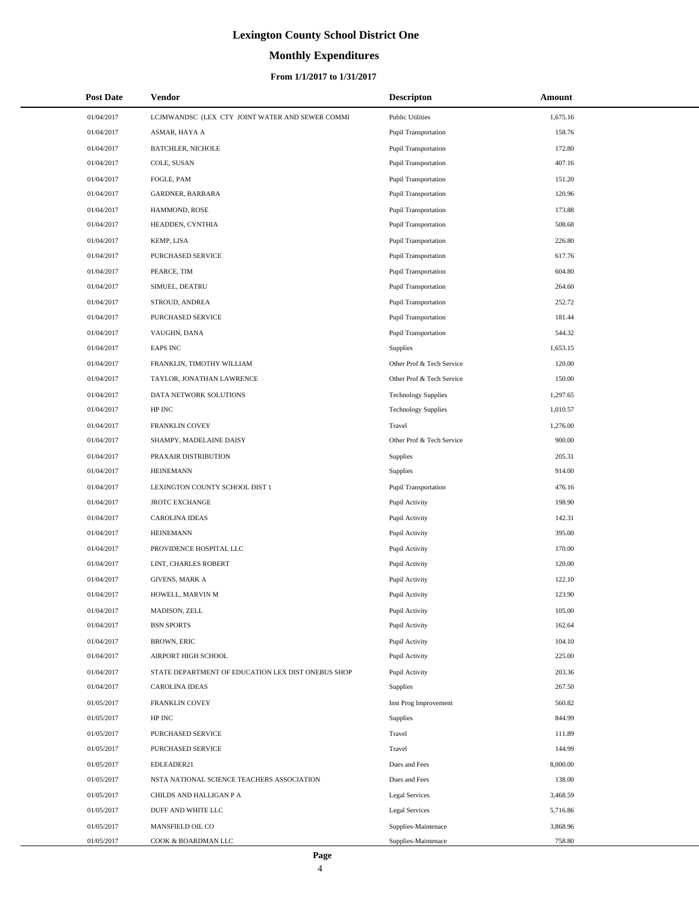# **Monthly Expenditures**

#### **From 1/1/2017 to 1/31/2017**

| <b>Post Date</b> | Vendor                                             | <b>Descripton</b>           | Amount   |
|------------------|----------------------------------------------------|-----------------------------|----------|
| 01/04/2017       | LCJMWANDSC (LEX CTY JOINT WATER AND SEWER COMMI    | <b>Public Utilities</b>     | 1,675.16 |
| 01/04/2017       | ASMAR, HAYA A                                      | Pupil Transportation        | 158.76   |
| 01/04/2017       | <b>BATCHLER, NICHOLE</b>                           | Pupil Transportation        | 172.80   |
| 01/04/2017       | COLE, SUSAN                                        | Pupil Transportation        | 407.16   |
| 01/04/2017       | FOGLE, PAM                                         | Pupil Transportation        | 151.20   |
| 01/04/2017       | GARDNER, BARBARA                                   | Pupil Transportation        | 120.96   |
| 01/04/2017       | HAMMOND, ROSE                                      | <b>Pupil Transportation</b> | 173.88   |
| 01/04/2017       | HEADDEN, CYNTHIA                                   | Pupil Transportation        | 508.68   |
| 01/04/2017       | KEMP, LISA                                         | Pupil Transportation        | 226.80   |
| 01/04/2017       | PURCHASED SERVICE                                  | Pupil Transportation        | 617.76   |
| 01/04/2017       | PEARCE, TIM                                        | Pupil Transportation        | 604.80   |
| 01/04/2017       | SIMUEL, DEATRU                                     | Pupil Transportation        | 264.60   |
| 01/04/2017       | STROUD, ANDREA                                     | Pupil Transportation        | 252.72   |
| 01/04/2017       | PURCHASED SERVICE                                  | Pupil Transportation        | 181.44   |
| 01/04/2017       | VAUGHN, DANA                                       | Pupil Transportation        | 544.32   |
| 01/04/2017       | <b>EAPS INC</b>                                    | Supplies                    | 1,653.15 |
| 01/04/2017       | FRANKLIN, TIMOTHY WILLIAM                          | Other Prof & Tech Service   | 120.00   |
| 01/04/2017       | TAYLOR, JONATHAN LAWRENCE                          | Other Prof & Tech Service   | 150.00   |
| 01/04/2017       | DATA NETWORK SOLUTIONS                             | <b>Technology Supplies</b>  | 1,297.65 |
| 01/04/2017       | HP INC                                             | <b>Technology Supplies</b>  | 1,010.57 |
| 01/04/2017       | FRANKLIN COVEY                                     | Travel                      | 1,276.00 |
| 01/04/2017       | SHAMPY, MADELAINE DAISY                            | Other Prof & Tech Service   | 900.00   |
| 01/04/2017       | PRAXAIR DISTRIBUTION                               | Supplies                    | 205.31   |
| 01/04/2017       | HEINEMANN                                          | Supplies                    | 914.00   |
| 01/04/2017       | LEXINGTON COUNTY SCHOOL DIST 1                     | Pupil Transportation        | 476.16   |
| 01/04/2017       | <b>JROTC EXCHANGE</b>                              | Pupil Activity              | 198.90   |
| 01/04/2017       | <b>CAROLINA IDEAS</b>                              | Pupil Activity              | 142.31   |
| 01/04/2017       | <b>HEINEMANN</b>                                   | Pupil Activity              | 395.00   |
| 01/04/2017       | PROVIDENCE HOSPITAL LLC                            | Pupil Activity              | 170.00   |
| 01/04/2017       | LINT, CHARLES ROBERT                               | Pupil Activity              | 120.00   |
| 01/04/2017       | <b>GIVENS, MARK A</b>                              | Pupil Activity              | 122.10   |
| 01/04/2017       | HOWELL, MARVIN M                                   | Pupil Activity              | 123.90   |
| 01/04/2017       | MADISON, ZELL                                      | Pupil Activity              | 105.00   |
| 01/04/2017       | <b>BSN SPORTS</b>                                  | Pupil Activity              | 162.64   |
| 01/04/2017       | <b>BROWN, ERIC</b>                                 | Pupil Activity              | 104.10   |
| 01/04/2017       | AIRPORT HIGH SCHOOL                                | Pupil Activity              | 225.00   |
| 01/04/2017       | STATE DEPARTMENT OF EDUCATION LEX DIST ONEBUS SHOP | Pupil Activity              | 203.36   |
| 01/04/2017       | <b>CAROLINA IDEAS</b>                              | Supplies                    | 267.50   |
| 01/05/2017       | FRANKLIN COVEY                                     | Inst Prog Improvement       | 560.82   |
| 01/05/2017       | HP INC                                             | Supplies                    | 844.99   |
| 01/05/2017       | PURCHASED SERVICE                                  | Travel                      | 111.89   |
| 01/05/2017       | PURCHASED SERVICE                                  | Travel                      | 144.99   |
| 01/05/2017       | EDLEADER21                                         | Dues and Fees               | 8,000.00 |
| 01/05/2017       | NSTA NATIONAL SCIENCE TEACHERS ASSOCIATION         | Dues and Fees               | 138.00   |
| 01/05/2017       | CHILDS AND HALLIGAN P A                            | <b>Legal Services</b>       | 3,468.59 |
| 01/05/2017       | DUFF AND WHITE LLC                                 | <b>Legal Services</b>       | 5,716.86 |
| 01/05/2017       | MANSFIELD OIL CO                                   | Supplies-Maintenace         | 3,868.96 |
| 01/05/2017       | COOK & BOARDMAN LLC                                | Supplies-Maintenace         | 758.80   |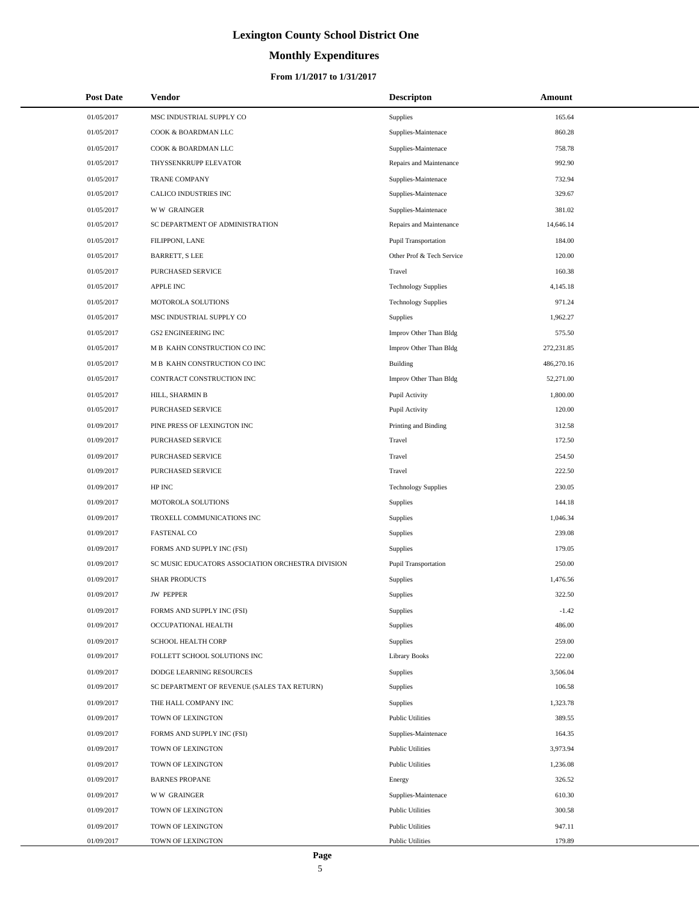# **Monthly Expenditures**

#### **From 1/1/2017 to 1/31/2017**

| <b>Post Date</b> | Vendor                                            | <b>Descripton</b>           | Amount     |  |
|------------------|---------------------------------------------------|-----------------------------|------------|--|
| 01/05/2017       | MSC INDUSTRIAL SUPPLY CO                          | <b>Supplies</b>             | 165.64     |  |
| 01/05/2017       | COOK & BOARDMAN LLC                               | Supplies-Maintenace         | 860.28     |  |
| 01/05/2017       | COOK & BOARDMAN LLC                               | Supplies-Maintenace         | 758.78     |  |
| 01/05/2017       | THYSSENKRUPP ELEVATOR                             | Repairs and Maintenance     | 992.90     |  |
| 01/05/2017       | <b>TRANE COMPANY</b>                              | Supplies-Maintenace         | 732.94     |  |
| 01/05/2017       | CALICO INDUSTRIES INC                             | Supplies-Maintenace         | 329.67     |  |
| 01/05/2017       | <b>WW GRAINGER</b>                                | Supplies-Maintenace         | 381.02     |  |
| 01/05/2017       | SC DEPARTMENT OF ADMINISTRATION                   | Repairs and Maintenance     | 14,646.14  |  |
| 01/05/2017       | FILIPPONI, LANE                                   | <b>Pupil Transportation</b> | 184.00     |  |
| 01/05/2017       | <b>BARRETT, S LEE</b>                             | Other Prof & Tech Service   | 120.00     |  |
| 01/05/2017       | PURCHASED SERVICE                                 | Travel                      | 160.38     |  |
| 01/05/2017       | <b>APPLE INC</b>                                  | <b>Technology Supplies</b>  | 4,145.18   |  |
| 01/05/2017       | MOTOROLA SOLUTIONS                                | <b>Technology Supplies</b>  | 971.24     |  |
| 01/05/2017       | MSC INDUSTRIAL SUPPLY CO                          | <b>Supplies</b>             | 1,962.27   |  |
| 01/05/2017       | <b>GS2 ENGINEERING INC</b>                        | Improv Other Than Bldg      | 575.50     |  |
| 01/05/2017       | M B KAHN CONSTRUCTION CO INC                      | Improv Other Than Bldg      | 272,231.85 |  |
| 01/05/2017       | M B KAHN CONSTRUCTION CO INC                      | Building                    | 486,270.16 |  |
| 01/05/2017       | CONTRACT CONSTRUCTION INC                         | Improv Other Than Bldg      | 52,271.00  |  |
| 01/05/2017       | HILL, SHARMIN B                                   | Pupil Activity              | 1,800.00   |  |
| 01/05/2017       | PURCHASED SERVICE                                 | Pupil Activity              | 120.00     |  |
| 01/09/2017       | PINE PRESS OF LEXINGTON INC                       | Printing and Binding        | 312.58     |  |
| 01/09/2017       | PURCHASED SERVICE                                 | Travel                      | 172.50     |  |
| 01/09/2017       | PURCHASED SERVICE                                 | Travel                      | 254.50     |  |
| 01/09/2017       | PURCHASED SERVICE                                 | Travel                      | 222.50     |  |
| 01/09/2017       | HP INC                                            | <b>Technology Supplies</b>  | 230.05     |  |
| 01/09/2017       | MOTOROLA SOLUTIONS                                | <b>Supplies</b>             | 144.18     |  |
| 01/09/2017       | TROXELL COMMUNICATIONS INC                        | Supplies                    | 1,046.34   |  |
| 01/09/2017       | <b>FASTENAL CO</b>                                | <b>Supplies</b>             | 239.08     |  |
| 01/09/2017       | FORMS AND SUPPLY INC (FSI)                        | <b>Supplies</b>             | 179.05     |  |
| 01/09/2017       | SC MUSIC EDUCATORS ASSOCIATION ORCHESTRA DIVISION | <b>Pupil Transportation</b> | 250.00     |  |
| 01/09/2017       | <b>SHAR PRODUCTS</b>                              | Supplies                    | 1,476.56   |  |
| 01/09/2017       | <b>JW PEPPER</b>                                  | <b>Supplies</b>             | 322.50     |  |
| 01/09/2017       | FORMS AND SUPPLY INC (FSI)                        | Supplies                    | $-1.42$    |  |
| 01/09/2017       | OCCUPATIONAL HEALTH                               | Supplies                    | 486.00     |  |
| 01/09/2017       | <b>SCHOOL HEALTH CORP</b>                         | Supplies                    | 259.00     |  |
| 01/09/2017       | FOLLETT SCHOOL SOLUTIONS INC                      | <b>Library Books</b>        | 222.00     |  |
| 01/09/2017       | DODGE LEARNING RESOURCES                          | Supplies                    | 3,506.04   |  |
| 01/09/2017       | SC DEPARTMENT OF REVENUE (SALES TAX RETURN)       | Supplies                    | 106.58     |  |
| 01/09/2017       | THE HALL COMPANY INC                              | Supplies                    | 1,323.78   |  |
| 01/09/2017       | TOWN OF LEXINGTON                                 | <b>Public Utilities</b>     | 389.55     |  |
| 01/09/2017       | FORMS AND SUPPLY INC (FSI)                        | Supplies-Maintenace         | 164.35     |  |
| 01/09/2017       | TOWN OF LEXINGTON                                 | <b>Public Utilities</b>     | 3,973.94   |  |
| 01/09/2017       | TOWN OF LEXINGTON                                 | <b>Public Utilities</b>     | 1,236.08   |  |
| 01/09/2017       | <b>BARNES PROPANE</b>                             | Energy                      | 326.52     |  |
| 01/09/2017       | <b>WW GRAINGER</b>                                | Supplies-Maintenace         | 610.30     |  |
| 01/09/2017       | TOWN OF LEXINGTON                                 | <b>Public Utilities</b>     | 300.58     |  |
| 01/09/2017       | TOWN OF LEXINGTON                                 | <b>Public Utilities</b>     | 947.11     |  |
| 01/09/2017       | TOWN OF LEXINGTON                                 | <b>Public Utilities</b>     | 179.89     |  |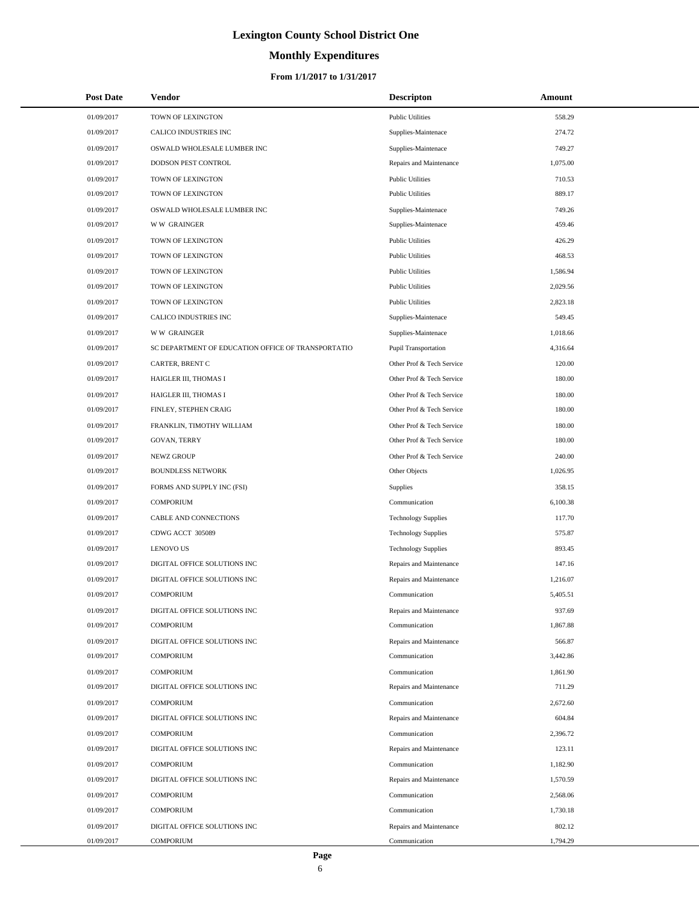# **Monthly Expenditures**

#### **From 1/1/2017 to 1/31/2017**

| <b>Post Date</b> | Vendor                                             | <b>Descripton</b>           | Amount   |
|------------------|----------------------------------------------------|-----------------------------|----------|
| 01/09/2017       | TOWN OF LEXINGTON                                  | <b>Public Utilities</b>     | 558.29   |
| 01/09/2017       | CALICO INDUSTRIES INC                              | Supplies-Maintenace         | 274.72   |
| 01/09/2017       | OSWALD WHOLESALE LUMBER INC                        | Supplies-Maintenace         | 749.27   |
| 01/09/2017       | DODSON PEST CONTROL                                | Repairs and Maintenance     | 1,075.00 |
| 01/09/2017       | TOWN OF LEXINGTON                                  | <b>Public Utilities</b>     | 710.53   |
| 01/09/2017       | TOWN OF LEXINGTON                                  | <b>Public Utilities</b>     | 889.17   |
| 01/09/2017       | OSWALD WHOLESALE LUMBER INC                        | Supplies-Maintenace         | 749.26   |
| 01/09/2017       | <b>WW GRAINGER</b>                                 | Supplies-Maintenace         | 459.46   |
| 01/09/2017       | TOWN OF LEXINGTON                                  | <b>Public Utilities</b>     | 426.29   |
| 01/09/2017       | TOWN OF LEXINGTON                                  | <b>Public Utilities</b>     | 468.53   |
| 01/09/2017       | TOWN OF LEXINGTON                                  | <b>Public Utilities</b>     | 1,586.94 |
| 01/09/2017       | TOWN OF LEXINGTON                                  | <b>Public Utilities</b>     | 2,029.56 |
| 01/09/2017       | TOWN OF LEXINGTON                                  | <b>Public Utilities</b>     | 2,823.18 |
| 01/09/2017       | CALICO INDUSTRIES INC                              | Supplies-Maintenace         | 549.45   |
| 01/09/2017       | <b>WW GRAINGER</b>                                 | Supplies-Maintenace         | 1,018.66 |
| 01/09/2017       | SC DEPARTMENT OF EDUCATION OFFICE OF TRANSPORTATIO | <b>Pupil Transportation</b> | 4,316.64 |
| 01/09/2017       | <b>CARTER, BRENT C</b>                             | Other Prof & Tech Service   | 120.00   |
| 01/09/2017       | HAIGLER III, THOMAS I                              | Other Prof & Tech Service   | 180.00   |
| 01/09/2017       | HAIGLER III, THOMAS I                              | Other Prof & Tech Service   | 180.00   |
| 01/09/2017       | FINLEY, STEPHEN CRAIG                              | Other Prof & Tech Service   | 180.00   |
| 01/09/2017       | FRANKLIN, TIMOTHY WILLIAM                          | Other Prof & Tech Service   | 180.00   |
| 01/09/2017       | <b>GOVAN, TERRY</b>                                | Other Prof & Tech Service   | 180.00   |
| 01/09/2017       | NEWZ GROUP                                         | Other Prof & Tech Service   | 240.00   |
| 01/09/2017       | <b>BOUNDLESS NETWORK</b>                           | Other Objects               | 1,026.95 |
| 01/09/2017       | FORMS AND SUPPLY INC (FSI)                         | Supplies                    | 358.15   |
| 01/09/2017       | <b>COMPORIUM</b>                                   | Communication               | 6,100.38 |
| 01/09/2017       | CABLE AND CONNECTIONS                              | <b>Technology Supplies</b>  | 117.70   |
| 01/09/2017       | CDWG ACCT 305089                                   | <b>Technology Supplies</b>  | 575.87   |
| 01/09/2017       | <b>LENOVO US</b>                                   | <b>Technology Supplies</b>  | 893.45   |
| 01/09/2017       | DIGITAL OFFICE SOLUTIONS INC                       | Repairs and Maintenance     | 147.16   |
| 01/09/2017       | DIGITAL OFFICE SOLUTIONS INC                       | Repairs and Maintenance     | 1,216.07 |
| 01/09/2017       | <b>COMPORIUM</b>                                   | Communication               | 5,405.51 |
| 01/09/2017       | DIGITAL OFFICE SOLUTIONS INC                       | Repairs and Maintenance     | 937.69   |
| 01/09/2017       | <b>COMPORIUM</b>                                   | Communication               | 1,867.88 |
| 01/09/2017       | DIGITAL OFFICE SOLUTIONS INC                       | Repairs and Maintenance     | 566.87   |
| 01/09/2017       | <b>COMPORIUM</b>                                   | Communication               | 3,442.86 |
| 01/09/2017       | <b>COMPORIUM</b>                                   | Communication               | 1,861.90 |
| 01/09/2017       | DIGITAL OFFICE SOLUTIONS INC                       | Repairs and Maintenance     | 711.29   |
| 01/09/2017       | <b>COMPORIUM</b>                                   | Communication               | 2,672.60 |
| 01/09/2017       | DIGITAL OFFICE SOLUTIONS INC                       | Repairs and Maintenance     | 604.84   |
| 01/09/2017       | <b>COMPORIUM</b>                                   | Communication               | 2,396.72 |
| 01/09/2017       | DIGITAL OFFICE SOLUTIONS INC                       | Repairs and Maintenance     | 123.11   |
| 01/09/2017       | <b>COMPORIUM</b>                                   | Communication               | 1,182.90 |
| 01/09/2017       | DIGITAL OFFICE SOLUTIONS INC                       | Repairs and Maintenance     | 1,570.59 |
| 01/09/2017       | <b>COMPORIUM</b>                                   | Communication               | 2,568.06 |
| 01/09/2017       | <b>COMPORIUM</b>                                   | Communication               | 1,730.18 |
| 01/09/2017       | DIGITAL OFFICE SOLUTIONS INC                       | Repairs and Maintenance     | 802.12   |
| 01/09/2017       | <b>COMPORIUM</b>                                   | Communication               | 1,794.29 |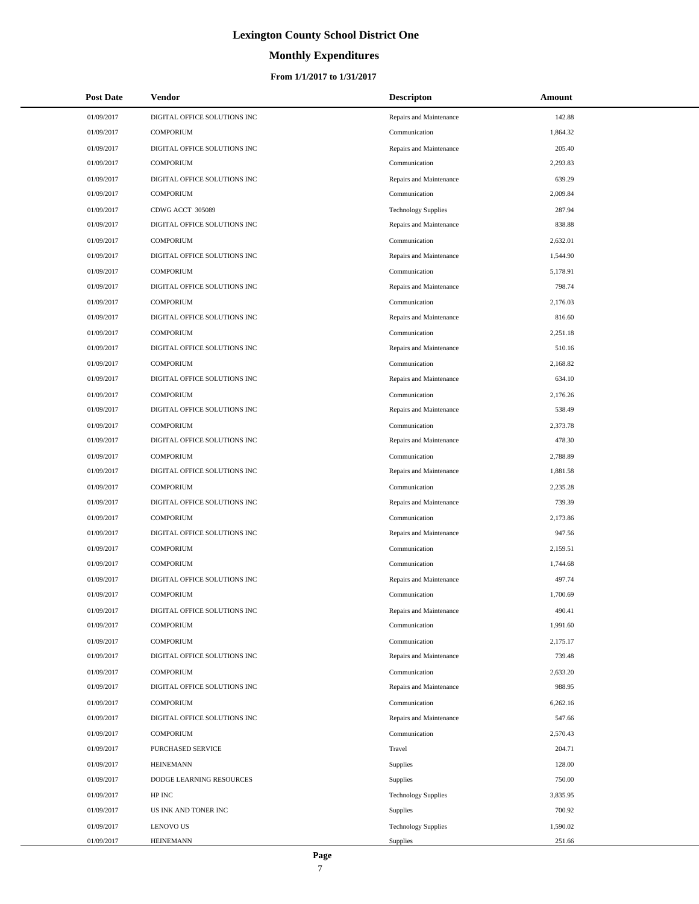# **Monthly Expenditures**

#### **From 1/1/2017 to 1/31/2017**

| <b>Post Date</b> | Vendor                       | <b>Descripton</b>          | Amount   |
|------------------|------------------------------|----------------------------|----------|
| 01/09/2017       | DIGITAL OFFICE SOLUTIONS INC | Repairs and Maintenance    | 142.88   |
| 01/09/2017       | <b>COMPORIUM</b>             | Communication              | 1,864.32 |
| 01/09/2017       | DIGITAL OFFICE SOLUTIONS INC | Repairs and Maintenance    | 205.40   |
| 01/09/2017       | <b>COMPORIUM</b>             | Communication              | 2,293.83 |
| 01/09/2017       | DIGITAL OFFICE SOLUTIONS INC | Repairs and Maintenance    | 639.29   |
| 01/09/2017       | <b>COMPORIUM</b>             | Communication              | 2,009.84 |
| 01/09/2017       | CDWG ACCT 305089             | <b>Technology Supplies</b> | 287.94   |
| 01/09/2017       | DIGITAL OFFICE SOLUTIONS INC | Repairs and Maintenance    | 838.88   |
| 01/09/2017       | <b>COMPORIUM</b>             | Communication              | 2,632.01 |
| 01/09/2017       | DIGITAL OFFICE SOLUTIONS INC | Repairs and Maintenance    | 1,544.90 |
| 01/09/2017       | <b>COMPORIUM</b>             | Communication              | 5,178.91 |
| 01/09/2017       | DIGITAL OFFICE SOLUTIONS INC | Repairs and Maintenance    | 798.74   |
| 01/09/2017       | <b>COMPORIUM</b>             | Communication              | 2,176.03 |
| 01/09/2017       | DIGITAL OFFICE SOLUTIONS INC | Repairs and Maintenance    | 816.60   |
| 01/09/2017       | <b>COMPORIUM</b>             | Communication              | 2,251.18 |
| 01/09/2017       | DIGITAL OFFICE SOLUTIONS INC | Repairs and Maintenance    | 510.16   |
| 01/09/2017       | <b>COMPORIUM</b>             | Communication              | 2,168.82 |
| 01/09/2017       | DIGITAL OFFICE SOLUTIONS INC | Repairs and Maintenance    | 634.10   |
| 01/09/2017       | <b>COMPORIUM</b>             | Communication              | 2,176.26 |
| 01/09/2017       | DIGITAL OFFICE SOLUTIONS INC | Repairs and Maintenance    | 538.49   |
| 01/09/2017       | <b>COMPORIUM</b>             | Communication              | 2,373.78 |
| 01/09/2017       | DIGITAL OFFICE SOLUTIONS INC | Repairs and Maintenance    | 478.30   |
| 01/09/2017       | <b>COMPORIUM</b>             | Communication              | 2,788.89 |
| 01/09/2017       | DIGITAL OFFICE SOLUTIONS INC | Repairs and Maintenance    | 1,881.58 |
| 01/09/2017       | <b>COMPORIUM</b>             | Communication              | 2,235.28 |
| 01/09/2017       | DIGITAL OFFICE SOLUTIONS INC | Repairs and Maintenance    | 739.39   |
| 01/09/2017       | <b>COMPORIUM</b>             | Communication              | 2,173.86 |
| 01/09/2017       | DIGITAL OFFICE SOLUTIONS INC | Repairs and Maintenance    | 947.56   |
| 01/09/2017       | <b>COMPORIUM</b>             | Communication              | 2,159.51 |
| 01/09/2017       | <b>COMPORIUM</b>             | Communication              | 1,744.68 |
| 01/09/2017       | DIGITAL OFFICE SOLUTIONS INC | Repairs and Maintenance    | 497.74   |
| 01/09/2017       | <b>COMPORIUM</b>             | Communication              | 1,700.69 |
| 01/09/2017       | DIGITAL OFFICE SOLUTIONS INC | Repairs and Maintenance    | 490.41   |
| 01/09/2017       | <b>COMPORIUM</b>             | Communication              | 1,991.60 |
| 01/09/2017       | <b>COMPORIUM</b>             | Communication              | 2,175.17 |
| 01/09/2017       | DIGITAL OFFICE SOLUTIONS INC | Repairs and Maintenance    | 739.48   |
| 01/09/2017       | <b>COMPORIUM</b>             | Communication              | 2,633.20 |
| 01/09/2017       | DIGITAL OFFICE SOLUTIONS INC | Repairs and Maintenance    | 988.95   |
| 01/09/2017       | <b>COMPORIUM</b>             | Communication              | 6,262.16 |
| 01/09/2017       | DIGITAL OFFICE SOLUTIONS INC | Repairs and Maintenance    | 547.66   |
| 01/09/2017       | <b>COMPORIUM</b>             | Communication              | 2,570.43 |
| 01/09/2017       | PURCHASED SERVICE            | Travel                     | 204.71   |
| 01/09/2017       | <b>HEINEMANN</b>             | Supplies                   | 128.00   |
| 01/09/2017       | DODGE LEARNING RESOURCES     | <b>Supplies</b>            | 750.00   |
| 01/09/2017       | HP INC                       | <b>Technology Supplies</b> | 3,835.95 |
| 01/09/2017       | US INK AND TONER INC         | Supplies                   | 700.92   |
| 01/09/2017       | <b>LENOVO US</b>             | <b>Technology Supplies</b> | 1,590.02 |
| 01/09/2017       | <b>HEINEMANN</b>             | Supplies                   | 251.66   |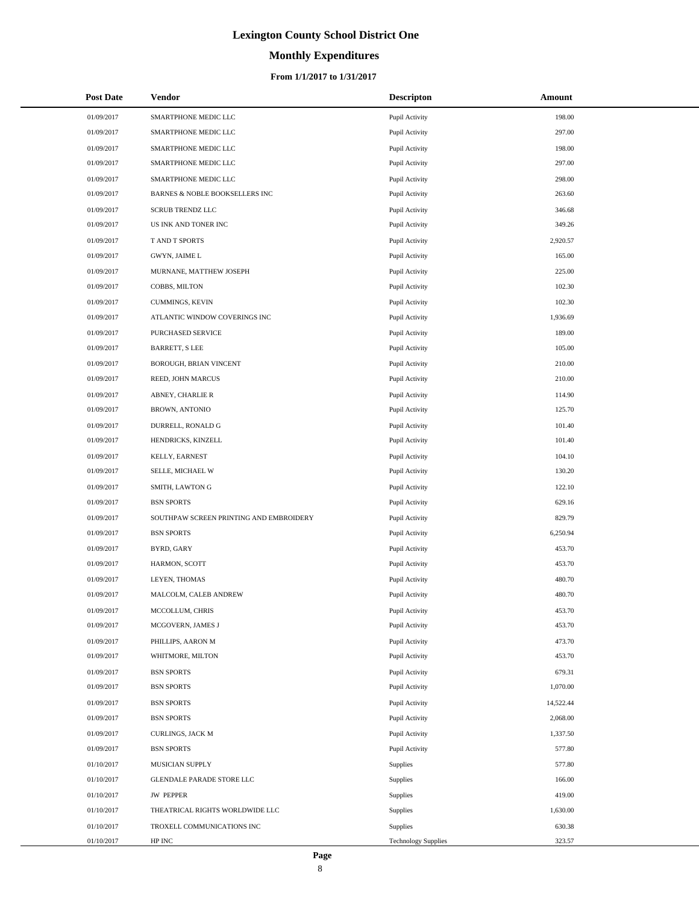# **Monthly Expenditures**

#### **From 1/1/2017 to 1/31/2017**

| <b>Post Date</b> | Vendor                                  | <b>Descripton</b>          | Amount    |
|------------------|-----------------------------------------|----------------------------|-----------|
| 01/09/2017       | SMARTPHONE MEDIC LLC                    | Pupil Activity             | 198.00    |
| 01/09/2017       | SMARTPHONE MEDIC LLC                    | Pupil Activity             | 297.00    |
| 01/09/2017       | SMARTPHONE MEDIC LLC                    | Pupil Activity             | 198.00    |
| 01/09/2017       | SMARTPHONE MEDIC LLC                    | Pupil Activity             | 297.00    |
| 01/09/2017       | SMARTPHONE MEDIC LLC                    | Pupil Activity             | 298.00    |
| 01/09/2017       | BARNES & NOBLE BOOKSELLERS INC          | Pupil Activity             | 263.60    |
| 01/09/2017       | <b>SCRUB TRENDZ LLC</b>                 | Pupil Activity             | 346.68    |
| 01/09/2017       | US INK AND TONER INC                    | Pupil Activity             | 349.26    |
| 01/09/2017       | T AND T SPORTS                          | Pupil Activity             | 2,920.57  |
| 01/09/2017       | GWYN, JAIME L                           | Pupil Activity             | 165.00    |
| 01/09/2017       | MURNANE, MATTHEW JOSEPH                 | Pupil Activity             | 225.00    |
| 01/09/2017       | COBBS, MILTON                           | Pupil Activity             | 102.30    |
| 01/09/2017       | CUMMINGS, KEVIN                         | Pupil Activity             | 102.30    |
| 01/09/2017       | ATLANTIC WINDOW COVERINGS INC           | Pupil Activity             | 1,936.69  |
| 01/09/2017       | PURCHASED SERVICE                       | Pupil Activity             | 189.00    |
| 01/09/2017       | <b>BARRETT, S LEE</b>                   | Pupil Activity             | 105.00    |
| 01/09/2017       | BOROUGH, BRIAN VINCENT                  | Pupil Activity             | 210.00    |
| 01/09/2017       | REED, JOHN MARCUS                       | Pupil Activity             | 210.00    |
| 01/09/2017       | ABNEY, CHARLIE R                        | Pupil Activity             | 114.90    |
| 01/09/2017       | <b>BROWN, ANTONIO</b>                   | Pupil Activity             | 125.70    |
| 01/09/2017       | DURRELL, RONALD G                       | Pupil Activity             | 101.40    |
| 01/09/2017       | HENDRICKS, KINZELL                      | Pupil Activity             | 101.40    |
| 01/09/2017       | KELLY, EARNEST                          | Pupil Activity             | 104.10    |
| 01/09/2017       | SELLE, MICHAEL W                        | Pupil Activity             | 130.20    |
| 01/09/2017       | SMITH, LAWTON G                         | Pupil Activity             | 122.10    |
| 01/09/2017       | <b>BSN SPORTS</b>                       | Pupil Activity             | 629.16    |
| 01/09/2017       | SOUTHPAW SCREEN PRINTING AND EMBROIDERY | Pupil Activity             | 829.79    |
| 01/09/2017       | <b>BSN SPORTS</b>                       | Pupil Activity             | 6,250.94  |
| 01/09/2017       | BYRD, GARY                              | Pupil Activity             | 453.70    |
| 01/09/2017       | HARMON, SCOTT                           | Pupil Activity             | 453.70    |
| 01/09/2017       | LEYEN, THOMAS                           | Pupil Activity             | 480.70    |
| 01/09/2017       | MALCOLM, CALEB ANDREW                   | Pupil Activity             | 480.70    |
| 01/09/2017       | MCCOLLUM, CHRIS                         | Pupil Activity             | 453.70    |
| 01/09/2017       | MCGOVERN, JAMES J                       | Pupil Activity             | 453.70    |
| 01/09/2017       | PHILLIPS, AARON M                       | Pupil Activity             | 473.70    |
| 01/09/2017       | WHITMORE, MILTON                        | Pupil Activity             | 453.70    |
| 01/09/2017       | <b>BSN SPORTS</b>                       | Pupil Activity             | 679.31    |
| 01/09/2017       | <b>BSN SPORTS</b>                       | Pupil Activity             | 1,070.00  |
| 01/09/2017       | <b>BSN SPORTS</b>                       | Pupil Activity             | 14,522.44 |
| 01/09/2017       | <b>BSN SPORTS</b>                       | Pupil Activity             | 2,068.00  |
| 01/09/2017       | CURLINGS, JACK M                        | Pupil Activity             | 1,337.50  |
| 01/09/2017       | <b>BSN SPORTS</b>                       | Pupil Activity             | 577.80    |
| 01/10/2017       | MUSICIAN SUPPLY                         | Supplies                   | 577.80    |
| 01/10/2017       | GLENDALE PARADE STORE LLC               | Supplies                   | 166.00    |
| 01/10/2017       | <b>JW PEPPER</b>                        | Supplies                   | 419.00    |
| 01/10/2017       | THEATRICAL RIGHTS WORLDWIDE LLC         | Supplies                   | 1,630.00  |
| 01/10/2017       | TROXELL COMMUNICATIONS INC              | Supplies                   | 630.38    |
| 01/10/2017       | HP INC                                  | <b>Technology Supplies</b> | 323.57    |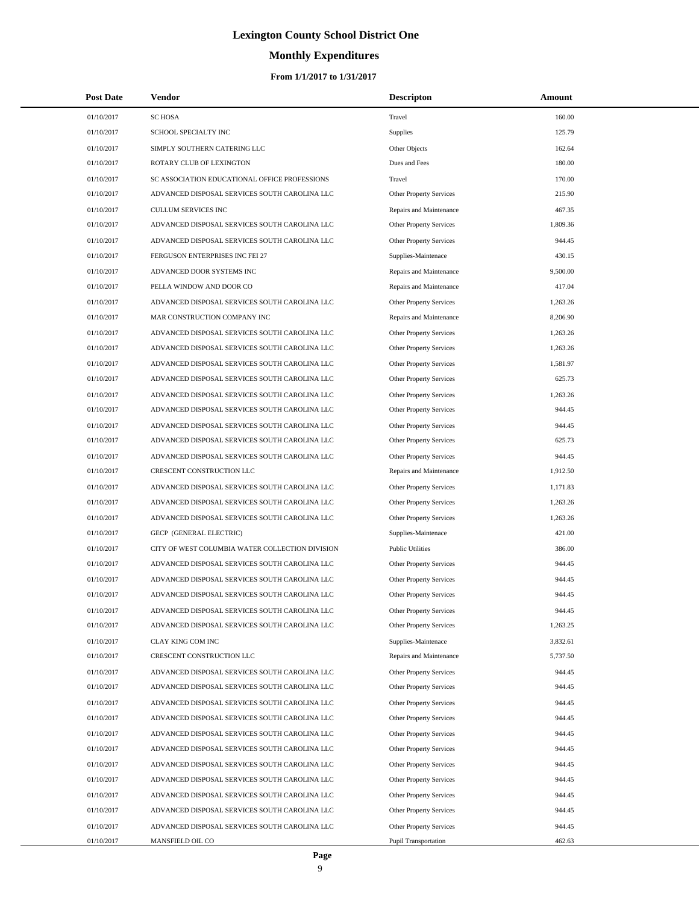# **Monthly Expenditures**

| <b>Post Date</b>         | Vendor                                                                                         | <b>Descripton</b>                                      | Amount           |
|--------------------------|------------------------------------------------------------------------------------------------|--------------------------------------------------------|------------------|
| 01/10/2017               | <b>SC HOSA</b>                                                                                 | Travel                                                 | 160.00           |
| 01/10/2017               | SCHOOL SPECIALTY INC                                                                           | <b>Supplies</b>                                        | 125.79           |
| 01/10/2017               | SIMPLY SOUTHERN CATERING LLC                                                                   | Other Objects                                          | 162.64           |
| 01/10/2017               | ROTARY CLUB OF LEXINGTON                                                                       | Dues and Fees                                          | 180.00           |
| 01/10/2017               | SC ASSOCIATION EDUCATIONAL OFFICE PROFESSIONS                                                  | Travel                                                 | 170.00           |
| 01/10/2017               | ADVANCED DISPOSAL SERVICES SOUTH CAROLINA LLC                                                  | Other Property Services                                | 215.90           |
| 01/10/2017               | <b>CULLUM SERVICES INC</b>                                                                     | Repairs and Maintenance                                | 467.35           |
| 01/10/2017               | ADVANCED DISPOSAL SERVICES SOUTH CAROLINA LLC                                                  | Other Property Services                                | 1,809.36         |
| 01/10/2017               | ADVANCED DISPOSAL SERVICES SOUTH CAROLINA LLC                                                  | Other Property Services                                | 944.45           |
| 01/10/2017               | FERGUSON ENTERPRISES INC FEI 27                                                                | Supplies-Maintenace                                    | 430.15           |
| 01/10/2017               | ADVANCED DOOR SYSTEMS INC                                                                      | Repairs and Maintenance                                | 9,500.00         |
| 01/10/2017               | PELLA WINDOW AND DOOR CO                                                                       | Repairs and Maintenance                                | 417.04           |
| 01/10/2017               | ADVANCED DISPOSAL SERVICES SOUTH CAROLINA LLC                                                  | Other Property Services                                | 1,263.26         |
| 01/10/2017               | MAR CONSTRUCTION COMPANY INC                                                                   | Repairs and Maintenance                                | 8,206.90         |
| 01/10/2017               | ADVANCED DISPOSAL SERVICES SOUTH CAROLINA LLC                                                  | Other Property Services                                | 1,263.26         |
| 01/10/2017               | ADVANCED DISPOSAL SERVICES SOUTH CAROLINA LLC                                                  | Other Property Services                                | 1,263.26         |
| 01/10/2017               | ADVANCED DISPOSAL SERVICES SOUTH CAROLINA LLC                                                  | Other Property Services                                | 1.581.97         |
| 01/10/2017               | ADVANCED DISPOSAL SERVICES SOUTH CAROLINA LLC                                                  | Other Property Services                                | 625.73           |
| 01/10/2017               | ADVANCED DISPOSAL SERVICES SOUTH CAROLINA LLC                                                  | <b>Other Property Services</b>                         | 1,263.26         |
| 01/10/2017               | ADVANCED DISPOSAL SERVICES SOUTH CAROLINA LLC                                                  | <b>Other Property Services</b>                         | 944.45           |
| 01/10/2017               | ADVANCED DISPOSAL SERVICES SOUTH CAROLINA LLC                                                  | Other Property Services                                | 944.45           |
| 01/10/2017               | ADVANCED DISPOSAL SERVICES SOUTH CAROLINA LLC                                                  | Other Property Services                                | 625.73           |
| 01/10/2017               | ADVANCED DISPOSAL SERVICES SOUTH CAROLINA LLC                                                  | Other Property Services                                | 944.45           |
| 01/10/2017               | CRESCENT CONSTRUCTION LLC                                                                      | Repairs and Maintenance                                | 1,912.50         |
| 01/10/2017               | ADVANCED DISPOSAL SERVICES SOUTH CAROLINA LLC                                                  | Other Property Services                                | 1,171.83         |
| 01/10/2017               | ADVANCED DISPOSAL SERVICES SOUTH CAROLINA LLC                                                  | Other Property Services                                | 1,263.26         |
| 01/10/2017               | ADVANCED DISPOSAL SERVICES SOUTH CAROLINA LLC                                                  | Other Property Services                                | 1,263.26         |
| 01/10/2017               | GECP (GENERAL ELECTRIC)                                                                        | Supplies-Maintenace                                    | 421.00           |
| 01/10/2017               | CITY OF WEST COLUMBIA WATER COLLECTION DIVISION                                                | <b>Public Utilities</b>                                | 386.00           |
| 01/10/2017               | ADVANCED DISPOSAL SERVICES SOUTH CAROLINA LLC                                                  | <b>Other Property Services</b>                         | 944.45           |
| 01/10/2017               | ADVANCED DISPOSAL SERVICES SOUTH CAROLINA LLC                                                  | <b>Other Property Services</b>                         | 944.45           |
| 01/10/2017               | ADVANCED DISPOSAL SERVICES SOUTH CAROLINA LLC                                                  | <b>Other Property Services</b>                         | 944.45           |
| 01/10/2017               | ADVANCED DISPOSAL SERVICES SOUTH CAROLINA LLC                                                  | Other Property Services                                | 944.45           |
| 01/10/2017               | ADVANCED DISPOSAL SERVICES SOUTH CAROLINA LLC                                                  | Other Property Services                                | 1,263.25         |
| 01/10/2017               | <b>CLAY KING COM INC</b>                                                                       | Supplies-Maintenace                                    | 3,832.61         |
| 01/10/2017               | CRESCENT CONSTRUCTION LLC                                                                      | Repairs and Maintenance                                | 5,737.50         |
| 01/10/2017               | ADVANCED DISPOSAL SERVICES SOUTH CAROLINA LLC                                                  | Other Property Services                                | 944.45           |
| 01/10/2017               | ADVANCED DISPOSAL SERVICES SOUTH CAROLINA LLC                                                  | <b>Other Property Services</b>                         | 944.45           |
| 01/10/2017               | ADVANCED DISPOSAL SERVICES SOUTH CAROLINA LLC                                                  | Other Property Services                                | 944.45           |
| 01/10/2017               | ADVANCED DISPOSAL SERVICES SOUTH CAROLINA LLC                                                  | <b>Other Property Services</b>                         | 944.45           |
| 01/10/2017<br>01/10/2017 | ADVANCED DISPOSAL SERVICES SOUTH CAROLINA LLC                                                  | Other Property Services                                | 944.45           |
|                          | ADVANCED DISPOSAL SERVICES SOUTH CAROLINA LLC                                                  | <b>Other Property Services</b>                         | 944.45           |
| 01/10/2017               | ADVANCED DISPOSAL SERVICES SOUTH CAROLINA LLC                                                  | Other Property Services                                | 944.45           |
| 01/10/2017               | ADVANCED DISPOSAL SERVICES SOUTH CAROLINA LLC                                                  | Other Property Services                                | 944.45           |
| 01/10/2017<br>01/10/2017 | ADVANCED DISPOSAL SERVICES SOUTH CAROLINA LLC<br>ADVANCED DISPOSAL SERVICES SOUTH CAROLINA LLC | Other Property Services                                | 944.45<br>944.45 |
| 01/10/2017               | ADVANCED DISPOSAL SERVICES SOUTH CAROLINA LLC                                                  | Other Property Services                                | 944.45           |
| 01/10/2017               | MANSFIELD OIL CO                                                                               | Other Property Services<br><b>Pupil Transportation</b> | 462.63           |
|                          |                                                                                                |                                                        |                  |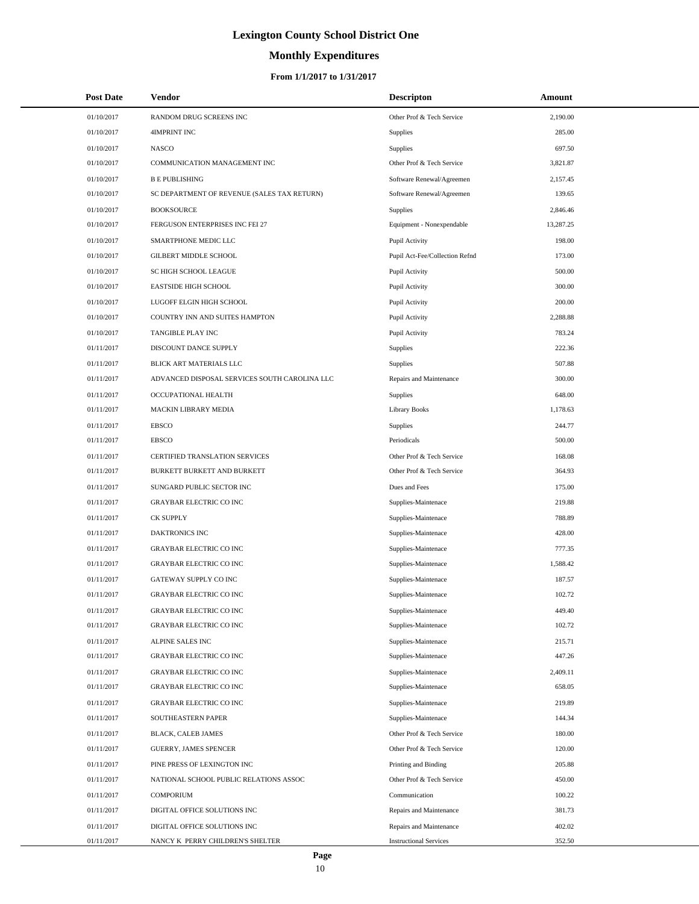# **Monthly Expenditures**

| <b>Post Date</b> | Vendor                                        | <b>Descripton</b>              | Amount    |
|------------------|-----------------------------------------------|--------------------------------|-----------|
| 01/10/2017       | RANDOM DRUG SCREENS INC                       | Other Prof & Tech Service      | 2,190.00  |
| 01/10/2017       | 4IMPRINT INC                                  | Supplies                       | 285.00    |
| 01/10/2017       | <b>NASCO</b>                                  | Supplies                       | 697.50    |
| 01/10/2017       | COMMUNICATION MANAGEMENT INC                  | Other Prof & Tech Service      | 3,821.87  |
| 01/10/2017       | <b>B E PUBLISHING</b>                         | Software Renewal/Agreemen      | 2,157.45  |
| 01/10/2017       | SC DEPARTMENT OF REVENUE (SALES TAX RETURN)   | Software Renewal/Agreemen      | 139.65    |
| 01/10/2017       | <b>BOOKSOURCE</b>                             | <b>Supplies</b>                | 2,846.46  |
| 01/10/2017       | FERGUSON ENTERPRISES INC FEI 27               | Equipment - Nonexpendable      | 13,287.25 |
| 01/10/2017       | SMARTPHONE MEDIC LLC                          | Pupil Activity                 | 198.00    |
| 01/10/2017       | <b>GILBERT MIDDLE SCHOOL</b>                  | Pupil Act-Fee/Collection Refnd | 173.00    |
| 01/10/2017       | SC HIGH SCHOOL LEAGUE                         | Pupil Activity                 | 500.00    |
| 01/10/2017       | <b>EASTSIDE HIGH SCHOOL</b>                   | Pupil Activity                 | 300.00    |
| 01/10/2017       | LUGOFF ELGIN HIGH SCHOOL                      | Pupil Activity                 | 200.00    |
| 01/10/2017       | COUNTRY INN AND SUITES HAMPTON                | Pupil Activity                 | 2,288.88  |
| 01/10/2017       | TANGIBLE PLAY INC                             | Pupil Activity                 | 783.24    |
| 01/11/2017       | DISCOUNT DANCE SUPPLY                         | Supplies                       | 222.36    |
| 01/11/2017       | BLICK ART MATERIALS LLC                       | <b>Supplies</b>                | 507.88    |
| 01/11/2017       | ADVANCED DISPOSAL SERVICES SOUTH CAROLINA LLC | Repairs and Maintenance        | 300.00    |
| 01/11/2017       | OCCUPATIONAL HEALTH                           | Supplies                       | 648.00    |
| 01/11/2017       | <b>MACKIN LIBRARY MEDIA</b>                   | <b>Library Books</b>           | 1,178.63  |
| 01/11/2017       | EBSCO                                         | Supplies                       | 244.77    |
| 01/11/2017       | EBSCO                                         | Periodicals                    | 500.00    |
| 01/11/2017       | CERTIFIED TRANSLATION SERVICES                | Other Prof & Tech Service      | 168.08    |
| 01/11/2017       | BURKETT BURKETT AND BURKETT                   | Other Prof & Tech Service      | 364.93    |
| 01/11/2017       | SUNGARD PUBLIC SECTOR INC                     | Dues and Fees                  | 175.00    |
| 01/11/2017       | <b>GRAYBAR ELECTRIC CO INC</b>                | Supplies-Maintenace            | 219.88    |
| 01/11/2017       | <b>CK SUPPLY</b>                              | Supplies-Maintenace            | 788.89    |
| 01/11/2017       | DAKTRONICS INC                                | Supplies-Maintenace            | 428.00    |
| 01/11/2017       | GRAYBAR ELECTRIC CO INC                       | Supplies-Maintenace            | 777.35    |
| 01/11/2017       | GRAYBAR ELECTRIC CO INC                       | Supplies-Maintenace            | 1,588.42  |
| 01/11/2017       | GATEWAY SUPPLY CO INC                         | Supplies-Maintenace            | 187.57    |
| 01/11/2017       | <b>GRAYBAR ELECTRIC CO INC</b>                | Supplies-Maintenace            | 102.72    |
| 01/11/2017       | <b>GRAYBAR ELECTRIC CO INC</b>                | Supplies-Maintenace            | 449.40    |
| 01/11/2017       | <b>GRAYBAR ELECTRIC CO INC</b>                | Supplies-Maintenace            | 102.72    |
| 01/11/2017       | <b>ALPINE SALES INC</b>                       | Supplies-Maintenace            | 215.71    |
| 01/11/2017       | <b>GRAYBAR ELECTRIC CO INC</b>                | Supplies-Maintenace            | 447.26    |
| 01/11/2017       | GRAYBAR ELECTRIC CO INC                       | Supplies-Maintenace            | 2,409.11  |
| 01/11/2017       | GRAYBAR ELECTRIC CO INC                       | Supplies-Maintenace            | 658.05    |
| 01/11/2017       | <b>GRAYBAR ELECTRIC CO INC</b>                | Supplies-Maintenace            | 219.89    |
| 01/11/2017       | SOUTHEASTERN PAPER                            | Supplies-Maintenace            | 144.34    |
| 01/11/2017       | BLACK, CALEB JAMES                            | Other Prof & Tech Service      | 180.00    |
| 01/11/2017       | GUERRY, JAMES SPENCER                         | Other Prof & Tech Service      | 120.00    |
| 01/11/2017       | PINE PRESS OF LEXINGTON INC                   | Printing and Binding           | 205.88    |
| 01/11/2017       | NATIONAL SCHOOL PUBLIC RELATIONS ASSOC        | Other Prof & Tech Service      | 450.00    |
| 01/11/2017       | <b>COMPORIUM</b>                              | Communication                  | 100.22    |
| 01/11/2017       | DIGITAL OFFICE SOLUTIONS INC                  | Repairs and Maintenance        | 381.73    |
| 01/11/2017       | DIGITAL OFFICE SOLUTIONS INC                  | Repairs and Maintenance        | 402.02    |
| 01/11/2017       | NANCY K PERRY CHILDREN'S SHELTER              | <b>Instructional Services</b>  | 352.50    |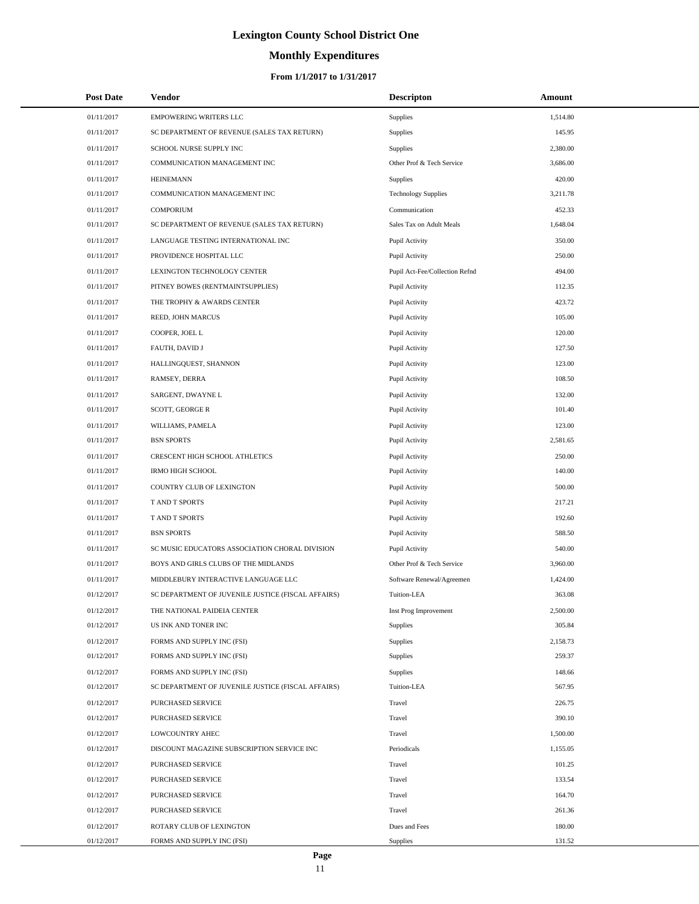# **Monthly Expenditures**

#### **From 1/1/2017 to 1/31/2017**

| <b>Post Date</b> | Vendor                                             | <b>Descripton</b>              | Amount   |
|------------------|----------------------------------------------------|--------------------------------|----------|
| 01/11/2017       | EMPOWERING WRITERS LLC                             | Supplies                       | 1,514.80 |
| 01/11/2017       | SC DEPARTMENT OF REVENUE (SALES TAX RETURN)        | Supplies                       | 145.95   |
| 01/11/2017       | SCHOOL NURSE SUPPLY INC                            | Supplies                       | 2,380.00 |
| 01/11/2017       | COMMUNICATION MANAGEMENT INC                       | Other Prof & Tech Service      | 3,686.00 |
| 01/11/2017       | <b>HEINEMANN</b>                                   | Supplies                       | 420.00   |
| 01/11/2017       | COMMUNICATION MANAGEMENT INC                       | <b>Technology Supplies</b>     | 3,211.78 |
| 01/11/2017       | <b>COMPORIUM</b>                                   | Communication                  | 452.33   |
| 01/11/2017       | SC DEPARTMENT OF REVENUE (SALES TAX RETURN)        | Sales Tax on Adult Meals       | 1,648.04 |
| 01/11/2017       | LANGUAGE TESTING INTERNATIONAL INC                 | Pupil Activity                 | 350.00   |
| 01/11/2017       | PROVIDENCE HOSPITAL LLC                            | Pupil Activity                 | 250.00   |
| 01/11/2017       | LEXINGTON TECHNOLOGY CENTER                        | Pupil Act-Fee/Collection Refnd | 494.00   |
| 01/11/2017       | PITNEY BOWES (RENTMAINTSUPPLIES)                   | Pupil Activity                 | 112.35   |
| 01/11/2017       | THE TROPHY & AWARDS CENTER                         | Pupil Activity                 | 423.72   |
| 01/11/2017       | REED, JOHN MARCUS                                  | Pupil Activity                 | 105.00   |
| 01/11/2017       | COOPER, JOEL L                                     | Pupil Activity                 | 120.00   |
| 01/11/2017       | FAUTH, DAVID J                                     | Pupil Activity                 | 127.50   |
| 01/11/2017       | HALLINGQUEST, SHANNON                              | Pupil Activity                 | 123.00   |
| 01/11/2017       | RAMSEY, DERRA                                      | Pupil Activity                 | 108.50   |
| 01/11/2017       | SARGENT, DWAYNE L                                  | Pupil Activity                 | 132.00   |
| 01/11/2017       | <b>SCOTT, GEORGE R</b>                             | Pupil Activity                 | 101.40   |
| 01/11/2017       | WILLIAMS, PAMELA                                   | Pupil Activity                 | 123.00   |
| 01/11/2017       | <b>BSN SPORTS</b>                                  | Pupil Activity                 | 2,581.65 |
| 01/11/2017       | CRESCENT HIGH SCHOOL ATHLETICS                     | Pupil Activity                 | 250.00   |
| 01/11/2017       | <b>IRMO HIGH SCHOOL</b>                            | Pupil Activity                 | 140.00   |
| 01/11/2017       | COUNTRY CLUB OF LEXINGTON                          | Pupil Activity                 | 500.00   |
| 01/11/2017       | T AND T SPORTS                                     | Pupil Activity                 | 217.21   |
| 01/11/2017       | T AND T SPORTS                                     | Pupil Activity                 | 192.60   |
| 01/11/2017       | <b>BSN SPORTS</b>                                  | Pupil Activity                 | 588.50   |
| 01/11/2017       | SC MUSIC EDUCATORS ASSOCIATION CHORAL DIVISION     | Pupil Activity                 | 540.00   |
| 01/11/2017       | BOYS AND GIRLS CLUBS OF THE MIDLANDS               | Other Prof & Tech Service      | 3,960.00 |
| 01/11/2017       | MIDDLEBURY INTERACTIVE LANGUAGE LLC                | Software Renewal/Agreemen      | 1,424.00 |
| 01/12/2017       | SC DEPARTMENT OF JUVENILE JUSTICE (FISCAL AFFAIRS) | Tuition-LEA                    | 363.08   |
| 01/12/2017       | THE NATIONAL PAIDEIA CENTER                        | Inst Prog Improvement          | 2,500.00 |
| 01/12/2017       | US INK AND TONER INC                               | <b>Supplies</b>                | 305.84   |
| 01/12/2017       | FORMS AND SUPPLY INC (FSI)                         | Supplies                       | 2,158.73 |
| 01/12/2017       | FORMS AND SUPPLY INC (FSI)                         | Supplies                       | 259.37   |
| 01/12/2017       | FORMS AND SUPPLY INC (FSI)                         | Supplies                       | 148.66   |
| 01/12/2017       | SC DEPARTMENT OF JUVENILE JUSTICE (FISCAL AFFAIRS) | Tuition-LEA                    | 567.95   |
| 01/12/2017       | PURCHASED SERVICE                                  | Travel                         | 226.75   |
| 01/12/2017       | PURCHASED SERVICE                                  | Travel                         | 390.10   |
| 01/12/2017       | LOWCOUNTRY AHEC                                    | Travel                         | 1,500.00 |
| 01/12/2017       | DISCOUNT MAGAZINE SUBSCRIPTION SERVICE INC         | Periodicals                    | 1,155.05 |
| 01/12/2017       | PURCHASED SERVICE                                  | Travel                         | 101.25   |
| 01/12/2017       | PURCHASED SERVICE                                  | Travel                         | 133.54   |
| 01/12/2017       | PURCHASED SERVICE                                  | Travel                         | 164.70   |
| 01/12/2017       | PURCHASED SERVICE                                  | Travel                         | 261.36   |
| 01/12/2017       | ROTARY CLUB OF LEXINGTON                           | Dues and Fees                  | 180.00   |
| 01/12/2017       | FORMS AND SUPPLY INC (FSI)                         | Supplies                       | 131.52   |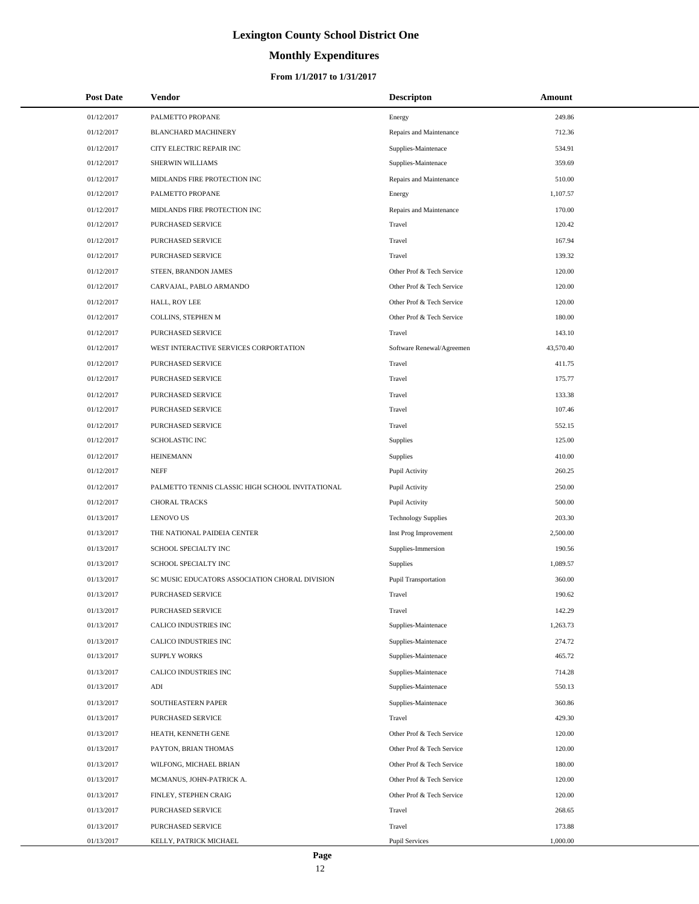# **Monthly Expenditures**

| <b>Post Date</b> | Vendor                                           | <b>Descripton</b>           | Amount    |
|------------------|--------------------------------------------------|-----------------------------|-----------|
| 01/12/2017       | PALMETTO PROPANE                                 | Energy                      | 249.86    |
| 01/12/2017       | <b>BLANCHARD MACHINERY</b>                       | Repairs and Maintenance     | 712.36    |
| 01/12/2017       | CITY ELECTRIC REPAIR INC                         | Supplies-Maintenace         | 534.91    |
| 01/12/2017       | SHERWIN WILLIAMS                                 | Supplies-Maintenace         | 359.69    |
| 01/12/2017       | MIDLANDS FIRE PROTECTION INC                     | Repairs and Maintenance     | 510.00    |
| 01/12/2017       | PALMETTO PROPANE                                 | Energy                      | 1,107.57  |
| 01/12/2017       | MIDLANDS FIRE PROTECTION INC                     | Repairs and Maintenance     | 170.00    |
| 01/12/2017       | <b>PURCHASED SERVICE</b>                         | Travel                      | 120.42    |
| 01/12/2017       | PURCHASED SERVICE                                | Travel                      | 167.94    |
| 01/12/2017       | PURCHASED SERVICE                                | Travel                      | 139.32    |
| 01/12/2017       | STEEN, BRANDON JAMES                             | Other Prof & Tech Service   | 120.00    |
| 01/12/2017       | CARVAJAL, PABLO ARMANDO                          | Other Prof & Tech Service   | 120.00    |
| 01/12/2017       | HALL, ROY LEE                                    | Other Prof & Tech Service   | 120.00    |
| 01/12/2017       | COLLINS, STEPHEN M                               | Other Prof & Tech Service   | 180.00    |
| 01/12/2017       | PURCHASED SERVICE                                | Travel                      | 143.10    |
| 01/12/2017       | WEST INTERACTIVE SERVICES CORPORTATION           | Software Renewal/Agreemen   | 43,570.40 |
| 01/12/2017       | PURCHASED SERVICE                                | Travel                      | 411.75    |
| 01/12/2017       | <b>PURCHASED SERVICE</b>                         | Travel                      | 175.77    |
| 01/12/2017       | PURCHASED SERVICE                                | Travel                      | 133.38    |
| 01/12/2017       | <b>PURCHASED SERVICE</b>                         | Travel                      | 107.46    |
| 01/12/2017       | PURCHASED SERVICE                                | Travel                      | 552.15    |
| 01/12/2017       | SCHOLASTIC INC                                   | <b>Supplies</b>             | 125.00    |
| 01/12/2017       | <b>HEINEMANN</b>                                 | <b>Supplies</b>             | 410.00    |
| 01/12/2017       | <b>NEFF</b>                                      | Pupil Activity              | 260.25    |
| 01/12/2017       | PALMETTO TENNIS CLASSIC HIGH SCHOOL INVITATIONAL | Pupil Activity              | 250.00    |
| 01/12/2017       | <b>CHORAL TRACKS</b>                             | Pupil Activity              | 500.00    |
| 01/13/2017       | <b>LENOVO US</b>                                 | <b>Technology Supplies</b>  | 203.30    |
| 01/13/2017       | THE NATIONAL PAIDEIA CENTER                      | Inst Prog Improvement       | 2,500.00  |
| 01/13/2017       | SCHOOL SPECIALTY INC                             | Supplies-Immersion          | 190.56    |
| 01/13/2017       | SCHOOL SPECIALTY INC                             | Supplies                    | 1,089.57  |
| 01/13/2017       | SC MUSIC EDUCATORS ASSOCIATION CHORAL DIVISION   | <b>Pupil Transportation</b> | 360.00    |
| 01/13/2017       | PURCHASED SERVICE                                | Travel                      | 190.62    |
| 01/13/2017       | PURCHASED SERVICE                                | Travel                      | 142.29    |
| 01/13/2017       | CALICO INDUSTRIES INC                            | Supplies-Maintenace         | 1,263.73  |
| 01/13/2017       | CALICO INDUSTRIES INC                            | Supplies-Maintenace         | 274.72    |
| 01/13/2017       | <b>SUPPLY WORKS</b>                              | Supplies-Maintenace         | 465.72    |
| 01/13/2017       | CALICO INDUSTRIES INC                            | Supplies-Maintenace         | 714.28    |
| 01/13/2017       | ADI                                              | Supplies-Maintenace         | 550.13    |
| 01/13/2017       | SOUTHEASTERN PAPER                               | Supplies-Maintenace         | 360.86    |
| 01/13/2017       | <b>PURCHASED SERVICE</b>                         | Travel                      | 429.30    |
| 01/13/2017       | HEATH, KENNETH GENE                              | Other Prof & Tech Service   | 120.00    |
| 01/13/2017       | PAYTON, BRIAN THOMAS                             | Other Prof & Tech Service   | 120.00    |
| 01/13/2017       | WILFONG, MICHAEL BRIAN                           | Other Prof & Tech Service   | 180.00    |
| 01/13/2017       | MCMANUS, JOHN-PATRICK A.                         | Other Prof & Tech Service   | 120.00    |
| 01/13/2017       | FINLEY, STEPHEN CRAIG                            | Other Prof & Tech Service   | 120.00    |
| 01/13/2017       | PURCHASED SERVICE                                | Travel                      | 268.65    |
| 01/13/2017       | PURCHASED SERVICE                                | Travel                      | 173.88    |
| 01/13/2017       | KELLY, PATRICK MICHAEL                           | <b>Pupil Services</b>       | 1,000.00  |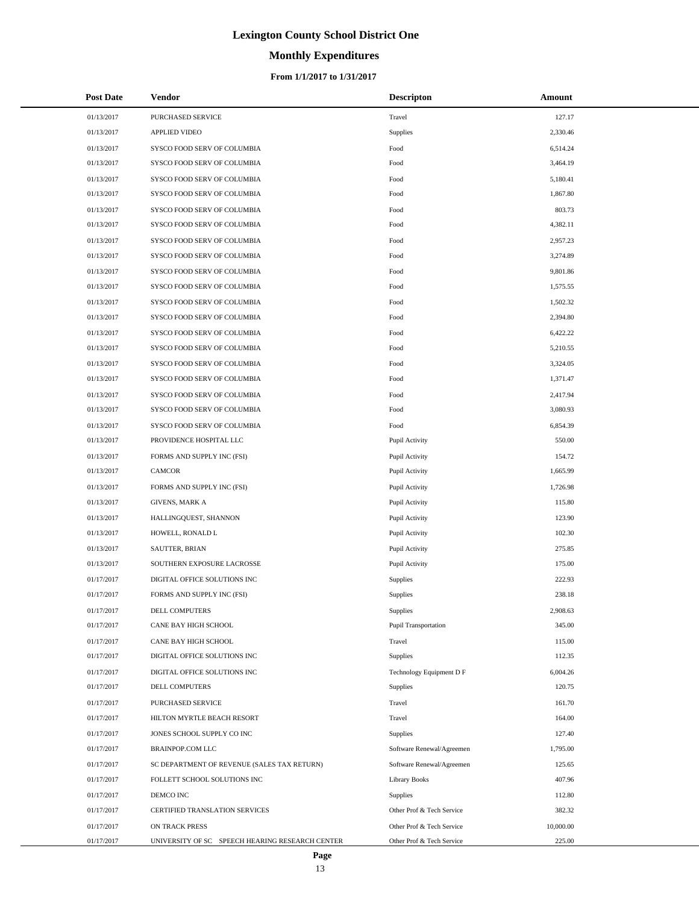# **Monthly Expenditures**

#### **From 1/1/2017 to 1/31/2017**

| <b>Post Date</b> | Vendor                                          | <b>Descripton</b>         | Amount    |
|------------------|-------------------------------------------------|---------------------------|-----------|
| 01/13/2017       | PURCHASED SERVICE                               | Travel                    | 127.17    |
| 01/13/2017       | <b>APPLIED VIDEO</b>                            | Supplies                  | 2,330.46  |
| 01/13/2017       | SYSCO FOOD SERV OF COLUMBIA                     | Food                      | 6,514.24  |
| 01/13/2017       | SYSCO FOOD SERV OF COLUMBIA                     | Food                      | 3,464.19  |
| 01/13/2017       | SYSCO FOOD SERV OF COLUMBIA                     | Food                      | 5,180.41  |
| 01/13/2017       | SYSCO FOOD SERV OF COLUMBIA                     | Food                      | 1,867.80  |
| 01/13/2017       | SYSCO FOOD SERV OF COLUMBIA                     | Food                      | 803.73    |
| 01/13/2017       | SYSCO FOOD SERV OF COLUMBIA                     | Food                      | 4,382.11  |
| 01/13/2017       | SYSCO FOOD SERV OF COLUMBIA                     | Food                      | 2,957.23  |
| 01/13/2017       | SYSCO FOOD SERV OF COLUMBIA                     | Food                      | 3,274.89  |
| 01/13/2017       | SYSCO FOOD SERV OF COLUMBIA                     | Food                      | 9,801.86  |
| 01/13/2017       | SYSCO FOOD SERV OF COLUMBIA                     | Food                      | 1,575.55  |
| 01/13/2017       | SYSCO FOOD SERV OF COLUMBIA                     | Food                      | 1,502.32  |
| 01/13/2017       | SYSCO FOOD SERV OF COLUMBIA                     | Food                      | 2,394.80  |
| 01/13/2017       | SYSCO FOOD SERV OF COLUMBIA                     | Food                      | 6,422.22  |
| 01/13/2017       | SYSCO FOOD SERV OF COLUMBIA                     | Food                      | 5,210.55  |
| 01/13/2017       | SYSCO FOOD SERV OF COLUMBIA                     | Food                      | 3,324.05  |
| 01/13/2017       | SYSCO FOOD SERV OF COLUMBIA                     | Food                      | 1,371.47  |
| 01/13/2017       | SYSCO FOOD SERV OF COLUMBIA                     | Food                      | 2,417.94  |
| 01/13/2017       | SYSCO FOOD SERV OF COLUMBIA                     | Food                      | 3,080.93  |
| 01/13/2017       | SYSCO FOOD SERV OF COLUMBIA                     | Food                      | 6,854.39  |
| 01/13/2017       | PROVIDENCE HOSPITAL LLC                         | Pupil Activity            | 550.00    |
| 01/13/2017       | FORMS AND SUPPLY INC (FSI)                      | Pupil Activity            | 154.72    |
| 01/13/2017       | <b>CAMCOR</b>                                   | Pupil Activity            | 1,665.99  |
| 01/13/2017       | FORMS AND SUPPLY INC (FSI)                      | Pupil Activity            | 1,726.98  |
| 01/13/2017       | <b>GIVENS, MARK A</b>                           | Pupil Activity            | 115.80    |
| 01/13/2017       | HALLINGQUEST, SHANNON                           | Pupil Activity            | 123.90    |
| 01/13/2017       | HOWELL, RONALD L                                | Pupil Activity            | 102.30    |
| 01/13/2017       | SAUTTER, BRIAN                                  | Pupil Activity            | 275.85    |
| 01/13/2017       | SOUTHERN EXPOSURE LACROSSE                      | Pupil Activity            | 175.00    |
| 01/17/2017       | DIGITAL OFFICE SOLUTIONS INC                    | <b>Supplies</b>           | 222.93    |
| 01/17/2017       | FORMS AND SUPPLY INC (FSI)                      | Supplies                  | 238.18    |
| 01/17/2017       | <b>DELL COMPUTERS</b>                           | Supplies                  | 2,908.63  |
| 01/17/2017       | CANE BAY HIGH SCHOOL                            | Pupil Transportation      | 345.00    |
| 01/17/2017       | CANE BAY HIGH SCHOOL                            | Travel                    | 115.00    |
| 01/17/2017       | DIGITAL OFFICE SOLUTIONS INC                    | Supplies                  | 112.35    |
| 01/17/2017       | DIGITAL OFFICE SOLUTIONS INC                    | Technology Equipment D F  | 6,004.26  |
| 01/17/2017       | DELL COMPUTERS                                  | Supplies                  | 120.75    |
| 01/17/2017       | PURCHASED SERVICE                               | Travel                    | 161.70    |
| 01/17/2017       | HILTON MYRTLE BEACH RESORT                      | Travel                    | 164.00    |
| 01/17/2017       | JONES SCHOOL SUPPLY CO INC                      | Supplies                  | 127.40    |
| 01/17/2017       | <b>BRAINPOP.COM LLC</b>                         | Software Renewal/Agreemen | 1,795.00  |
| 01/17/2017       | SC DEPARTMENT OF REVENUE (SALES TAX RETURN)     | Software Renewal/Agreemen | 125.65    |
| 01/17/2017       | FOLLETT SCHOOL SOLUTIONS INC                    | Library Books             | 407.96    |
| 01/17/2017       | DEMCO INC                                       | Supplies                  | 112.80    |
| 01/17/2017       | CERTIFIED TRANSLATION SERVICES                  | Other Prof & Tech Service | 382.32    |
| 01/17/2017       | ON TRACK PRESS                                  | Other Prof & Tech Service | 10,000.00 |
| 01/17/2017       | UNIVERSITY OF SC SPEECH HEARING RESEARCH CENTER | Other Prof & Tech Service | 225.00    |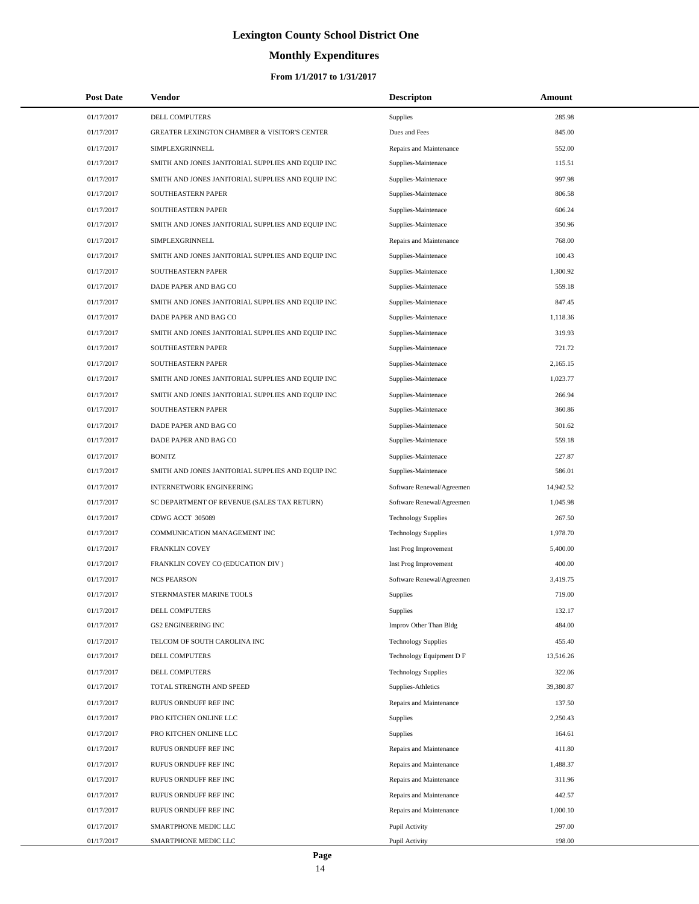# **Monthly Expenditures**

#### **From 1/1/2017 to 1/31/2017**

| <b>Post Date</b> | Vendor                                                  | <b>Descripton</b>          | Amount    |  |
|------------------|---------------------------------------------------------|----------------------------|-----------|--|
| 01/17/2017       | DELL COMPUTERS                                          | <b>Supplies</b>            | 285.98    |  |
| 01/17/2017       | <b>GREATER LEXINGTON CHAMBER &amp; VISITOR'S CENTER</b> | Dues and Fees              | 845.00    |  |
| 01/17/2017       | SIMPLEXGRINNELL                                         | Repairs and Maintenance    | 552.00    |  |
| 01/17/2017       | SMITH AND JONES JANITORIAL SUPPLIES AND EQUIP INC       | Supplies-Maintenace        | 115.51    |  |
| 01/17/2017       | SMITH AND JONES JANITORIAL SUPPLIES AND EQUIP INC       | Supplies-Maintenace        | 997.98    |  |
| 01/17/2017       | SOUTHEASTERN PAPER                                      | Supplies-Maintenace        | 806.58    |  |
| 01/17/2017       | SOUTHEASTERN PAPER                                      | Supplies-Maintenace        | 606.24    |  |
| 01/17/2017       | SMITH AND JONES JANITORIAL SUPPLIES AND EQUIP INC       | Supplies-Maintenace        | 350.96    |  |
| 01/17/2017       | SIMPLEXGRINNELL                                         | Repairs and Maintenance    | 768.00    |  |
| 01/17/2017       | SMITH AND JONES JANITORIAL SUPPLIES AND EQUIP INC       | Supplies-Maintenace        | 100.43    |  |
| 01/17/2017       | SOUTHEASTERN PAPER                                      | Supplies-Maintenace        | 1,300.92  |  |
| 01/17/2017       | DADE PAPER AND BAG CO                                   | Supplies-Maintenace        | 559.18    |  |
| 01/17/2017       | SMITH AND JONES JANITORIAL SUPPLIES AND EQUIP INC       | Supplies-Maintenace        | 847.45    |  |
| 01/17/2017       | DADE PAPER AND BAG CO                                   | Supplies-Maintenace        | 1,118.36  |  |
| 01/17/2017       | SMITH AND JONES JANITORIAL SUPPLIES AND EQUIP INC       | Supplies-Maintenace        | 319.93    |  |
| 01/17/2017       | SOUTHEASTERN PAPER                                      | Supplies-Maintenace        | 721.72    |  |
| 01/17/2017       | SOUTHEASTERN PAPER                                      | Supplies-Maintenace        | 2,165.15  |  |
| 01/17/2017       | SMITH AND JONES JANITORIAL SUPPLIES AND EQUIP INC       | Supplies-Maintenace        | 1,023.77  |  |
| 01/17/2017       | SMITH AND JONES JANITORIAL SUPPLIES AND EQUIP INC       | Supplies-Maintenace        | 266.94    |  |
| 01/17/2017       | SOUTHEASTERN PAPER                                      | Supplies-Maintenace        | 360.86    |  |
| 01/17/2017       | DADE PAPER AND BAG CO                                   | Supplies-Maintenace        | 501.62    |  |
| 01/17/2017       | DADE PAPER AND BAG CO                                   | Supplies-Maintenace        | 559.18    |  |
| 01/17/2017       | <b>BONITZ</b>                                           | Supplies-Maintenace        | 227.87    |  |
| 01/17/2017       | SMITH AND JONES JANITORIAL SUPPLIES AND EQUIP INC       | Supplies-Maintenace        | 586.01    |  |
| 01/17/2017       | <b>INTERNETWORK ENGINEERING</b>                         | Software Renewal/Agreemen  | 14,942.52 |  |
| 01/17/2017       | SC DEPARTMENT OF REVENUE (SALES TAX RETURN)             | Software Renewal/Agreemen  | 1,045.98  |  |
| 01/17/2017       | CDWG ACCT 305089                                        | <b>Technology Supplies</b> | 267.50    |  |
| 01/17/2017       | COMMUNICATION MANAGEMENT INC                            | <b>Technology Supplies</b> | 1,978.70  |  |
| 01/17/2017       | <b>FRANKLIN COVEY</b>                                   | Inst Prog Improvement      | 5,400.00  |  |
| 01/17/2017       | FRANKLIN COVEY CO (EDUCATION DIV)                       | Inst Prog Improvement      | 400.00    |  |
| 01/17/2017       | <b>NCS PEARSON</b>                                      | Software Renewal/Agreemen  | 3,419.75  |  |
| 01/17/2017       | STERNMASTER MARINE TOOLS                                | <b>Supplies</b>            | 719.00    |  |
| 01/17/2017       | DELL COMPUTERS                                          | <b>Supplies</b>            | 132.17    |  |
| 01/17/2017       | <b>GS2 ENGINEERING INC</b>                              | Improv Other Than Bldg     | 484.00    |  |
| 01/17/2017       | TELCOM OF SOUTH CAROLINA INC                            | <b>Technology Supplies</b> | 455.40    |  |
| 01/17/2017       | DELL COMPUTERS                                          | Technology Equipment D F   | 13,516.26 |  |
| 01/17/2017       | DELL COMPUTERS                                          | <b>Technology Supplies</b> | 322.06    |  |
| 01/17/2017       | TOTAL STRENGTH AND SPEED                                | Supplies-Athletics         | 39,380.87 |  |
| 01/17/2017       | RUFUS ORNDUFF REF INC                                   | Repairs and Maintenance    | 137.50    |  |
| 01/17/2017       | PRO KITCHEN ONLINE LLC                                  | Supplies                   | 2,250.43  |  |
| 01/17/2017       | PRO KITCHEN ONLINE LLC                                  | Supplies                   | 164.61    |  |
| 01/17/2017       | RUFUS ORNDUFF REF INC                                   | Repairs and Maintenance    | 411.80    |  |
| 01/17/2017       | RUFUS ORNDUFF REF INC                                   | Repairs and Maintenance    | 1,488.37  |  |
| 01/17/2017       | RUFUS ORNDUFF REF INC                                   | Repairs and Maintenance    | 311.96    |  |
| 01/17/2017       | RUFUS ORNDUFF REF INC                                   | Repairs and Maintenance    | 442.57    |  |
| 01/17/2017       | RUFUS ORNDUFF REF INC                                   | Repairs and Maintenance    | 1,000.10  |  |
| 01/17/2017       | SMARTPHONE MEDIC LLC                                    | Pupil Activity             | 297.00    |  |
| 01/17/2017       | SMARTPHONE MEDIC LLC                                    | Pupil Activity             | 198.00    |  |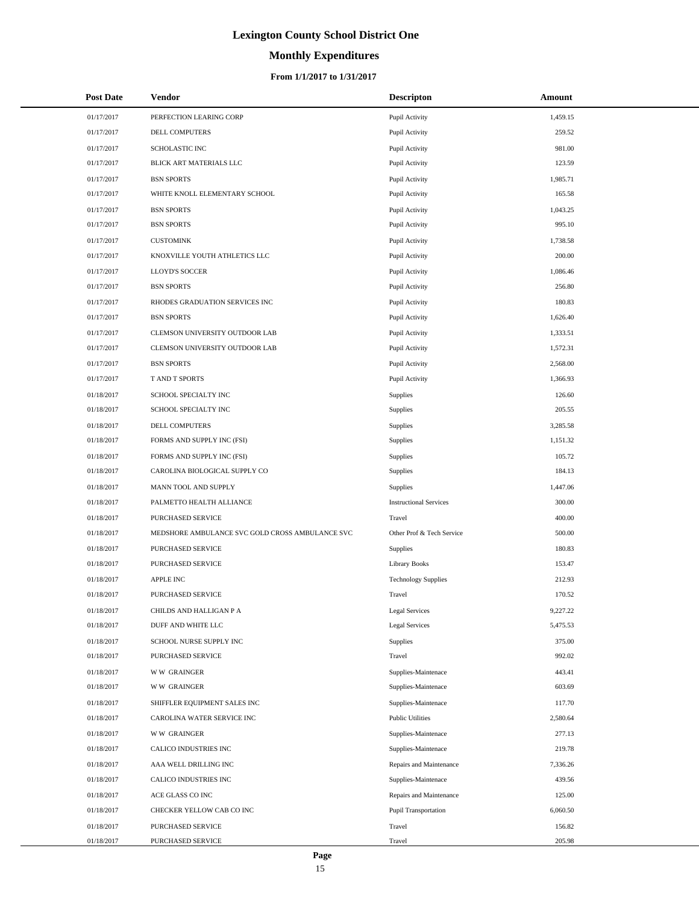# **Monthly Expenditures**

| <b>Post Date</b> | Vendor                                          | <b>Descripton</b>             | Amount   |
|------------------|-------------------------------------------------|-------------------------------|----------|
| 01/17/2017       | PERFECTION LEARING CORP                         | Pupil Activity                | 1,459.15 |
| 01/17/2017       | DELL COMPUTERS                                  | Pupil Activity                | 259.52   |
| 01/17/2017       | <b>SCHOLASTIC INC</b>                           | Pupil Activity                | 981.00   |
| 01/17/2017       | BLICK ART MATERIALS LLC                         | Pupil Activity                | 123.59   |
| 01/17/2017       | <b>BSN SPORTS</b>                               | Pupil Activity                | 1,985.71 |
| 01/17/2017       | WHITE KNOLL ELEMENTARY SCHOOL                   | Pupil Activity                | 165.58   |
| 01/17/2017       | <b>BSN SPORTS</b>                               | Pupil Activity                | 1,043.25 |
| 01/17/2017       | <b>BSN SPORTS</b>                               | Pupil Activity                | 995.10   |
| 01/17/2017       | <b>CUSTOMINK</b>                                | Pupil Activity                | 1,738.58 |
| 01/17/2017       | KNOXVILLE YOUTH ATHLETICS LLC                   | Pupil Activity                | 200.00   |
| 01/17/2017       | LLOYD'S SOCCER                                  | Pupil Activity                | 1,086.46 |
| 01/17/2017       | <b>BSN SPORTS</b>                               | Pupil Activity                | 256.80   |
| 01/17/2017       | RHODES GRADUATION SERVICES INC                  | Pupil Activity                | 180.83   |
| 01/17/2017       | <b>BSN SPORTS</b>                               | Pupil Activity                | 1,626.40 |
| 01/17/2017       | CLEMSON UNIVERSITY OUTDOOR LAB                  | Pupil Activity                | 1,333.51 |
| 01/17/2017       | CLEMSON UNIVERSITY OUTDOOR LAB                  | Pupil Activity                | 1,572.31 |
| 01/17/2017       | <b>BSN SPORTS</b>                               | Pupil Activity                | 2,568.00 |
| 01/17/2017       | T AND T SPORTS                                  | Pupil Activity                | 1,366.93 |
| 01/18/2017       | SCHOOL SPECIALTY INC                            | <b>Supplies</b>               | 126.60   |
| 01/18/2017       | SCHOOL SPECIALTY INC                            | Supplies                      | 205.55   |
| 01/18/2017       | DELL COMPUTERS                                  | <b>Supplies</b>               | 3,285.58 |
| 01/18/2017       | FORMS AND SUPPLY INC (FSI)                      | Supplies                      | 1,151.32 |
| 01/18/2017       | FORMS AND SUPPLY INC (FSI)                      | <b>Supplies</b>               | 105.72   |
| 01/18/2017       | CAROLINA BIOLOGICAL SUPPLY CO                   | Supplies                      | 184.13   |
| 01/18/2017       | MANN TOOL AND SUPPLY                            | <b>Supplies</b>               | 1,447.06 |
| 01/18/2017       | PALMETTO HEALTH ALLIANCE                        | <b>Instructional Services</b> | 300.00   |
| 01/18/2017       | PURCHASED SERVICE                               | Travel                        | 400.00   |
| 01/18/2017       | MEDSHORE AMBULANCE SVC GOLD CROSS AMBULANCE SVC | Other Prof & Tech Service     | 500.00   |
| 01/18/2017       | PURCHASED SERVICE                               | Supplies                      | 180.83   |
| 01/18/2017       | <b>PURCHASED SERVICE</b>                        | <b>Library Books</b>          | 153.47   |
| 01/18/2017       | <b>APPLE INC</b>                                | <b>Technology Supplies</b>    | 212.93   |
| 01/18/2017       | PURCHASED SERVICE                               | Travel                        | 170.52   |
| 01/18/2017       | CHILDS AND HALLIGAN P A                         | Legal Services                | 9,227.22 |
| 01/18/2017       | DUFF AND WHITE LLC                              | <b>Legal Services</b>         | 5,475.53 |
| 01/18/2017       | SCHOOL NURSE SUPPLY INC                         | <b>Supplies</b>               | 375.00   |
| 01/18/2017       | PURCHASED SERVICE                               | Travel                        | 992.02   |
| 01/18/2017       | <b>WW GRAINGER</b>                              | Supplies-Maintenace           | 443.41   |
| 01/18/2017       | <b>WW GRAINGER</b>                              | Supplies-Maintenace           | 603.69   |
| 01/18/2017       | SHIFFLER EQUIPMENT SALES INC                    | Supplies-Maintenace           | 117.70   |
| 01/18/2017       | CAROLINA WATER SERVICE INC                      | <b>Public Utilities</b>       | 2,580.64 |
| 01/18/2017       | <b>WW GRAINGER</b>                              | Supplies-Maintenace           | 277.13   |
| 01/18/2017       | CALICO INDUSTRIES INC                           | Supplies-Maintenace           | 219.78   |
| 01/18/2017       | AAA WELL DRILLING INC                           | Repairs and Maintenance       | 7,336.26 |
| 01/18/2017       | CALICO INDUSTRIES INC                           | Supplies-Maintenace           | 439.56   |
| 01/18/2017       | ACE GLASS CO INC                                | Repairs and Maintenance       | 125.00   |
| 01/18/2017       | CHECKER YELLOW CAB CO INC                       | Pupil Transportation          | 6,060.50 |
| 01/18/2017       | PURCHASED SERVICE                               | Travel                        | 156.82   |
| 01/18/2017       | PURCHASED SERVICE                               | Travel                        | 205.98   |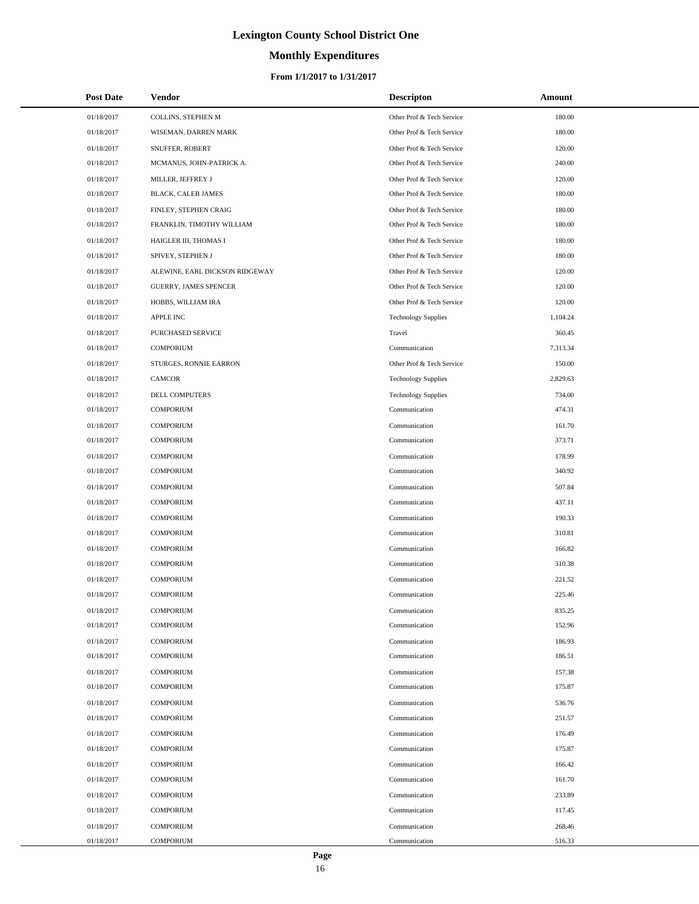# **Monthly Expenditures**

#### **From 1/1/2017 to 1/31/2017**

| <b>Post Date</b> | <b>Vendor</b>                  | <b>Descripton</b>          | Amount   |
|------------------|--------------------------------|----------------------------|----------|
| 01/18/2017       | COLLINS, STEPHEN M             | Other Prof & Tech Service  | 180.00   |
| 01/18/2017       | WISEMAN, DARREN MARK           | Other Prof & Tech Service  | 180.00   |
| 01/18/2017       | SNUFFER, ROBERT                | Other Prof & Tech Service  | 120.00   |
| 01/18/2017       | MCMANUS, JOHN-PATRICK A.       | Other Prof & Tech Service  | 240.00   |
| 01/18/2017       | MILLER, JEFFREY J              | Other Prof & Tech Service  | 120.00   |
| 01/18/2017       | BLACK, CALEB JAMES             | Other Prof & Tech Service  | 180.00   |
| 01/18/2017       | FINLEY, STEPHEN CRAIG          | Other Prof & Tech Service  | 180.00   |
| 01/18/2017       | FRANKLIN, TIMOTHY WILLIAM      | Other Prof & Tech Service  | 180.00   |
| 01/18/2017       | HAIGLER III, THOMAS I          | Other Prof & Tech Service  | 180.00   |
| 01/18/2017       | SPIVEY, STEPHEN J              | Other Prof & Tech Service  | 180.00   |
| 01/18/2017       | ALEWINE, EARL DICKSON RIDGEWAY | Other Prof & Tech Service  | 120.00   |
| 01/18/2017       | <b>GUERRY, JAMES SPENCER</b>   | Other Prof & Tech Service  | 120.00   |
| 01/18/2017       | HOBBS, WILLIAM IRA             | Other Prof & Tech Service  | 120.00   |
| 01/18/2017       | APPLE INC                      | <b>Technology Supplies</b> | 1,104.24 |
| 01/18/2017       | PURCHASED SERVICE              | Travel                     | 360.45   |
| 01/18/2017       | <b>COMPORIUM</b>               | Communication              | 7,313.34 |
| 01/18/2017       | STURGES, RONNIE EARRON         | Other Prof & Tech Service  | 150.00   |
| 01/18/2017       | CAMCOR                         | <b>Technology Supplies</b> | 2,829.63 |
| 01/18/2017       | <b>DELL COMPUTERS</b>          | <b>Technology Supplies</b> | 734.00   |
| 01/18/2017       | <b>COMPORIUM</b>               | Communication              | 474.31   |
| 01/18/2017       | <b>COMPORIUM</b>               | Communication              | 161.70   |
| 01/18/2017       | <b>COMPORIUM</b>               | Communication              | 373.71   |
| 01/18/2017       | <b>COMPORIUM</b>               | Communication              | 178.99   |
| 01/18/2017       | <b>COMPORIUM</b>               | Communication              | 340.92   |
| 01/18/2017       | <b>COMPORIUM</b>               | Communication              | 507.84   |
| 01/18/2017       | <b>COMPORIUM</b>               | Communication              | 437.11   |
| 01/18/2017       | <b>COMPORIUM</b>               | Communication              | 190.33   |
| 01/18/2017       | <b>COMPORIUM</b>               | Communication              | 310.81   |
| 01/18/2017       | <b>COMPORIUM</b>               | Communication              | 166.82   |
| 01/18/2017       | <b>COMPORIUM</b>               | Communication              | 310.38   |
| 01/18/2017       | <b>COMPORIUM</b>               | Communication              | 221.52   |
| 01/18/2017       | <b>COMPORIUM</b>               | Communication              | 225.46   |
| 01/18/2017       | <b>COMPORIUM</b>               | Communication              | 835.25   |
| 01/18/2017       | <b>COMPORIUM</b>               | Communication              | 152.96   |
| 01/18/2017       | <b>COMPORIUM</b>               | Communication              | 186.93   |
| 01/18/2017       | <b>COMPORIUM</b>               | Communication              | 186.51   |
| 01/18/2017       | <b>COMPORIUM</b>               | Communication              | 157.38   |
| 01/18/2017       | <b>COMPORIUM</b>               | Communication              | 175.87   |
| 01/18/2017       | <b>COMPORIUM</b>               | Communication              | 536.76   |
| 01/18/2017       | <b>COMPORIUM</b>               | Communication              | 251.57   |
| 01/18/2017       | <b>COMPORIUM</b>               | Communication              | 176.49   |
| 01/18/2017       | <b>COMPORIUM</b>               | Communication              | 175.87   |
| 01/18/2017       | <b>COMPORIUM</b>               | Communication              | 166.42   |
| 01/18/2017       | <b>COMPORIUM</b>               | Communication              | 161.70   |
| 01/18/2017       | <b>COMPORIUM</b>               | Communication              | 233.89   |
| 01/18/2017       | <b>COMPORIUM</b>               | Communication              | 117.45   |
| 01/18/2017       | <b>COMPORIUM</b>               | Communication              | 268.46   |
| 01/18/2017       | <b>COMPORIUM</b>               | Communication              | 516.33   |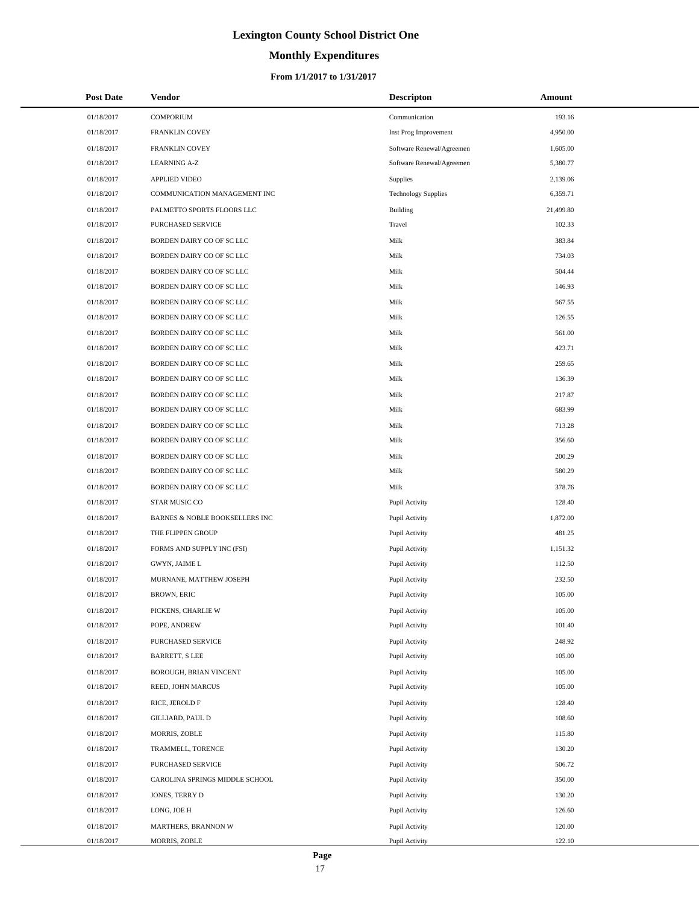# **Monthly Expenditures**

| <b>Post Date</b> | Vendor                         | <b>Descripton</b>          | Amount    |
|------------------|--------------------------------|----------------------------|-----------|
| 01/18/2017       | <b>COMPORIUM</b>               | Communication              | 193.16    |
| 01/18/2017       | FRANKLIN COVEY                 | Inst Prog Improvement      | 4,950.00  |
| 01/18/2017       | FRANKLIN COVEY                 | Software Renewal/Agreemen  | 1,605.00  |
| 01/18/2017       | <b>LEARNING A-Z</b>            | Software Renewal/Agreemen  | 5,380.77  |
| 01/18/2017       | <b>APPLIED VIDEO</b>           | Supplies                   | 2,139.06  |
| 01/18/2017       | COMMUNICATION MANAGEMENT INC   | <b>Technology Supplies</b> | 6,359.71  |
| 01/18/2017       | PALMETTO SPORTS FLOORS LLC     | Building                   | 21,499.80 |
| 01/18/2017       | PURCHASED SERVICE              | Travel                     | 102.33    |
| 01/18/2017       | BORDEN DAIRY CO OF SC LLC      | Milk                       | 383.84    |
| 01/18/2017       | BORDEN DAIRY CO OF SC LLC      | Milk                       | 734.03    |
| 01/18/2017       | BORDEN DAIRY CO OF SC LLC      | Milk                       | 504.44    |
| 01/18/2017       | BORDEN DAIRY CO OF SC LLC      | Milk                       | 146.93    |
| 01/18/2017       | BORDEN DAIRY CO OF SC LLC      | Milk                       | 567.55    |
| 01/18/2017       | BORDEN DAIRY CO OF SC LLC      | Milk                       | 126.55    |
| 01/18/2017       | BORDEN DAIRY CO OF SC LLC      | Milk                       | 561.00    |
| 01/18/2017       | BORDEN DAIRY CO OF SC LLC      | Milk                       | 423.71    |
| 01/18/2017       | BORDEN DAIRY CO OF SC LLC      | Milk                       | 259.65    |
| 01/18/2017       | BORDEN DAIRY CO OF SC LLC      | Milk                       | 136.39    |
| 01/18/2017       | BORDEN DAIRY CO OF SC LLC      | Milk                       | 217.87    |
| 01/18/2017       | BORDEN DAIRY CO OF SC LLC      | Milk                       | 683.99    |
| 01/18/2017       | BORDEN DAIRY CO OF SC LLC      | Milk                       | 713.28    |
| 01/18/2017       | BORDEN DAIRY CO OF SC LLC      | Milk                       | 356.60    |
| 01/18/2017       | BORDEN DAIRY CO OF SC LLC      | Milk                       | 200.29    |
| 01/18/2017       | BORDEN DAIRY CO OF SC LLC      | Milk                       | 580.29    |
| 01/18/2017       | BORDEN DAIRY CO OF SC LLC      | Milk                       | 378.76    |
| 01/18/2017       | STAR MUSIC CO                  | Pupil Activity             | 128.40    |
| 01/18/2017       | BARNES & NOBLE BOOKSELLERS INC | Pupil Activity             | 1,872.00  |
| 01/18/2017       | THE FLIPPEN GROUP              | Pupil Activity             | 481.25    |
| 01/18/2017       | FORMS AND SUPPLY INC (FSI)     | Pupil Activity             | 1,151.32  |
| 01/18/2017       | <b>GWYN, JAIME L</b>           | Pupil Activity             | 112.50    |
| 01/18/2017       | MURNANE, MATTHEW JOSEPH        | Pupil Activity             | 232.50    |
| 01/18/2017       | <b>BROWN, ERIC</b>             | Pupil Activity             | 105.00    |
| 01/18/2017       | PICKENS, CHARLIE W             | Pupil Activity             | 105.00    |
| 01/18/2017       | POPE, ANDREW                   | Pupil Activity             | 101.40    |
| 01/18/2017       | PURCHASED SERVICE              | Pupil Activity             | 248.92    |
| 01/18/2017       | <b>BARRETT, S LEE</b>          | Pupil Activity             | 105.00    |
| 01/18/2017       | BOROUGH, BRIAN VINCENT         | Pupil Activity             | 105.00    |
| 01/18/2017       | REED, JOHN MARCUS              | Pupil Activity             | 105.00    |
| 01/18/2017       | RICE, JEROLD F                 | Pupil Activity             | 128.40    |
| 01/18/2017       | GILLIARD, PAUL D               | Pupil Activity             | 108.60    |
| 01/18/2017       | MORRIS, ZOBLE                  | Pupil Activity             | 115.80    |
| 01/18/2017       | TRAMMELL, TORENCE              | Pupil Activity             | 130.20    |
| 01/18/2017       | PURCHASED SERVICE              | Pupil Activity             | 506.72    |
| 01/18/2017       | CAROLINA SPRINGS MIDDLE SCHOOL | Pupil Activity             | 350.00    |
| 01/18/2017       | JONES, TERRY D                 | Pupil Activity             | 130.20    |
| 01/18/2017       | LONG, JOE H                    | Pupil Activity             | 126.60    |
| 01/18/2017       | MARTHERS, BRANNON W            | Pupil Activity             | 120.00    |
| 01/18/2017       | MORRIS, ZOBLE                  | Pupil Activity             | 122.10    |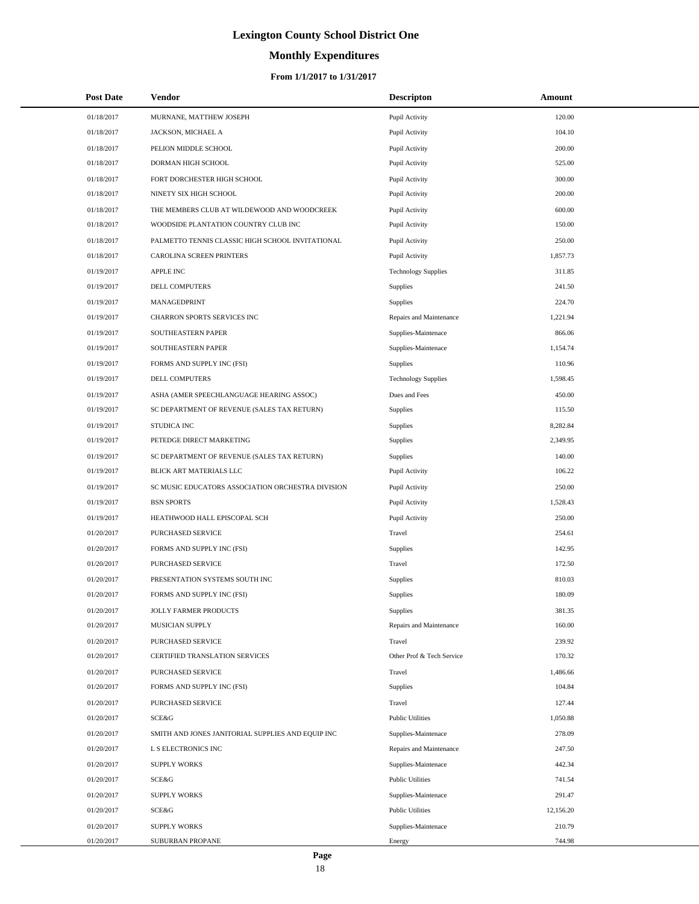# **Monthly Expenditures**

#### **From 1/1/2017 to 1/31/2017**

| <b>Post Date</b> | Vendor                                            | <b>Descripton</b>          | Amount    |
|------------------|---------------------------------------------------|----------------------------|-----------|
| 01/18/2017       | MURNANE, MATTHEW JOSEPH                           | Pupil Activity             | 120.00    |
| 01/18/2017       | JACKSON, MICHAEL A                                | Pupil Activity             | 104.10    |
| 01/18/2017       | PELION MIDDLE SCHOOL                              | Pupil Activity             | 200.00    |
| 01/18/2017       | DORMAN HIGH SCHOOL                                | Pupil Activity             | 525.00    |
| 01/18/2017       | FORT DORCHESTER HIGH SCHOOL                       | Pupil Activity             | 300.00    |
| 01/18/2017       | NINETY SIX HIGH SCHOOL                            | Pupil Activity             | 200.00    |
| 01/18/2017       | THE MEMBERS CLUB AT WILDEWOOD AND WOODCREEK       | Pupil Activity             | 600.00    |
| 01/18/2017       | WOODSIDE PLANTATION COUNTRY CLUB INC              | Pupil Activity             | 150.00    |
| 01/18/2017       | PALMETTO TENNIS CLASSIC HIGH SCHOOL INVITATIONAL  | Pupil Activity             | 250.00    |
| 01/18/2017       | CAROLINA SCREEN PRINTERS                          | Pupil Activity             | 1,857.73  |
| 01/19/2017       | <b>APPLE INC</b>                                  | <b>Technology Supplies</b> | 311.85    |
| 01/19/2017       | DELL COMPUTERS                                    | Supplies                   | 241.50    |
| 01/19/2017       | MANAGEDPRINT                                      | Supplies                   | 224.70    |
| 01/19/2017       | CHARRON SPORTS SERVICES INC                       | Repairs and Maintenance    | 1,221.94  |
| 01/19/2017       | SOUTHEASTERN PAPER                                | Supplies-Maintenace        | 866.06    |
| 01/19/2017       | SOUTHEASTERN PAPER                                | Supplies-Maintenace        | 1,154.74  |
| 01/19/2017       | FORMS AND SUPPLY INC (FSI)                        | <b>Supplies</b>            | 110.96    |
| 01/19/2017       | DELL COMPUTERS                                    | <b>Technology Supplies</b> | 1,598.45  |
| 01/19/2017       | ASHA (AMER SPEECHLANGUAGE HEARING ASSOC)          | Dues and Fees              | 450.00    |
| 01/19/2017       | SC DEPARTMENT OF REVENUE (SALES TAX RETURN)       | Supplies                   | 115.50    |
| 01/19/2017       | STUDICA INC                                       | Supplies                   | 8,282.84  |
| 01/19/2017       | PETEDGE DIRECT MARKETING                          | Supplies                   | 2,349.95  |
| 01/19/2017       | SC DEPARTMENT OF REVENUE (SALES TAX RETURN)       | Supplies                   | 140.00    |
| 01/19/2017       | BLICK ART MATERIALS LLC                           | Pupil Activity             | 106.22    |
| 01/19/2017       | SC MUSIC EDUCATORS ASSOCIATION ORCHESTRA DIVISION | Pupil Activity             | 250.00    |
| 01/19/2017       | <b>BSN SPORTS</b>                                 | Pupil Activity             | 1,528.43  |
| 01/19/2017       | HEATHWOOD HALL EPISCOPAL SCH                      | Pupil Activity             | 250.00    |
| 01/20/2017       | PURCHASED SERVICE                                 | Travel                     | 254.61    |
| 01/20/2017       | FORMS AND SUPPLY INC (FSI)                        | Supplies                   | 142.95    |
| 01/20/2017       | PURCHASED SERVICE                                 | Travel                     | 172.50    |
| 01/20/2017       | PRESENTATION SYSTEMS SOUTH INC                    | Supplies                   | 810.03    |
| 01/20/2017       | FORMS AND SUPPLY INC (FSI)                        | Supplies                   | 180.09    |
| 01/20/2017       | JOLLY FARMER PRODUCTS                             | Supplies                   | 381.35    |
| 01/20/2017       | MUSICIAN SUPPLY                                   | Repairs and Maintenance    | 160.00    |
| 01/20/2017       | PURCHASED SERVICE                                 | Travel                     | 239.92    |
| 01/20/2017       | CERTIFIED TRANSLATION SERVICES                    | Other Prof & Tech Service  | 170.32    |
| 01/20/2017       | PURCHASED SERVICE                                 | Travel                     | 1,486.66  |
| 01/20/2017       | FORMS AND SUPPLY INC (FSI)                        | Supplies                   | 104.84    |
| 01/20/2017       | PURCHASED SERVICE                                 | Travel                     | 127.44    |
| 01/20/2017       | <b>SCE&amp;G</b>                                  | <b>Public Utilities</b>    | 1,050.88  |
| 01/20/2017       | SMITH AND JONES JANITORIAL SUPPLIES AND EQUIP INC | Supplies-Maintenace        | 278.09    |
| 01/20/2017       | L S ELECTRONICS INC                               | Repairs and Maintenance    | 247.50    |
| 01/20/2017       | <b>SUPPLY WORKS</b>                               | Supplies-Maintenace        | 442.34    |
| 01/20/2017       | SCE&G                                             | <b>Public Utilities</b>    | 741.54    |
| 01/20/2017       | <b>SUPPLY WORKS</b>                               | Supplies-Maintenace        | 291.47    |
| 01/20/2017       | SCE&G                                             | <b>Public Utilities</b>    | 12,156.20 |
| 01/20/2017       | <b>SUPPLY WORKS</b>                               | Supplies-Maintenace        | 210.79    |
| 01/20/2017       | SUBURBAN PROPANE                                  | Energy                     | 744.98    |

L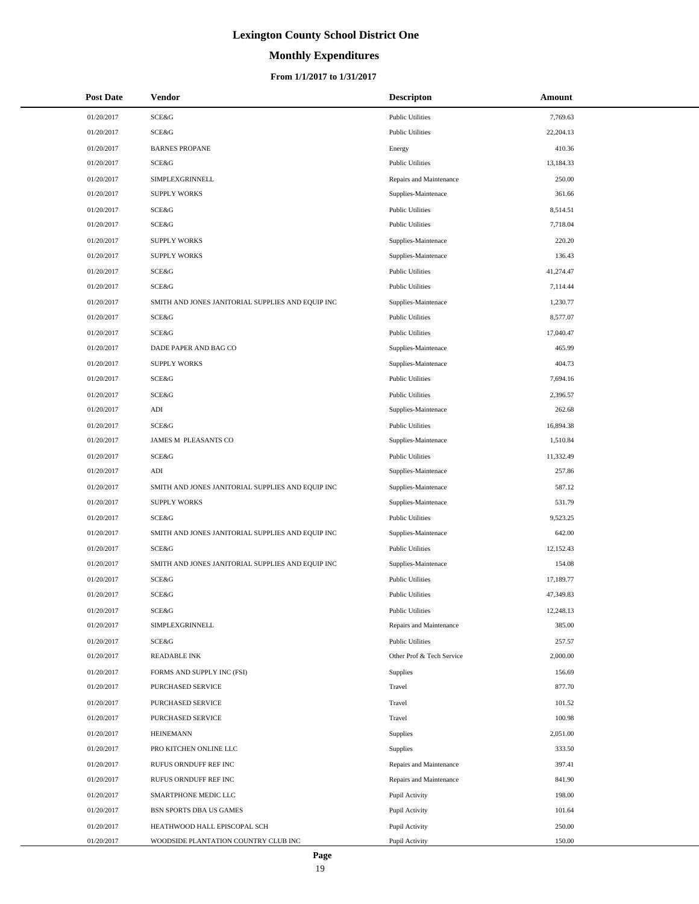# **Monthly Expenditures**

#### **From 1/1/2017 to 1/31/2017**

| <b>Post Date</b> | Vendor                                            | <b>Descripton</b>         | Amount    |
|------------------|---------------------------------------------------|---------------------------|-----------|
| 01/20/2017       | <b>SCE&amp;G</b>                                  | <b>Public Utilities</b>   | 7,769.63  |
| 01/20/2017       | SCE&G                                             | <b>Public Utilities</b>   | 22,204.13 |
| 01/20/2017       | <b>BARNES PROPANE</b>                             | Energy                    | 410.36    |
| 01/20/2017       | SCE&G                                             | <b>Public Utilities</b>   | 13,184.33 |
| 01/20/2017       | SIMPLEXGRINNELL                                   | Repairs and Maintenance   | 250.00    |
| 01/20/2017       | <b>SUPPLY WORKS</b>                               | Supplies-Maintenace       | 361.66    |
| 01/20/2017       | SCE&G                                             | <b>Public Utilities</b>   | 8,514.51  |
| 01/20/2017       | <b>SCE&amp;G</b>                                  | <b>Public Utilities</b>   | 7,718.04  |
| 01/20/2017       | <b>SUPPLY WORKS</b>                               | Supplies-Maintenace       | 220.20    |
| 01/20/2017       | <b>SUPPLY WORKS</b>                               | Supplies-Maintenace       | 136.43    |
| 01/20/2017       | <b>SCE&amp;G</b>                                  | <b>Public Utilities</b>   | 41,274.47 |
| 01/20/2017       | <b>SCE&amp;G</b>                                  | <b>Public Utilities</b>   | 7,114.44  |
| 01/20/2017       | SMITH AND JONES JANITORIAL SUPPLIES AND EQUIP INC | Supplies-Maintenace       | 1,230.77  |
| 01/20/2017       | SCE&G                                             | <b>Public Utilities</b>   | 8,577.07  |
| 01/20/2017       | <b>SCE&amp;G</b>                                  | <b>Public Utilities</b>   | 17,040.47 |
| 01/20/2017       | DADE PAPER AND BAG CO                             | Supplies-Maintenace       | 465.99    |
| 01/20/2017       | <b>SUPPLY WORKS</b>                               | Supplies-Maintenace       | 404.73    |
| 01/20/2017       | <b>SCE&amp;G</b>                                  | <b>Public Utilities</b>   | 7,694.16  |
| 01/20/2017       | <b>SCE&amp;G</b>                                  | <b>Public Utilities</b>   | 2,396.57  |
| 01/20/2017       | ADI                                               | Supplies-Maintenace       | 262.68    |
| 01/20/2017       | <b>SCE&amp;G</b>                                  | <b>Public Utilities</b>   | 16,894.38 |
| 01/20/2017       | JAMES M PLEASANTS CO                              | Supplies-Maintenace       | 1,510.84  |
| 01/20/2017       | <b>SCE&amp;G</b>                                  | <b>Public Utilities</b>   | 11,332.49 |
| 01/20/2017       | ADI                                               | Supplies-Maintenace       | 257.86    |
| 01/20/2017       | SMITH AND JONES JANITORIAL SUPPLIES AND EQUIP INC | Supplies-Maintenace       | 587.12    |
| 01/20/2017       | <b>SUPPLY WORKS</b>                               | Supplies-Maintenace       | 531.79    |
| 01/20/2017       | SCE&G                                             | <b>Public Utilities</b>   | 9,523.25  |
| 01/20/2017       | SMITH AND JONES JANITORIAL SUPPLIES AND EQUIP INC | Supplies-Maintenace       | 642.00    |
| 01/20/2017       | <b>SCE&amp;G</b>                                  | <b>Public Utilities</b>   | 12,152.43 |
| 01/20/2017       | SMITH AND JONES JANITORIAL SUPPLIES AND EQUIP INC | Supplies-Maintenace       | 154.08    |
| 01/20/2017       | <b>SCE&amp;G</b>                                  | <b>Public Utilities</b>   | 17,189.77 |
| 01/20/2017       | <b>SCE&amp;G</b>                                  | <b>Public Utilities</b>   | 47,349.83 |
| 01/20/2017       | <b>SCE&amp;G</b>                                  | <b>Public Utilities</b>   | 12,248.13 |
| 01/20/2017       | SIMPLEXGRINNELL                                   | Repairs and Maintenance   | 385.00    |
| 01/20/2017       | SCE&G                                             | <b>Public Utilities</b>   | 257.57    |
| 01/20/2017       | <b>READABLE INK</b>                               | Other Prof & Tech Service | 2,000.00  |
| 01/20/2017       | FORMS AND SUPPLY INC (FSI)                        | Supplies                  | 156.69    |
| 01/20/2017       | PURCHASED SERVICE                                 | Travel                    | 877.70    |
| 01/20/2017       | PURCHASED SERVICE                                 | Travel                    | 101.52    |
| 01/20/2017       | PURCHASED SERVICE                                 | Travel                    | 100.98    |
| 01/20/2017       | <b>HEINEMANN</b>                                  | Supplies                  | 2,051.00  |
| 01/20/2017       | PRO KITCHEN ONLINE LLC                            | Supplies                  | 333.50    |
| 01/20/2017       | RUFUS ORNDUFF REF INC                             | Repairs and Maintenance   | 397.41    |
| 01/20/2017       | RUFUS ORNDUFF REF INC                             | Repairs and Maintenance   | 841.90    |
| 01/20/2017       | SMARTPHONE MEDIC LLC                              | Pupil Activity            | 198.00    |
| 01/20/2017       | BSN SPORTS DBA US GAMES                           | Pupil Activity            | 101.64    |
| 01/20/2017       | HEATHWOOD HALL EPISCOPAL SCH                      | Pupil Activity            | 250.00    |
| 01/20/2017       | WOODSIDE PLANTATION COUNTRY CLUB INC              | Pupil Activity            | 150.00    |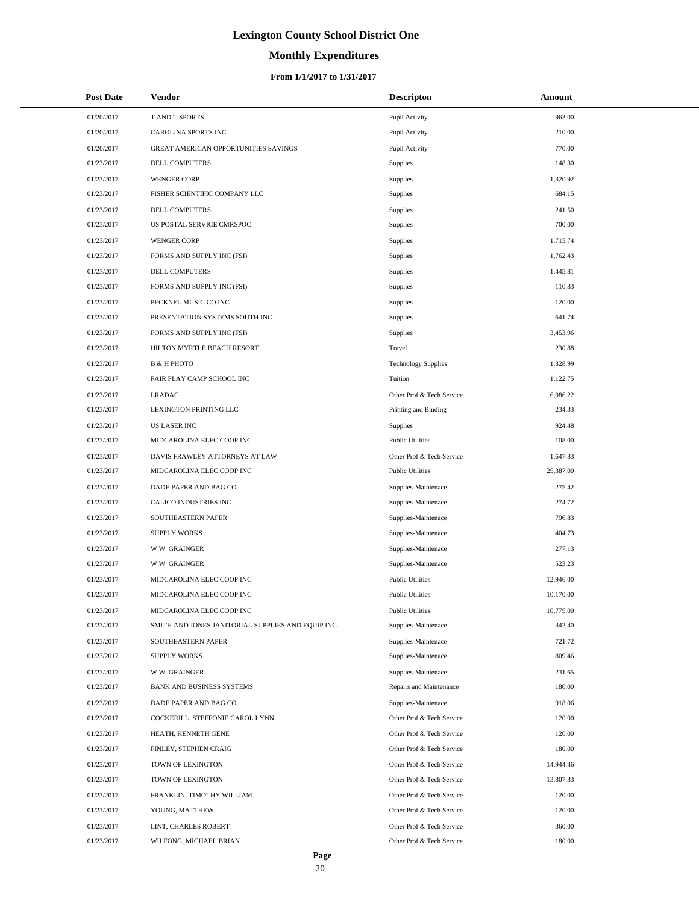# **Monthly Expenditures**

| <b>Post Date</b> | Vendor                                            | <b>Descripton</b>          | Amount    |
|------------------|---------------------------------------------------|----------------------------|-----------|
| 01/20/2017       | T AND T SPORTS                                    | Pupil Activity             | 963.00    |
| 01/20/2017       | CAROLINA SPORTS INC                               | Pupil Activity             | 210.00    |
| 01/20/2017       | GREAT AMERICAN OPPORTUNITIES SAVINGS              | Pupil Activity             | 770.00    |
| 01/23/2017       | DELL COMPUTERS                                    | Supplies                   | 148.30    |
| 01/23/2017       | <b>WENGER CORP</b>                                | Supplies                   | 1,320.92  |
| 01/23/2017       | FISHER SCIENTIFIC COMPANY LLC                     | Supplies                   | 684.15    |
| 01/23/2017       | DELL COMPUTERS                                    | Supplies                   | 241.50    |
| 01/23/2017       | US POSTAL SERVICE CMRSPOC                         | Supplies                   | 700.00    |
| 01/23/2017       | <b>WENGER CORP</b>                                | Supplies                   | 1,715.74  |
| 01/23/2017       | FORMS AND SUPPLY INC (FSI)                        | Supplies                   | 1,762.43  |
| 01/23/2017       | DELL COMPUTERS                                    | Supplies                   | 1,445.81  |
| 01/23/2017       | FORMS AND SUPPLY INC (FSI)                        | Supplies                   | 110.83    |
| 01/23/2017       | PECKNEL MUSIC CO INC                              | Supplies                   | 120.00    |
| 01/23/2017       | PRESENTATION SYSTEMS SOUTH INC                    | Supplies                   | 641.74    |
| 01/23/2017       | FORMS AND SUPPLY INC (FSI)                        | Supplies                   | 3,453.96  |
| 01/23/2017       | HILTON MYRTLE BEACH RESORT                        | Travel                     | 230.88    |
| 01/23/2017       | <b>B &amp; H PHOTO</b>                            | <b>Technology Supplies</b> | 1,328.99  |
| 01/23/2017       | FAIR PLAY CAMP SCHOOL INC                         | Tuition                    | 1,122.75  |
| 01/23/2017       | <b>LRADAC</b>                                     | Other Prof & Tech Service  | 6,086.22  |
| 01/23/2017       | LEXINGTON PRINTING LLC                            | Printing and Binding       | 234.33    |
| 01/23/2017       | <b>US LASER INC</b>                               | Supplies                   | 924.48    |
| 01/23/2017       | MIDCAROLINA ELEC COOP INC                         | <b>Public Utilities</b>    | 108.00    |
| 01/23/2017       | DAVIS FRAWLEY ATTORNEYS AT LAW                    | Other Prof & Tech Service  | 1,647.83  |
| 01/23/2017       | MIDCAROLINA ELEC COOP INC                         | <b>Public Utilities</b>    | 25,387.00 |
| 01/23/2017       | DADE PAPER AND BAG CO                             | Supplies-Maintenace        | 275.42    |
| 01/23/2017       | CALICO INDUSTRIES INC                             | Supplies-Maintenace        | 274.72    |
| 01/23/2017       | SOUTHEASTERN PAPER                                | Supplies-Maintenace        | 796.83    |
| 01/23/2017       | <b>SUPPLY WORKS</b>                               | Supplies-Maintenace        | 404.73    |
| 01/23/2017       | <b>WW GRAINGER</b>                                | Supplies-Maintenace        | 277.13    |
| 01/23/2017       | <b>WW GRAINGER</b>                                | Supplies-Maintenace        | 523.23    |
| 01/23/2017       | MIDCAROLINA ELEC COOP INC                         | <b>Public Utilities</b>    | 12,946.00 |
| 01/23/2017       | MIDCAROLINA ELEC COOP INC                         | <b>Public Utilities</b>    | 10,170.00 |
| 01/23/2017       | MIDCAROLINA ELEC COOP INC                         | <b>Public Utilities</b>    | 10,775.00 |
| 01/23/2017       | SMITH AND JONES JANITORIAL SUPPLIES AND EQUIP INC | Supplies-Maintenace        | 342.40    |
| 01/23/2017       | SOUTHEASTERN PAPER                                | Supplies-Maintenace        | 721.72    |
| 01/23/2017       | <b>SUPPLY WORKS</b>                               | Supplies-Maintenace        | 809.46    |
| 01/23/2017       | <b>WW GRAINGER</b>                                | Supplies-Maintenace        | 231.65    |
| 01/23/2017       | BANK AND BUSINESS SYSTEMS                         | Repairs and Maintenance    | 180.00    |
| 01/23/2017       | DADE PAPER AND BAG CO                             | Supplies-Maintenace        | 918.06    |
| 01/23/2017       | COCKERILL, STEFFONIE CAROL LYNN                   | Other Prof & Tech Service  | 120.00    |
| 01/23/2017       | HEATH, KENNETH GENE                               | Other Prof & Tech Service  | 120.00    |
| 01/23/2017       | FINLEY, STEPHEN CRAIG                             | Other Prof & Tech Service  | 180.00    |
| 01/23/2017       | TOWN OF LEXINGTON                                 | Other Prof & Tech Service  | 14,944.46 |
| 01/23/2017       | TOWN OF LEXINGTON                                 | Other Prof & Tech Service  | 13,807.33 |
| 01/23/2017       | FRANKLIN, TIMOTHY WILLIAM                         | Other Prof & Tech Service  | 120.00    |
| 01/23/2017       | YOUNG, MATTHEW                                    | Other Prof & Tech Service  | 120.00    |
| 01/23/2017       | LINT, CHARLES ROBERT                              | Other Prof & Tech Service  | 360.00    |
| 01/23/2017       | WILFONG, MICHAEL BRIAN                            | Other Prof & Tech Service  | 180.00    |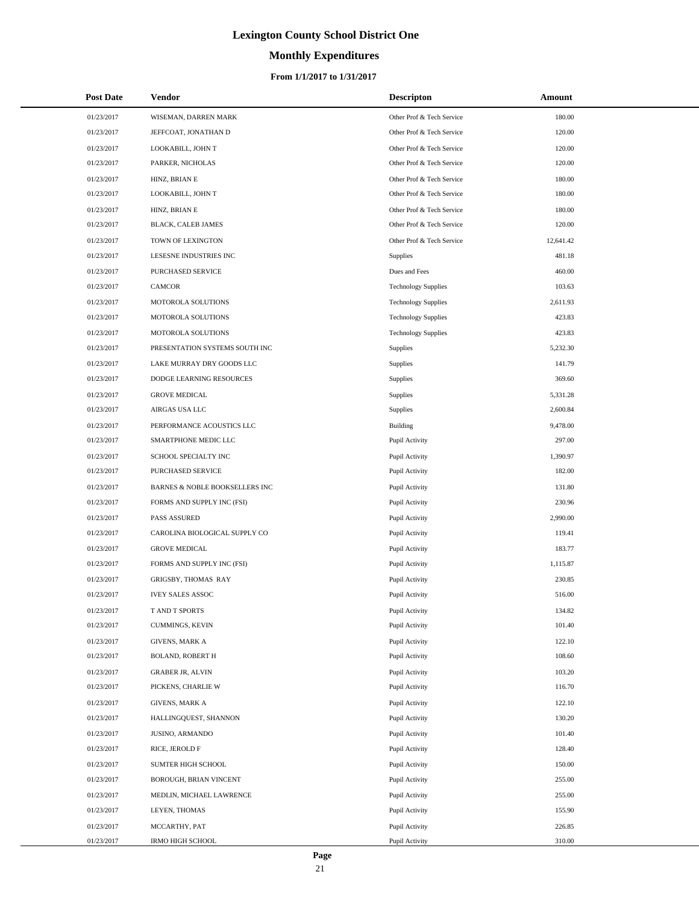# **Monthly Expenditures**

#### **From 1/1/2017 to 1/31/2017**

| <b>Post Date</b> | Vendor                         | <b>Descripton</b>          | Amount    |
|------------------|--------------------------------|----------------------------|-----------|
| 01/23/2017       | WISEMAN, DARREN MARK           | Other Prof & Tech Service  | 180.00    |
| 01/23/2017       | JEFFCOAT, JONATHAN D           | Other Prof & Tech Service  | 120.00    |
| 01/23/2017       | LOOKABILL, JOHN T              | Other Prof & Tech Service  | 120.00    |
| 01/23/2017       | PARKER, NICHOLAS               | Other Prof & Tech Service  | 120.00    |
| 01/23/2017       | HINZ, BRIAN E                  | Other Prof & Tech Service  | 180.00    |
| 01/23/2017       | LOOKABILL, JOHN T              | Other Prof & Tech Service  | 180.00    |
| 01/23/2017       | HINZ, BRIAN E                  | Other Prof & Tech Service  | 180.00    |
| 01/23/2017       | BLACK, CALEB JAMES             | Other Prof & Tech Service  | 120.00    |
| 01/23/2017       | TOWN OF LEXINGTON              | Other Prof & Tech Service  | 12,641.42 |
| 01/23/2017       | LESESNE INDUSTRIES INC         | Supplies                   | 481.18    |
| 01/23/2017       | PURCHASED SERVICE              | Dues and Fees              | 460.00    |
| 01/23/2017       | <b>CAMCOR</b>                  | <b>Technology Supplies</b> | 103.63    |
| 01/23/2017       | MOTOROLA SOLUTIONS             | <b>Technology Supplies</b> | 2,611.93  |
| 01/23/2017       | MOTOROLA SOLUTIONS             | <b>Technology Supplies</b> | 423.83    |
| 01/23/2017       | MOTOROLA SOLUTIONS             | <b>Technology Supplies</b> | 423.83    |
| 01/23/2017       | PRESENTATION SYSTEMS SOUTH INC | Supplies                   | 5,232.30  |
| 01/23/2017       | LAKE MURRAY DRY GOODS LLC      | Supplies                   | 141.79    |
| 01/23/2017       | DODGE LEARNING RESOURCES       | Supplies                   | 369.60    |
| 01/23/2017       | <b>GROVE MEDICAL</b>           | Supplies                   | 5,331.28  |
| 01/23/2017       | AIRGAS USA LLC                 | Supplies                   | 2,600.84  |
| 01/23/2017       | PERFORMANCE ACOUSTICS LLC      | Building                   | 9,478.00  |
| 01/23/2017       | SMARTPHONE MEDIC LLC           | Pupil Activity             | 297.00    |
| 01/23/2017       | SCHOOL SPECIALTY INC           | Pupil Activity             | 1,390.97  |
| 01/23/2017       | PURCHASED SERVICE              | Pupil Activity             | 182.00    |
| 01/23/2017       | BARNES & NOBLE BOOKSELLERS INC | Pupil Activity             | 131.80    |
| 01/23/2017       | FORMS AND SUPPLY INC (FSI)     | Pupil Activity             | 230.96    |
| 01/23/2017       | PASS ASSURED                   | Pupil Activity             | 2,990.00  |
| 01/23/2017       | CAROLINA BIOLOGICAL SUPPLY CO  | Pupil Activity             | 119.41    |
| 01/23/2017       | <b>GROVE MEDICAL</b>           | Pupil Activity             | 183.77    |
| 01/23/2017       | FORMS AND SUPPLY INC (FSI)     | Pupil Activity             | 1,115.87  |
| 01/23/2017       | GRIGSBY, THOMAS RAY            | Pupil Activity             | 230.85    |
| 01/23/2017       | <b>IVEY SALES ASSOC</b>        | Pupil Activity             | 516.00    |
| 01/23/2017       | T AND T SPORTS                 | Pupil Activity             | 134.82    |
| 01/23/2017       | CUMMINGS, KEVIN                | Pupil Activity             | 101.40    |
| 01/23/2017       | <b>GIVENS, MARK A</b>          | Pupil Activity             | 122.10    |
| 01/23/2017       | <b>BOLAND, ROBERT H</b>        | Pupil Activity             | 108.60    |
| 01/23/2017       | <b>GRABER JR, ALVIN</b>        | Pupil Activity             | 103.20    |
| 01/23/2017       | PICKENS, CHARLIE W             | Pupil Activity             | 116.70    |
| 01/23/2017       | <b>GIVENS, MARK A</b>          | Pupil Activity             | 122.10    |
| 01/23/2017       | HALLINGQUEST, SHANNON          | Pupil Activity             | 130.20    |
| 01/23/2017       | JUSINO, ARMANDO                | Pupil Activity             | 101.40    |
| 01/23/2017       | RICE, JEROLD F                 | Pupil Activity             | 128.40    |
| 01/23/2017       | SUMTER HIGH SCHOOL             | Pupil Activity             | 150.00    |
| 01/23/2017       | BOROUGH, BRIAN VINCENT         | Pupil Activity             | 255.00    |
| 01/23/2017       | MEDLIN, MICHAEL LAWRENCE       | Pupil Activity             | 255.00    |
| 01/23/2017       | LEYEN, THOMAS                  | Pupil Activity             | 155.90    |
| 01/23/2017       | MCCARTHY, PAT                  | Pupil Activity             | 226.85    |
| 01/23/2017       | <b>IRMO HIGH SCHOOL</b>        | Pupil Activity             | 310.00    |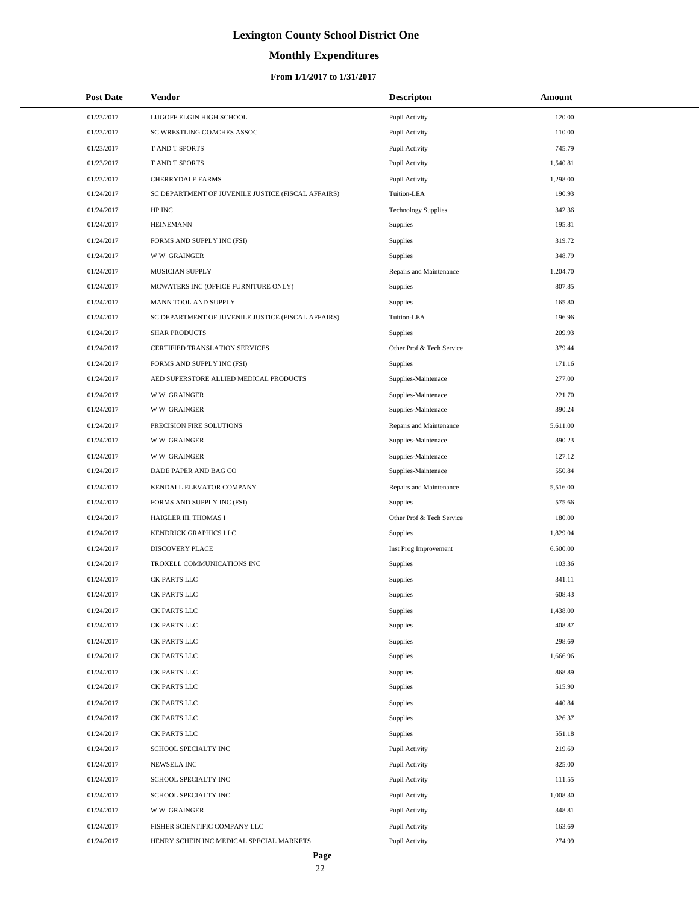# **Monthly Expenditures**

#### **From 1/1/2017 to 1/31/2017**

| <b>Post Date</b> | Vendor                                             | <b>Descripton</b>          | Amount   |
|------------------|----------------------------------------------------|----------------------------|----------|
| 01/23/2017       | LUGOFF ELGIN HIGH SCHOOL                           | Pupil Activity             | 120.00   |
| 01/23/2017       | SC WRESTLING COACHES ASSOC                         | Pupil Activity             | 110.00   |
| 01/23/2017       | <b>TAND T SPORTS</b>                               | Pupil Activity             | 745.79   |
| 01/23/2017       | T AND T SPORTS                                     | Pupil Activity             | 1,540.81 |
| 01/23/2017       | <b>CHERRYDALE FARMS</b>                            | Pupil Activity             | 1,298.00 |
| 01/24/2017       | SC DEPARTMENT OF JUVENILE JUSTICE (FISCAL AFFAIRS) | Tuition-LEA                | 190.93   |
| 01/24/2017       | HP INC                                             | <b>Technology Supplies</b> | 342.36   |
| 01/24/2017       | <b>HEINEMANN</b>                                   | Supplies                   | 195.81   |
| 01/24/2017       | FORMS AND SUPPLY INC (FSI)                         | Supplies                   | 319.72   |
| 01/24/2017       | <b>WW GRAINGER</b>                                 | Supplies                   | 348.79   |
| 01/24/2017       | MUSICIAN SUPPLY                                    | Repairs and Maintenance    | 1,204.70 |
| 01/24/2017       | MCWATERS INC (OFFICE FURNITURE ONLY)               | Supplies                   | 807.85   |
| 01/24/2017       | MANN TOOL AND SUPPLY                               | Supplies                   | 165.80   |
| 01/24/2017       | SC DEPARTMENT OF JUVENILE JUSTICE (FISCAL AFFAIRS) | Tuition-LEA                | 196.96   |
| 01/24/2017       | <b>SHAR PRODUCTS</b>                               | <b>Supplies</b>            | 209.93   |
| 01/24/2017       | CERTIFIED TRANSLATION SERVICES                     | Other Prof & Tech Service  | 379.44   |
| 01/24/2017       | FORMS AND SUPPLY INC (FSI)                         | Supplies                   | 171.16   |
| 01/24/2017       | AED SUPERSTORE ALLIED MEDICAL PRODUCTS             | Supplies-Maintenace        | 277.00   |
| 01/24/2017       | <b>WW GRAINGER</b>                                 | Supplies-Maintenace        | 221.70   |
| 01/24/2017       | <b>WW GRAINGER</b>                                 | Supplies-Maintenace        | 390.24   |
| 01/24/2017       | PRECISION FIRE SOLUTIONS                           | Repairs and Maintenance    | 5,611.00 |
| 01/24/2017       | <b>WW GRAINGER</b>                                 | Supplies-Maintenace        | 390.23   |
| 01/24/2017       | <b>WW GRAINGER</b>                                 | Supplies-Maintenace        | 127.12   |
| 01/24/2017       | DADE PAPER AND BAG CO                              | Supplies-Maintenace        | 550.84   |
| 01/24/2017       | KENDALL ELEVATOR COMPANY                           | Repairs and Maintenance    | 5,516.00 |
| 01/24/2017       | FORMS AND SUPPLY INC (FSI)                         | Supplies                   | 575.66   |
| 01/24/2017       | HAIGLER III, THOMAS I                              | Other Prof & Tech Service  | 180.00   |
| 01/24/2017       | KENDRICK GRAPHICS LLC                              | Supplies                   | 1,829.04 |
| 01/24/2017       | <b>DISCOVERY PLACE</b>                             | Inst Prog Improvement      | 6,500.00 |
| 01/24/2017       | TROXELL COMMUNICATIONS INC                         | Supplies                   | 103.36   |
| 01/24/2017       | <b>CK PARTS LLC</b>                                | Supplies                   | 341.11   |
| 01/24/2017       | CK PARTS LLC                                       | <b>Supplies</b>            | 608.43   |
| 01/24/2017       | CK PARTS LLC                                       | Supplies                   | 1,438.00 |
| 01/24/2017       | CK PARTS LLC                                       | Supplies                   | 408.87   |
| 01/24/2017       | CK PARTS LLC                                       | Supplies                   | 298.69   |
| 01/24/2017       | CK PARTS LLC                                       | Supplies                   | 1,666.96 |
| 01/24/2017       | CK PARTS LLC                                       | Supplies                   | 868.89   |
| 01/24/2017       | CK PARTS LLC                                       | Supplies                   | 515.90   |
| 01/24/2017       | CK PARTS LLC                                       | Supplies                   | 440.84   |
| 01/24/2017       | CK PARTS LLC                                       | Supplies                   | 326.37   |
| 01/24/2017       | CK PARTS LLC                                       | Supplies                   | 551.18   |
| 01/24/2017       | SCHOOL SPECIALTY INC                               | Pupil Activity             | 219.69   |
| 01/24/2017       | NEWSELA INC                                        | Pupil Activity             | 825.00   |
| 01/24/2017       | SCHOOL SPECIALTY INC                               | Pupil Activity             | 111.55   |
| 01/24/2017       | SCHOOL SPECIALTY INC                               | Pupil Activity             | 1,008.30 |
| 01/24/2017       | <b>WW GRAINGER</b>                                 | Pupil Activity             | 348.81   |
| 01/24/2017       | FISHER SCIENTIFIC COMPANY LLC                      | Pupil Activity             | 163.69   |
| 01/24/2017       | HENRY SCHEIN INC MEDICAL SPECIAL MARKETS           | Pupil Activity             | 274.99   |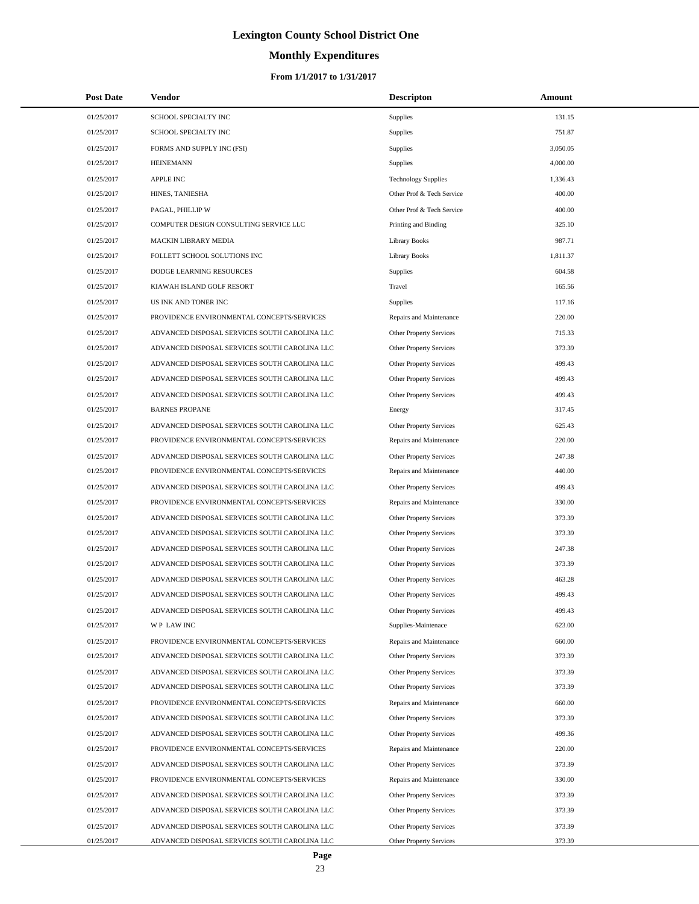# **Monthly Expenditures**

| <b>Post Date</b>         | <b>Vendor</b>                                                                                  | <b>Descripton</b>                                  | Amount           |
|--------------------------|------------------------------------------------------------------------------------------------|----------------------------------------------------|------------------|
| 01/25/2017               | SCHOOL SPECIALTY INC                                                                           | Supplies                                           | 131.15           |
| 01/25/2017               | SCHOOL SPECIALTY INC                                                                           | Supplies                                           | 751.87           |
| 01/25/2017               | FORMS AND SUPPLY INC (FSI)                                                                     | Supplies                                           | 3,050.05         |
| 01/25/2017               | <b>HEINEMANN</b>                                                                               | Supplies                                           | 4,000.00         |
| 01/25/2017               | <b>APPLE INC</b>                                                                               | <b>Technology Supplies</b>                         | 1,336.43         |
| 01/25/2017               | HINES, TANIESHA                                                                                | Other Prof & Tech Service                          | 400.00           |
| 01/25/2017               | PAGAL, PHILLIP W                                                                               | Other Prof & Tech Service                          | 400.00           |
| 01/25/2017               | COMPUTER DESIGN CONSULTING SERVICE LLC                                                         | Printing and Binding                               | 325.10           |
| 01/25/2017               | MACKIN LIBRARY MEDIA                                                                           | <b>Library Books</b>                               | 987.71           |
| 01/25/2017               | FOLLETT SCHOOL SOLUTIONS INC                                                                   | <b>Library Books</b>                               | 1,811.37         |
| 01/25/2017               | DODGE LEARNING RESOURCES                                                                       | Supplies                                           | 604.58           |
| 01/25/2017               | KIAWAH ISLAND GOLF RESORT                                                                      | Travel                                             | 165.56           |
| 01/25/2017               | US INK AND TONER INC                                                                           | Supplies                                           | 117.16           |
| 01/25/2017               | PROVIDENCE ENVIRONMENTAL CONCEPTS/SERVICES                                                     | Repairs and Maintenance                            | 220.00           |
| 01/25/2017               | ADVANCED DISPOSAL SERVICES SOUTH CAROLINA LLC                                                  | Other Property Services                            | 715.33           |
| 01/25/2017               | ADVANCED DISPOSAL SERVICES SOUTH CAROLINA LLC                                                  | Other Property Services                            | 373.39           |
| 01/25/2017               | ADVANCED DISPOSAL SERVICES SOUTH CAROLINA LLC                                                  | Other Property Services                            | 499.43           |
| 01/25/2017               | ADVANCED DISPOSAL SERVICES SOUTH CAROLINA LLC                                                  | Other Property Services                            | 499.43           |
| 01/25/2017               | ADVANCED DISPOSAL SERVICES SOUTH CAROLINA LLC                                                  | Other Property Services                            | 499.43           |
| 01/25/2017               | <b>BARNES PROPANE</b>                                                                          | Energy                                             | 317.45           |
| 01/25/2017               | ADVANCED DISPOSAL SERVICES SOUTH CAROLINA LLC                                                  | Other Property Services                            | 625.43           |
| 01/25/2017               | PROVIDENCE ENVIRONMENTAL CONCEPTS/SERVICES                                                     | Repairs and Maintenance                            | 220.00           |
| 01/25/2017               | ADVANCED DISPOSAL SERVICES SOUTH CAROLINA LLC                                                  | Other Property Services                            | 247.38           |
| 01/25/2017               | PROVIDENCE ENVIRONMENTAL CONCEPTS/SERVICES                                                     | Repairs and Maintenance                            | 440.00           |
| 01/25/2017               | ADVANCED DISPOSAL SERVICES SOUTH CAROLINA LLC                                                  | Other Property Services                            | 499.43           |
| 01/25/2017               | PROVIDENCE ENVIRONMENTAL CONCEPTS/SERVICES                                                     | Repairs and Maintenance                            | 330.00           |
| 01/25/2017               | ADVANCED DISPOSAL SERVICES SOUTH CAROLINA LLC                                                  | Other Property Services                            | 373.39           |
| 01/25/2017               | ADVANCED DISPOSAL SERVICES SOUTH CAROLINA LLC                                                  | Other Property Services                            | 373.39           |
| 01/25/2017               | ADVANCED DISPOSAL SERVICES SOUTH CAROLINA LLC                                                  | Other Property Services                            | 247.38           |
| 01/25/2017               | ADVANCED DISPOSAL SERVICES SOUTH CAROLINA LLC                                                  | <b>Other Property Services</b>                     | 373.39           |
| 01/25/2017               | ADVANCED DISPOSAL SERVICES SOUTH CAROLINA LLC                                                  | Other Property Services                            | 463.28           |
| 01/25/2017               | ADVANCED DISPOSAL SERVICES SOUTH CAROLINA LLC                                                  | <b>Other Property Services</b>                     | 499.43           |
| 01/25/2017               | ADVANCED DISPOSAL SERVICES SOUTH CAROLINA LLC                                                  | Other Property Services                            | 499.43           |
| 01/25/2017               | WP LAW INC                                                                                     | Supplies-Maintenace                                | 623.00           |
| 01/25/2017               | PROVIDENCE ENVIRONMENTAL CONCEPTS/SERVICES                                                     | Repairs and Maintenance                            | 660.00           |
| 01/25/2017               | ADVANCED DISPOSAL SERVICES SOUTH CAROLINA LLC                                                  | Other Property Services                            | 373.39           |
| 01/25/2017               | ADVANCED DISPOSAL SERVICES SOUTH CAROLINA LLC                                                  | Other Property Services                            | 373.39           |
| 01/25/2017               | ADVANCED DISPOSAL SERVICES SOUTH CAROLINA LLC                                                  | Other Property Services                            | 373.39           |
| 01/25/2017               | PROVIDENCE ENVIRONMENTAL CONCEPTS/SERVICES                                                     | Repairs and Maintenance                            | 660.00           |
| 01/25/2017               | ADVANCED DISPOSAL SERVICES SOUTH CAROLINA LLC                                                  | Other Property Services                            | 373.39           |
| 01/25/2017               | ADVANCED DISPOSAL SERVICES SOUTH CAROLINA LLC                                                  | Other Property Services                            | 499.36           |
| 01/25/2017               | PROVIDENCE ENVIRONMENTAL CONCEPTS/SERVICES                                                     | Repairs and Maintenance                            | 220.00           |
| 01/25/2017               | ADVANCED DISPOSAL SERVICES SOUTH CAROLINA LLC                                                  | Other Property Services                            | 373.39           |
| 01/25/2017               | PROVIDENCE ENVIRONMENTAL CONCEPTS/SERVICES                                                     | Repairs and Maintenance                            | 330.00           |
| 01/25/2017               | ADVANCED DISPOSAL SERVICES SOUTH CAROLINA LLC                                                  | Other Property Services                            | 373.39           |
| 01/25/2017               | ADVANCED DISPOSAL SERVICES SOUTH CAROLINA LLC                                                  | Other Property Services                            | 373.39           |
| 01/25/2017<br>01/25/2017 | ADVANCED DISPOSAL SERVICES SOUTH CAROLINA LLC<br>ADVANCED DISPOSAL SERVICES SOUTH CAROLINA LLC | Other Property Services<br>Other Property Services | 373.39<br>373.39 |
|                          |                                                                                                |                                                    |                  |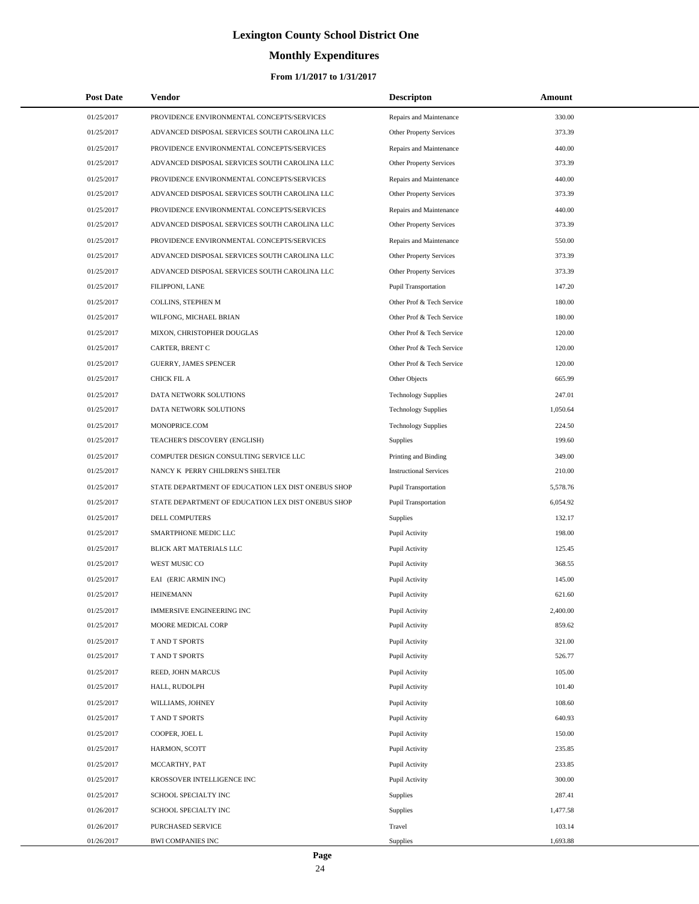# **Monthly Expenditures**

#### **From 1/1/2017 to 1/31/2017**

| <b>Post Date</b> | Vendor                                             | <b>Descripton</b>             | Amount   |
|------------------|----------------------------------------------------|-------------------------------|----------|
| 01/25/2017       | PROVIDENCE ENVIRONMENTAL CONCEPTS/SERVICES         | Repairs and Maintenance       | 330.00   |
| 01/25/2017       | ADVANCED DISPOSAL SERVICES SOUTH CAROLINA LLC      | Other Property Services       | 373.39   |
| 01/25/2017       | PROVIDENCE ENVIRONMENTAL CONCEPTS/SERVICES         | Repairs and Maintenance       | 440.00   |
| 01/25/2017       | ADVANCED DISPOSAL SERVICES SOUTH CAROLINA LLC      | Other Property Services       | 373.39   |
| 01/25/2017       | PROVIDENCE ENVIRONMENTAL CONCEPTS/SERVICES         | Repairs and Maintenance       | 440.00   |
| 01/25/2017       | ADVANCED DISPOSAL SERVICES SOUTH CAROLINA LLC      | Other Property Services       | 373.39   |
| 01/25/2017       | PROVIDENCE ENVIRONMENTAL CONCEPTS/SERVICES         | Repairs and Maintenance       | 440.00   |
| 01/25/2017       | ADVANCED DISPOSAL SERVICES SOUTH CAROLINA LLC      | Other Property Services       | 373.39   |
| 01/25/2017       | PROVIDENCE ENVIRONMENTAL CONCEPTS/SERVICES         | Repairs and Maintenance       | 550.00   |
| 01/25/2017       | ADVANCED DISPOSAL SERVICES SOUTH CAROLINA LLC      | Other Property Services       | 373.39   |
| 01/25/2017       | ADVANCED DISPOSAL SERVICES SOUTH CAROLINA LLC      | Other Property Services       | 373.39   |
| 01/25/2017       | FILIPPONI, LANE                                    | <b>Pupil Transportation</b>   | 147.20   |
| 01/25/2017       | COLLINS, STEPHEN M                                 | Other Prof & Tech Service     | 180.00   |
| 01/25/2017       | WILFONG, MICHAEL BRIAN                             | Other Prof & Tech Service     | 180.00   |
| 01/25/2017       | MIXON, CHRISTOPHER DOUGLAS                         | Other Prof & Tech Service     | 120.00   |
| 01/25/2017       | CARTER, BRENT C                                    | Other Prof & Tech Service     | 120.00   |
| 01/25/2017       | <b>GUERRY, JAMES SPENCER</b>                       | Other Prof & Tech Service     | 120.00   |
| 01/25/2017       | CHICK FIL A                                        | Other Objects                 | 665.99   |
| 01/25/2017       | DATA NETWORK SOLUTIONS                             | <b>Technology Supplies</b>    | 247.01   |
| 01/25/2017       | DATA NETWORK SOLUTIONS                             | <b>Technology Supplies</b>    | 1,050.64 |
| 01/25/2017       | MONOPRICE.COM                                      | <b>Technology Supplies</b>    | 224.50   |
| 01/25/2017       | TEACHER'S DISCOVERY (ENGLISH)                      | <b>Supplies</b>               | 199.60   |
| 01/25/2017       | COMPUTER DESIGN CONSULTING SERVICE LLC             | Printing and Binding          | 349.00   |
| 01/25/2017       | NANCY K PERRY CHILDREN'S SHELTER                   | <b>Instructional Services</b> | 210.00   |
| 01/25/2017       | STATE DEPARTMENT OF EDUCATION LEX DIST ONEBUS SHOP | <b>Pupil Transportation</b>   | 5,578.76 |
| 01/25/2017       | STATE DEPARTMENT OF EDUCATION LEX DIST ONEBUS SHOP | <b>Pupil Transportation</b>   | 6,054.92 |
| 01/25/2017       | DELL COMPUTERS                                     | Supplies                      | 132.17   |
| 01/25/2017       | SMARTPHONE MEDIC LLC                               | Pupil Activity                | 198.00   |
| 01/25/2017       | BLICK ART MATERIALS LLC                            | Pupil Activity                | 125.45   |
| 01/25/2017       | WEST MUSIC CO                                      | Pupil Activity                | 368.55   |
| 01/25/2017       | EAI (ERIC ARMIN INC)                               | Pupil Activity                | 145.00   |
| 01/25/2017       | <b>HEINEMANN</b>                                   | Pupil Activity                | 621.60   |
| 01/25/2017       | IMMERSIVE ENGINEERING INC                          | Pupil Activity                | 2,400.00 |
| 01/25/2017       | MOORE MEDICAL CORP                                 | Pupil Activity                | 859.62   |
| 01/25/2017       | T AND T SPORTS                                     | Pupil Activity                | 321.00   |
| 01/25/2017       | T AND T SPORTS                                     | Pupil Activity                | 526.77   |
| 01/25/2017       | REED, JOHN MARCUS                                  | Pupil Activity                | 105.00   |
| 01/25/2017       | HALL, RUDOLPH                                      | Pupil Activity                | 101.40   |
| 01/25/2017       | WILLIAMS, JOHNEY                                   | Pupil Activity                | 108.60   |
| 01/25/2017       | T AND T SPORTS                                     | Pupil Activity                | 640.93   |
| 01/25/2017       | COOPER, JOEL L                                     | Pupil Activity                | 150.00   |
| 01/25/2017       | HARMON, SCOTT                                      | Pupil Activity                | 235.85   |
| 01/25/2017       | MCCARTHY, PAT                                      | Pupil Activity                | 233.85   |
| 01/25/2017       | KROSSOVER INTELLIGENCE INC                         | Pupil Activity                | 300.00   |
| 01/25/2017       | SCHOOL SPECIALTY INC                               | <b>Supplies</b>               | 287.41   |
| 01/26/2017       | SCHOOL SPECIALTY INC                               | <b>Supplies</b>               | 1,477.58 |
| 01/26/2017       | PURCHASED SERVICE                                  | Travel                        | 103.14   |
| 01/26/2017       | <b>BWI COMPANIES INC</b>                           | Supplies                      | 1,693.88 |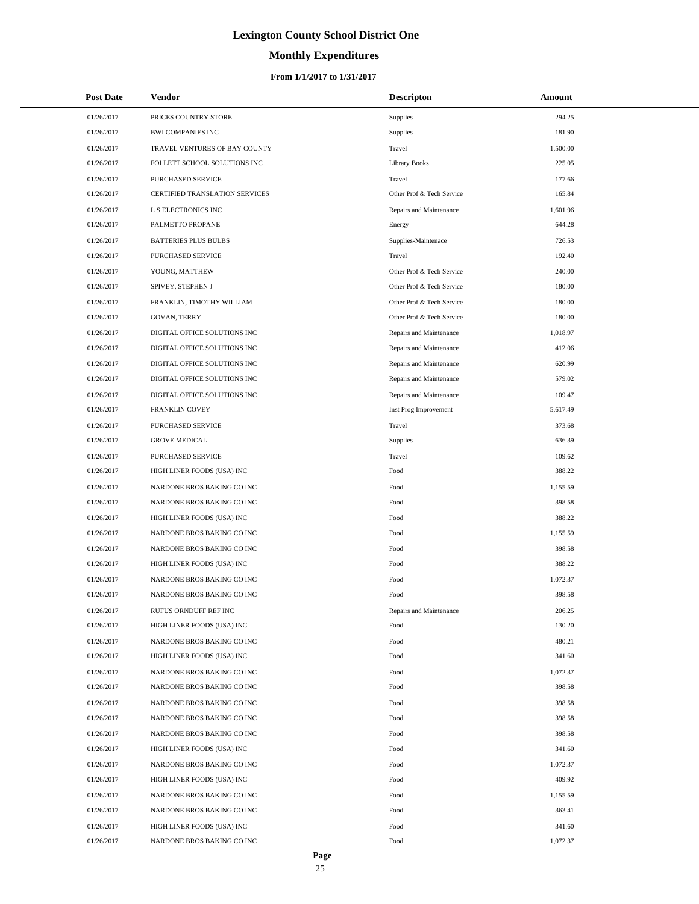# **Monthly Expenditures**

#### **From 1/1/2017 to 1/31/2017**

| <b>Post Date</b> | Vendor                         | <b>Descripton</b>         | Amount   |
|------------------|--------------------------------|---------------------------|----------|
| 01/26/2017       | PRICES COUNTRY STORE           | Supplies                  | 294.25   |
| 01/26/2017       | <b>BWI COMPANIES INC</b>       | Supplies                  | 181.90   |
| 01/26/2017       | TRAVEL VENTURES OF BAY COUNTY  | Travel                    | 1,500.00 |
| 01/26/2017       | FOLLETT SCHOOL SOLUTIONS INC   | <b>Library Books</b>      | 225.05   |
| 01/26/2017       | PURCHASED SERVICE              | Travel                    | 177.66   |
| 01/26/2017       | CERTIFIED TRANSLATION SERVICES | Other Prof & Tech Service | 165.84   |
| 01/26/2017       | L S ELECTRONICS INC            | Repairs and Maintenance   | 1,601.96 |
| 01/26/2017       | PALMETTO PROPANE               | Energy                    | 644.28   |
| 01/26/2017       | <b>BATTERIES PLUS BULBS</b>    | Supplies-Maintenace       | 726.53   |
| 01/26/2017       | PURCHASED SERVICE              | Travel                    | 192.40   |
| 01/26/2017       | YOUNG, MATTHEW                 | Other Prof & Tech Service | 240.00   |
| 01/26/2017       | SPIVEY, STEPHEN J              | Other Prof & Tech Service | 180.00   |
| 01/26/2017       | FRANKLIN, TIMOTHY WILLIAM      | Other Prof & Tech Service | 180.00   |
| 01/26/2017       | <b>GOVAN, TERRY</b>            | Other Prof & Tech Service | 180.00   |
| 01/26/2017       | DIGITAL OFFICE SOLUTIONS INC   | Repairs and Maintenance   | 1,018.97 |
| 01/26/2017       | DIGITAL OFFICE SOLUTIONS INC   | Repairs and Maintenance   | 412.06   |
| 01/26/2017       | DIGITAL OFFICE SOLUTIONS INC   | Repairs and Maintenance   | 620.99   |
| 01/26/2017       | DIGITAL OFFICE SOLUTIONS INC   | Repairs and Maintenance   | 579.02   |
| 01/26/2017       | DIGITAL OFFICE SOLUTIONS INC   | Repairs and Maintenance   | 109.47   |
| 01/26/2017       | FRANKLIN COVEY                 | Inst Prog Improvement     | 5,617.49 |
| 01/26/2017       | PURCHASED SERVICE              | Travel                    | 373.68   |
| 01/26/2017       | <b>GROVE MEDICAL</b>           | Supplies                  | 636.39   |
| 01/26/2017       | PURCHASED SERVICE              | Travel                    | 109.62   |
| 01/26/2017       | HIGH LINER FOODS (USA) INC     | Food                      | 388.22   |
| 01/26/2017       | NARDONE BROS BAKING CO INC     | Food                      | 1,155.59 |
| 01/26/2017       | NARDONE BROS BAKING CO INC     | Food                      | 398.58   |
| 01/26/2017       | HIGH LINER FOODS (USA) INC     | Food                      | 388.22   |
| 01/26/2017       | NARDONE BROS BAKING CO INC     | Food                      | 1,155.59 |
| 01/26/2017       | NARDONE BROS BAKING CO INC     | Food                      | 398.58   |
| 01/26/2017       | HIGH LINER FOODS (USA) INC     | Food                      | 388.22   |
| 01/26/2017       | NARDONE BROS BAKING CO INC     | Food                      | 1,072.37 |
| 01/26/2017       | NARDONE BROS BAKING CO INC     | Food                      | 398.58   |
| 01/26/2017       | RUFUS ORNDUFF REF INC          | Repairs and Maintenance   | 206.25   |
| 01/26/2017       | HIGH LINER FOODS (USA) INC     | Food                      | 130.20   |
| 01/26/2017       | NARDONE BROS BAKING CO INC     | Food                      | 480.21   |
| 01/26/2017       | HIGH LINER FOODS (USA) INC     | Food                      | 341.60   |
| 01/26/2017       | NARDONE BROS BAKING CO INC     | Food                      | 1,072.37 |
| 01/26/2017       | NARDONE BROS BAKING CO INC     | Food                      | 398.58   |
| 01/26/2017       | NARDONE BROS BAKING CO INC     | Food                      | 398.58   |
| 01/26/2017       | NARDONE BROS BAKING CO INC     | Food                      | 398.58   |
| 01/26/2017       | NARDONE BROS BAKING CO INC     | Food                      | 398.58   |
| 01/26/2017       | HIGH LINER FOODS (USA) INC     | Food                      | 341.60   |
| 01/26/2017       | NARDONE BROS BAKING CO INC     | Food                      | 1,072.37 |
| 01/26/2017       | HIGH LINER FOODS (USA) INC     | Food                      | 409.92   |
| 01/26/2017       | NARDONE BROS BAKING CO INC     | Food                      | 1,155.59 |
| 01/26/2017       | NARDONE BROS BAKING CO INC     | Food                      | 363.41   |
| 01/26/2017       | HIGH LINER FOODS (USA) INC     | Food                      | 341.60   |
| 01/26/2017       | NARDONE BROS BAKING CO INC     | Food                      | 1,072.37 |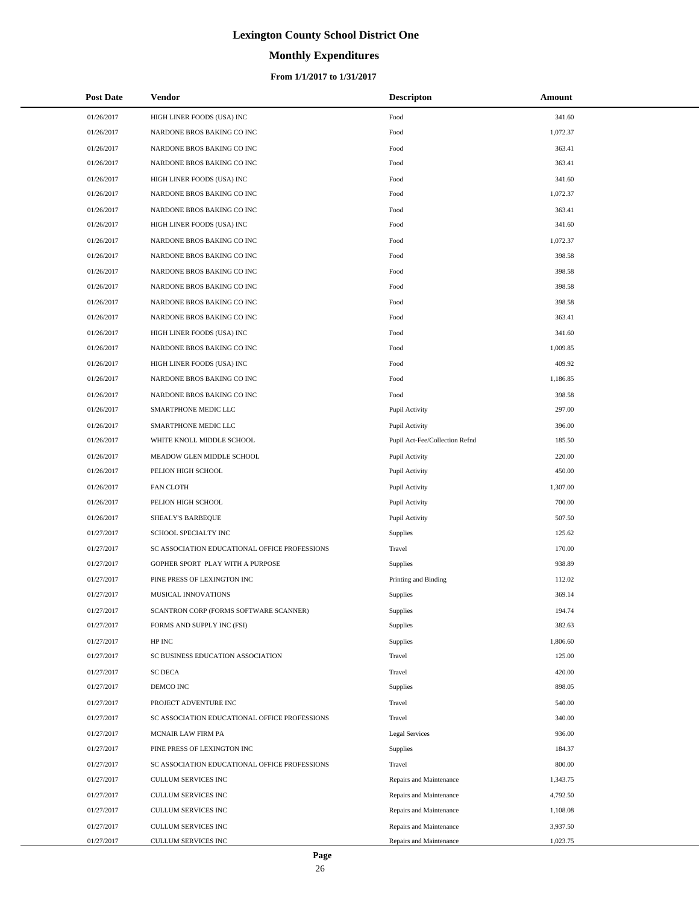# **Monthly Expenditures**

#### **From 1/1/2017 to 1/31/2017**

| <b>Post Date</b> | Vendor                                        | <b>Descripton</b>              | Amount   |
|------------------|-----------------------------------------------|--------------------------------|----------|
| 01/26/2017       | HIGH LINER FOODS (USA) INC                    | Food                           | 341.60   |
| 01/26/2017       | NARDONE BROS BAKING CO INC                    | Food                           | 1,072.37 |
| 01/26/2017       | NARDONE BROS BAKING CO INC                    | Food                           | 363.41   |
| 01/26/2017       | NARDONE BROS BAKING CO INC                    | Food                           | 363.41   |
| 01/26/2017       | HIGH LINER FOODS (USA) INC                    | Food                           | 341.60   |
| 01/26/2017       | NARDONE BROS BAKING CO INC                    | Food                           | 1,072.37 |
| 01/26/2017       | NARDONE BROS BAKING CO INC                    | Food                           | 363.41   |
| 01/26/2017       | HIGH LINER FOODS (USA) INC                    | Food                           | 341.60   |
| 01/26/2017       | NARDONE BROS BAKING CO INC                    | Food                           | 1,072.37 |
| 01/26/2017       | NARDONE BROS BAKING CO INC                    | Food                           | 398.58   |
| 01/26/2017       | NARDONE BROS BAKING CO INC                    | Food                           | 398.58   |
| 01/26/2017       | NARDONE BROS BAKING CO INC                    | Food                           | 398.58   |
| 01/26/2017       | NARDONE BROS BAKING CO INC                    | Food                           | 398.58   |
| 01/26/2017       | NARDONE BROS BAKING CO INC                    | Food                           | 363.41   |
| 01/26/2017       | HIGH LINER FOODS (USA) INC                    | Food                           | 341.60   |
| 01/26/2017       | NARDONE BROS BAKING CO INC                    | Food                           | 1,009.85 |
| 01/26/2017       | HIGH LINER FOODS (USA) INC                    | Food                           | 409.92   |
| 01/26/2017       | NARDONE BROS BAKING CO INC                    | Food                           | 1,186.85 |
| 01/26/2017       | NARDONE BROS BAKING CO INC                    | Food                           | 398.58   |
| 01/26/2017       | SMARTPHONE MEDIC LLC                          | Pupil Activity                 | 297.00   |
| 01/26/2017       | SMARTPHONE MEDIC LLC                          | Pupil Activity                 | 396.00   |
| 01/26/2017       | WHITE KNOLL MIDDLE SCHOOL                     | Pupil Act-Fee/Collection Refnd | 185.50   |
| 01/26/2017       | MEADOW GLEN MIDDLE SCHOOL                     | Pupil Activity                 | 220.00   |
| 01/26/2017       | PELION HIGH SCHOOL                            | Pupil Activity                 | 450.00   |
| 01/26/2017       | <b>FAN CLOTH</b>                              | Pupil Activity                 | 1,307.00 |
| 01/26/2017       | PELION HIGH SCHOOL                            | Pupil Activity                 | 700.00   |
| 01/26/2017       | SHEALY'S BARBEQUE                             | Pupil Activity                 | 507.50   |
| 01/27/2017       | SCHOOL SPECIALTY INC                          | Supplies                       | 125.62   |
| 01/27/2017       | SC ASSOCIATION EDUCATIONAL OFFICE PROFESSIONS | Travel                         | 170.00   |
| 01/27/2017       | GOPHER SPORT PLAY WITH A PURPOSE              | Supplies                       | 938.89   |
| 01/27/2017       | PINE PRESS OF LEXINGTON INC                   | Printing and Binding           | 112.02   |
| 01/27/2017       | MUSICAL INNOVATIONS                           | <b>Supplies</b>                | 369.14   |
| 01/27/2017       | SCANTRON CORP (FORMS SOFTWARE SCANNER)        | Supplies                       | 194.74   |
| 01/27/2017       | FORMS AND SUPPLY INC (FSI)                    | Supplies                       | 382.63   |
| 01/27/2017       | HP INC                                        | Supplies                       | 1,806.60 |
| 01/27/2017       | SC BUSINESS EDUCATION ASSOCIATION             | Travel                         | 125.00   |
| 01/27/2017       | <b>SC DECA</b>                                | Travel                         | 420.00   |
| 01/27/2017       | DEMCO INC                                     | Supplies                       | 898.05   |
| 01/27/2017       | PROJECT ADVENTURE INC                         | Travel                         | 540.00   |
| 01/27/2017       | SC ASSOCIATION EDUCATIONAL OFFICE PROFESSIONS | Travel                         | 340.00   |
| 01/27/2017       | MCNAIR LAW FIRM PA                            | Legal Services                 | 936.00   |
| 01/27/2017       | PINE PRESS OF LEXINGTON INC                   | Supplies                       | 184.37   |
| 01/27/2017       | SC ASSOCIATION EDUCATIONAL OFFICE PROFESSIONS | Travel                         | 800.00   |
| 01/27/2017       | CULLUM SERVICES INC                           | Repairs and Maintenance        | 1,343.75 |
| 01/27/2017       | CULLUM SERVICES INC                           | Repairs and Maintenance        | 4,792.50 |
| 01/27/2017       | CULLUM SERVICES INC                           | Repairs and Maintenance        | 1,108.08 |
| 01/27/2017       | CULLUM SERVICES INC                           | Repairs and Maintenance        | 3,937.50 |
| 01/27/2017       | CULLUM SERVICES INC                           | Repairs and Maintenance        | 1,023.75 |

÷.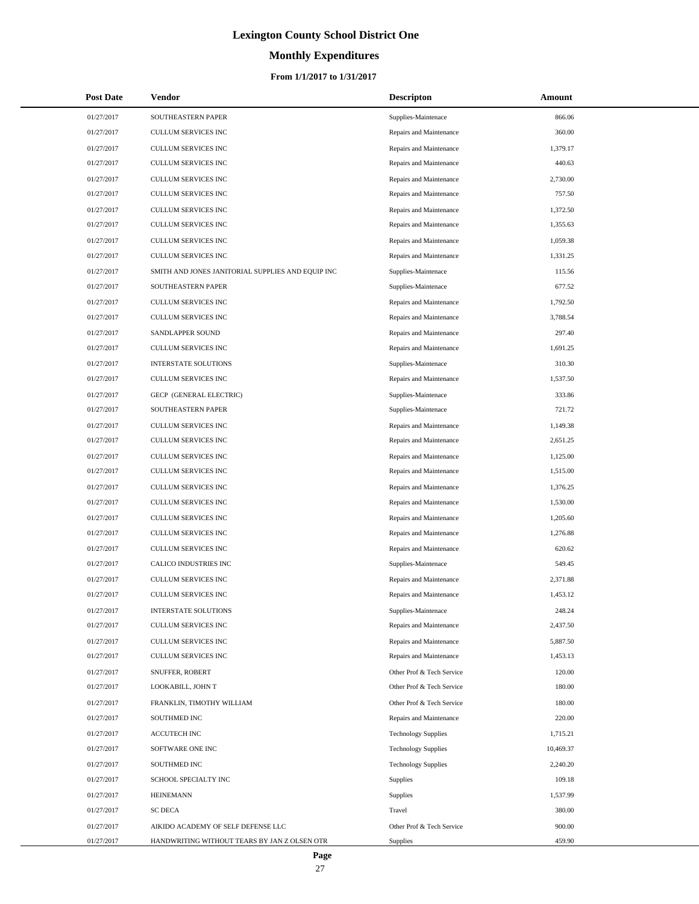# **Monthly Expenditures**

#### **From 1/1/2017 to 1/31/2017**

| <b>Post Date</b> | <b>Vendor</b>                                     | <b>Descripton</b>          | Amount    |
|------------------|---------------------------------------------------|----------------------------|-----------|
| 01/27/2017       | SOUTHEASTERN PAPER                                | Supplies-Maintenace        | 866.06    |
| 01/27/2017       | CULLUM SERVICES INC                               | Repairs and Maintenance    | 360.00    |
| 01/27/2017       | CULLUM SERVICES INC                               | Repairs and Maintenance    | 1,379.17  |
| 01/27/2017       | CULLUM SERVICES INC                               | Repairs and Maintenance    | 440.63    |
| 01/27/2017       | CULLUM SERVICES INC                               | Repairs and Maintenance    | 2,730.00  |
| 01/27/2017       | CULLUM SERVICES INC                               | Repairs and Maintenance    | 757.50    |
| 01/27/2017       | <b>CULLUM SERVICES INC</b>                        | Repairs and Maintenance    | 1,372.50  |
| 01/27/2017       | CULLUM SERVICES INC                               | Repairs and Maintenance    | 1,355.63  |
| 01/27/2017       | CULLUM SERVICES INC                               | Repairs and Maintenance    | 1,059.38  |
| 01/27/2017       | CULLUM SERVICES INC                               | Repairs and Maintenance    | 1,331.25  |
| 01/27/2017       | SMITH AND JONES JANITORIAL SUPPLIES AND EQUIP INC | Supplies-Maintenace        | 115.56    |
| 01/27/2017       | SOUTHEASTERN PAPER                                | Supplies-Maintenace        | 677.52    |
| 01/27/2017       | CULLUM SERVICES INC                               | Repairs and Maintenance    | 1,792.50  |
| 01/27/2017       | CULLUM SERVICES INC                               | Repairs and Maintenance    | 3,788.54  |
| 01/27/2017       | SANDLAPPER SOUND                                  | Repairs and Maintenance    | 297.40    |
| 01/27/2017       | CULLUM SERVICES INC                               | Repairs and Maintenance    | 1,691.25  |
| 01/27/2017       | <b>INTERSTATE SOLUTIONS</b>                       | Supplies-Maintenace        | 310.30    |
| 01/27/2017       | CULLUM SERVICES INC                               | Repairs and Maintenance    | 1,537.50  |
| 01/27/2017       | GECP (GENERAL ELECTRIC)                           | Supplies-Maintenace        | 333.86    |
| 01/27/2017       | SOUTHEASTERN PAPER                                | Supplies-Maintenace        | 721.72    |
| 01/27/2017       | CULLUM SERVICES INC                               | Repairs and Maintenance    | 1,149.38  |
| 01/27/2017       | CULLUM SERVICES INC                               | Repairs and Maintenance    | 2,651.25  |
| 01/27/2017       | CULLUM SERVICES INC                               | Repairs and Maintenance    | 1,125.00  |
| 01/27/2017       | CULLUM SERVICES INC                               | Repairs and Maintenance    | 1,515.00  |
| 01/27/2017       | CULLUM SERVICES INC                               | Repairs and Maintenance    | 1,376.25  |
| 01/27/2017       | CULLUM SERVICES INC                               | Repairs and Maintenance    | 1,530.00  |
| 01/27/2017       | CULLUM SERVICES INC                               | Repairs and Maintenance    | 1,205.60  |
| 01/27/2017       | CULLUM SERVICES INC                               | Repairs and Maintenance    | 1,276.88  |
| 01/27/2017       | <b>CULLUM SERVICES INC</b>                        | Repairs and Maintenance    | 620.62    |
| 01/27/2017       | CALICO INDUSTRIES INC                             | Supplies-Maintenace        | 549.45    |
| 01/27/2017       | CULLUM SERVICES INC                               | Repairs and Maintenance    | 2,371.88  |
| 01/27/2017       | CULLUM SERVICES INC                               | Repairs and Maintenance    | 1,453.12  |
| 01/27/2017       | <b>INTERSTATE SOLUTIONS</b>                       | Supplies-Maintenace        | 248.24    |
| 01/27/2017       | <b>CULLUM SERVICES INC</b>                        | Repairs and Maintenance    | 2,437.50  |
| 01/27/2017       | CULLUM SERVICES INC                               | Repairs and Maintenance    | 5,887.50  |
| 01/27/2017       | CULLUM SERVICES INC                               | Repairs and Maintenance    | 1,453.13  |
| 01/27/2017       | <b>SNUFFER, ROBERT</b>                            | Other Prof & Tech Service  | 120.00    |
| 01/27/2017       | LOOKABILL, JOHN T                                 | Other Prof & Tech Service  | 180.00    |
| 01/27/2017       | FRANKLIN, TIMOTHY WILLIAM                         | Other Prof & Tech Service  | 180.00    |
| 01/27/2017       | <b>SOUTHMED INC</b>                               | Repairs and Maintenance    | 220.00    |
| 01/27/2017       | <b>ACCUTECH INC</b>                               | <b>Technology Supplies</b> | 1,715.21  |
| 01/27/2017       | SOFTWARE ONE INC                                  | <b>Technology Supplies</b> | 10,469.37 |
| 01/27/2017       | SOUTHMED INC                                      | <b>Technology Supplies</b> | 2,240.20  |
| 01/27/2017       | SCHOOL SPECIALTY INC                              | <b>Supplies</b>            | 109.18    |
| 01/27/2017       | <b>HEINEMANN</b>                                  | Supplies                   | 1,537.99  |
| 01/27/2017       | <b>SC DECA</b>                                    | Travel                     | 380.00    |
| 01/27/2017       | AIKIDO ACADEMY OF SELF DEFENSE LLC                | Other Prof & Tech Service  | 900.00    |
| 01/27/2017       | HANDWRITING WITHOUT TEARS BY JAN Z OLSEN OTR      | Supplies                   | 459.90    |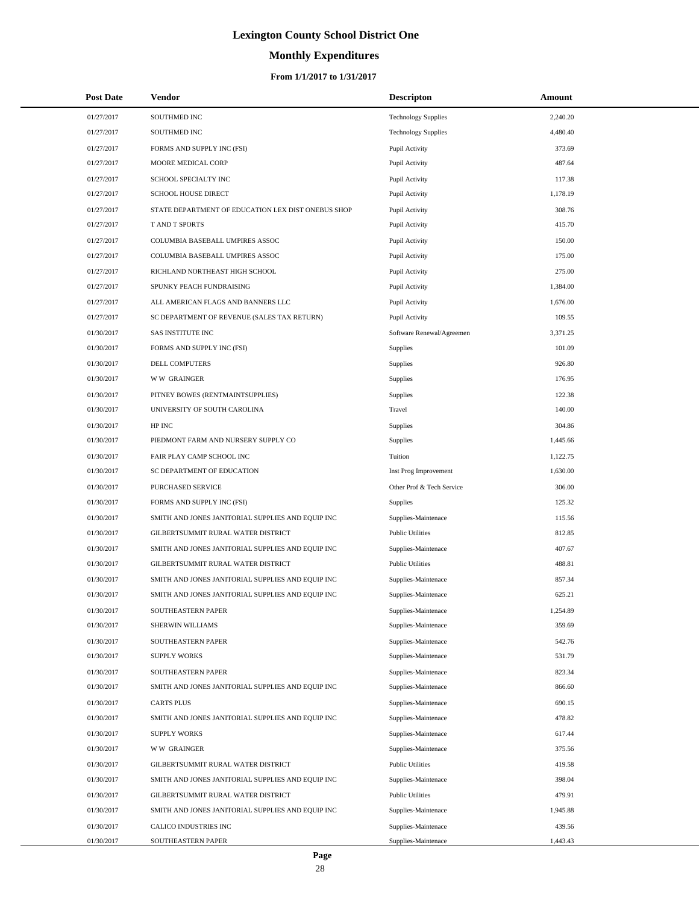# **Monthly Expenditures**

| <b>Post Date</b> | Vendor                                             | <b>Descripton</b>          | Amount   |
|------------------|----------------------------------------------------|----------------------------|----------|
| 01/27/2017       | SOUTHMED INC                                       | <b>Technology Supplies</b> | 2,240.20 |
| 01/27/2017       | SOUTHMED INC                                       | <b>Technology Supplies</b> | 4,480.40 |
| 01/27/2017       | FORMS AND SUPPLY INC (FSI)                         | Pupil Activity             | 373.69   |
| 01/27/2017       | MOORE MEDICAL CORP                                 | Pupil Activity             | 487.64   |
| 01/27/2017       | SCHOOL SPECIALTY INC                               | Pupil Activity             | 117.38   |
| 01/27/2017       | SCHOOL HOUSE DIRECT                                | Pupil Activity             | 1,178.19 |
| 01/27/2017       | STATE DEPARTMENT OF EDUCATION LEX DIST ONEBUS SHOP | Pupil Activity             | 308.76   |
| 01/27/2017       | <b>T AND T SPORTS</b>                              | Pupil Activity             | 415.70   |
| 01/27/2017       | COLUMBIA BASEBALL UMPIRES ASSOC                    | Pupil Activity             | 150.00   |
| 01/27/2017       | COLUMBIA BASEBALL UMPIRES ASSOC                    | Pupil Activity             | 175.00   |
| 01/27/2017       | RICHLAND NORTHEAST HIGH SCHOOL                     | Pupil Activity             | 275.00   |
| 01/27/2017       | SPUNKY PEACH FUNDRAISING                           | Pupil Activity             | 1,384.00 |
| 01/27/2017       | ALL AMERICAN FLAGS AND BANNERS LLC                 | Pupil Activity             | 1,676.00 |
| 01/27/2017       | SC DEPARTMENT OF REVENUE (SALES TAX RETURN)        | Pupil Activity             | 109.55   |
| 01/30/2017       | <b>SAS INSTITUTE INC</b>                           | Software Renewal/Agreemen  | 3,371.25 |
| 01/30/2017       | FORMS AND SUPPLY INC (FSI)                         | Supplies                   | 101.09   |
| 01/30/2017       | DELL COMPUTERS                                     | Supplies                   | 926.80   |
| 01/30/2017       | <b>WW GRAINGER</b>                                 | Supplies                   | 176.95   |
| 01/30/2017       | PITNEY BOWES (RENTMAINTSUPPLIES)                   | Supplies                   | 122.38   |
| 01/30/2017       | UNIVERSITY OF SOUTH CAROLINA                       | Travel                     | 140.00   |
| 01/30/2017       | HP INC                                             | Supplies                   | 304.86   |
| 01/30/2017       | PIEDMONT FARM AND NURSERY SUPPLY CO                | Supplies                   | 1,445.66 |
| 01/30/2017       | FAIR PLAY CAMP SCHOOL INC                          | Tuition                    | 1,122.75 |
| 01/30/2017       | SC DEPARTMENT OF EDUCATION                         | Inst Prog Improvement      | 1,630.00 |
| 01/30/2017       | PURCHASED SERVICE                                  | Other Prof & Tech Service  | 306.00   |
| 01/30/2017       | FORMS AND SUPPLY INC (FSI)                         | <b>Supplies</b>            | 125.32   |
| 01/30/2017       | SMITH AND JONES JANITORIAL SUPPLIES AND EQUIP INC  | Supplies-Maintenace        | 115.56   |
| 01/30/2017       | GILBERTSUMMIT RURAL WATER DISTRICT                 | <b>Public Utilities</b>    | 812.85   |
| 01/30/2017       | SMITH AND JONES JANITORIAL SUPPLIES AND EQUIP INC  | Supplies-Maintenace        | 407.67   |
| 01/30/2017       | GILBERTSUMMIT RURAL WATER DISTRICT                 | <b>Public Utilities</b>    | 488.81   |
| 01/30/2017       | SMITH AND JONES JANITORIAL SUPPLIES AND EQUIP INC  | Supplies-Maintenace        | 857.34   |
| 01/30/2017       | SMITH AND JONES JANITORIAL SUPPLIES AND EQUIP INC  | Supplies-Maintenace        | 625.21   |
| 01/30/2017       | SOUTHEASTERN PAPER                                 | Supplies-Maintenace        | 1,254.89 |
| 01/30/2017       | SHERWIN WILLIAMS                                   | Supplies-Maintenace        | 359.69   |
| 01/30/2017       | SOUTHEASTERN PAPER                                 | Supplies-Maintenace        | 542.76   |
| 01/30/2017       | <b>SUPPLY WORKS</b>                                | Supplies-Maintenace        | 531.79   |
| 01/30/2017       | SOUTHEASTERN PAPER                                 | Supplies-Maintenace        | 823.34   |
| 01/30/2017       | SMITH AND JONES JANITORIAL SUPPLIES AND EQUIP INC  | Supplies-Maintenace        | 866.60   |
| 01/30/2017       | <b>CARTS PLUS</b>                                  | Supplies-Maintenace        | 690.15   |
| 01/30/2017       | SMITH AND JONES JANITORIAL SUPPLIES AND EQUIP INC  | Supplies-Maintenace        | 478.82   |
| 01/30/2017       | <b>SUPPLY WORKS</b>                                | Supplies-Maintenace        | 617.44   |
| 01/30/2017       | <b>WW GRAINGER</b>                                 | Supplies-Maintenace        | 375.56   |
| 01/30/2017       | GILBERTSUMMIT RURAL WATER DISTRICT                 | <b>Public Utilities</b>    | 419.58   |
| 01/30/2017       | SMITH AND JONES JANITORIAL SUPPLIES AND EQUIP INC  | Supplies-Maintenace        | 398.04   |
| 01/30/2017       | GILBERTSUMMIT RURAL WATER DISTRICT                 | <b>Public Utilities</b>    | 479.91   |
| 01/30/2017       | SMITH AND JONES JANITORIAL SUPPLIES AND EQUIP INC  | Supplies-Maintenace        | 1,945.88 |
| 01/30/2017       | CALICO INDUSTRIES INC                              | Supplies-Maintenace        | 439.56   |
| 01/30/2017       | SOUTHEASTERN PAPER                                 | Supplies-Maintenace        | 1,443.43 |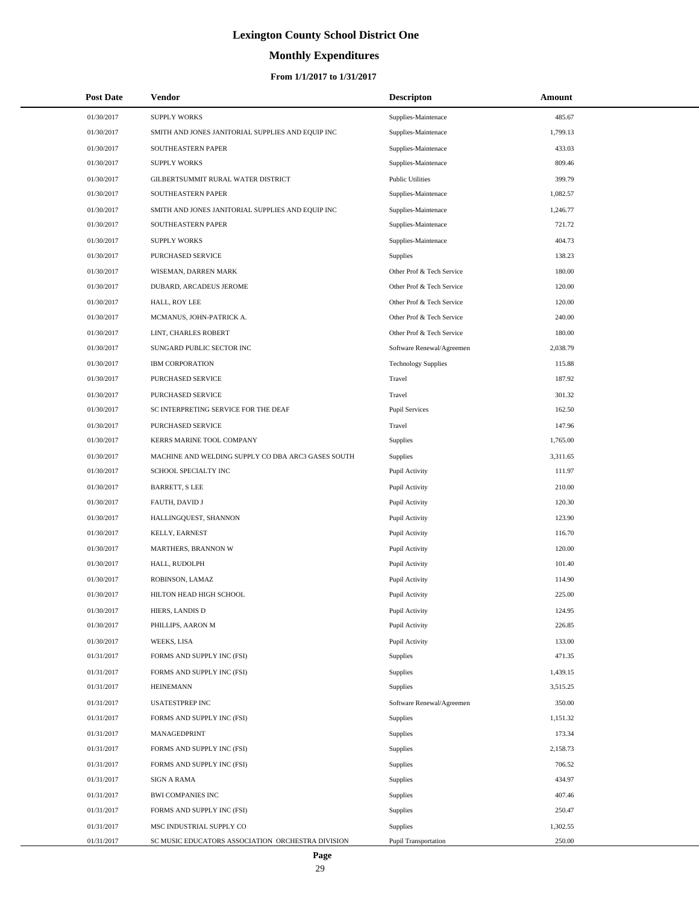# **Monthly Expenditures**

#### **From 1/1/2017 to 1/31/2017**

| <b>Post Date</b> | Vendor                                             | <b>Descripton</b>          | Amount   |  |
|------------------|----------------------------------------------------|----------------------------|----------|--|
| 01/30/2017       | <b>SUPPLY WORKS</b>                                | Supplies-Maintenace        | 485.67   |  |
| 01/30/2017       | SMITH AND JONES JANITORIAL SUPPLIES AND EQUIP INC  | Supplies-Maintenace        | 1,799.13 |  |
| 01/30/2017       | SOUTHEASTERN PAPER                                 | Supplies-Maintenace        | 433.03   |  |
| 01/30/2017       | <b>SUPPLY WORKS</b>                                | Supplies-Maintenace        | 809.46   |  |
| 01/30/2017       | GILBERTSUMMIT RURAL WATER DISTRICT                 | <b>Public Utilities</b>    | 399.79   |  |
| 01/30/2017       | SOUTHEASTERN PAPER                                 | Supplies-Maintenace        | 1,082.57 |  |
| 01/30/2017       | SMITH AND JONES JANITORIAL SUPPLIES AND EQUIP INC  | Supplies-Maintenace        | 1,246.77 |  |
| 01/30/2017       | SOUTHEASTERN PAPER                                 | Supplies-Maintenace        | 721.72   |  |
| 01/30/2017       | <b>SUPPLY WORKS</b>                                | Supplies-Maintenace        | 404.73   |  |
| 01/30/2017       | PURCHASED SERVICE                                  | Supplies                   | 138.23   |  |
| 01/30/2017       | WISEMAN, DARREN MARK                               | Other Prof & Tech Service  | 180.00   |  |
| 01/30/2017       | DUBARD, ARCADEUS JEROME                            | Other Prof & Tech Service  | 120.00   |  |
| 01/30/2017       | HALL, ROY LEE                                      | Other Prof & Tech Service  | 120.00   |  |
| 01/30/2017       | MCMANUS, JOHN-PATRICK A.                           | Other Prof & Tech Service  | 240.00   |  |
| 01/30/2017       | LINT, CHARLES ROBERT                               | Other Prof & Tech Service  | 180.00   |  |
| 01/30/2017       | SUNGARD PUBLIC SECTOR INC                          | Software Renewal/Agreemen  | 2,038.79 |  |
| 01/30/2017       | <b>IBM CORPORATION</b>                             | <b>Technology Supplies</b> | 115.88   |  |
| 01/30/2017       | PURCHASED SERVICE                                  | Travel                     | 187.92   |  |
| 01/30/2017       | PURCHASED SERVICE                                  | Travel                     | 301.32   |  |
| 01/30/2017       | SC INTERPRETING SERVICE FOR THE DEAF               | <b>Pupil Services</b>      | 162.50   |  |
| 01/30/2017       | PURCHASED SERVICE                                  | Travel                     | 147.96   |  |
| 01/30/2017       | KERRS MARINE TOOL COMPANY                          | Supplies                   | 1,765.00 |  |
| 01/30/2017       | MACHINE AND WELDING SUPPLY CO DBA ARC3 GASES SOUTH | Supplies                   | 3,311.65 |  |
| 01/30/2017       | SCHOOL SPECIALTY INC                               | Pupil Activity             | 111.97   |  |
| 01/30/2017       | <b>BARRETT, S LEE</b>                              | Pupil Activity             | 210.00   |  |
| 01/30/2017       | FAUTH, DAVID J                                     | Pupil Activity             | 120.30   |  |
| 01/30/2017       | HALLINGQUEST, SHANNON                              | Pupil Activity             | 123.90   |  |
| 01/30/2017       | KELLY, EARNEST                                     | Pupil Activity             | 116.70   |  |
| 01/30/2017       | MARTHERS, BRANNON W                                | Pupil Activity             | 120.00   |  |
| 01/30/2017       | HALL, RUDOLPH                                      | Pupil Activity             | 101.40   |  |
| 01/30/2017       | ROBINSON, LAMAZ                                    | Pupil Activity             | 114.90   |  |
| 01/30/2017       | HILTON HEAD HIGH SCHOOL                            | Pupil Activity             | 225.00   |  |
| 01/30/2017       | HIERS, LANDIS D                                    | Pupil Activity             | 124.95   |  |
| 01/30/2017       | PHILLIPS, AARON M                                  | Pupil Activity             | 226.85   |  |
| 01/30/2017       | WEEKS, LISA                                        | Pupil Activity             | 133.00   |  |
| 01/31/2017       | FORMS AND SUPPLY INC (FSI)                         | Supplies                   | 471.35   |  |
| 01/31/2017       | FORMS AND SUPPLY INC (FSI)                         | Supplies                   | 1,439.15 |  |
| 01/31/2017       | <b>HEINEMANN</b>                                   | Supplies                   | 3,515.25 |  |
| 01/31/2017       | <b>USATESTPREP INC</b>                             | Software Renewal/Agreemen  | 350.00   |  |
| 01/31/2017       | FORMS AND SUPPLY INC (FSI)                         | Supplies                   | 1,151.32 |  |
| 01/31/2017       | MANAGEDPRINT                                       | Supplies                   | 173.34   |  |
| 01/31/2017       | FORMS AND SUPPLY INC (FSI)                         | Supplies                   | 2,158.73 |  |
| 01/31/2017       | FORMS AND SUPPLY INC (FSI)                         | Supplies                   | 706.52   |  |
| 01/31/2017       | SIGN A RAMA                                        | Supplies                   | 434.97   |  |
| 01/31/2017       | <b>BWI COMPANIES INC</b>                           | Supplies                   | 407.46   |  |
| 01/31/2017       | FORMS AND SUPPLY INC (FSI)                         | Supplies                   | 250.47   |  |
| 01/31/2017       | MSC INDUSTRIAL SUPPLY CO                           | Supplies                   | 1,302.55 |  |
| 01/31/2017       | SC MUSIC EDUCATORS ASSOCIATION ORCHESTRA DIVISION  | Pupil Transportation       | 250.00   |  |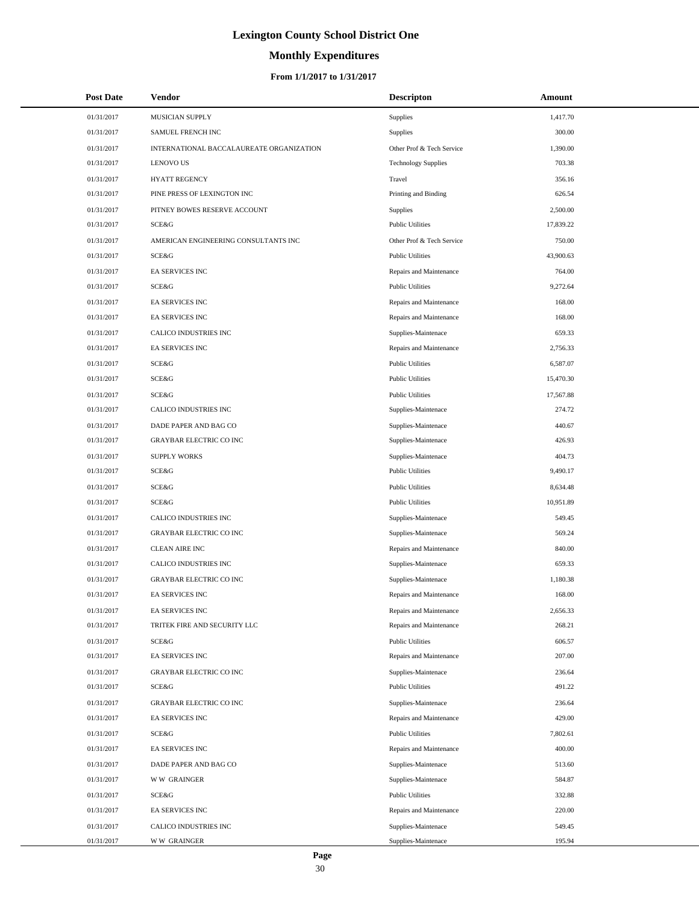# **Monthly Expenditures**

#### **From 1/1/2017 to 1/31/2017**

| 01/31/2017<br>MUSICIAN SUPPLY<br>Supplies<br>1,417.70<br>300.00<br>01/31/2017<br>SAMUEL FRENCH INC<br>Supplies<br>01/31/2017<br>INTERNATIONAL BACCALAUREATE ORGANIZATION<br>Other Prof & Tech Service<br>1,390.00<br><b>LENOVO US</b><br>703.38<br>01/31/2017<br><b>Technology Supplies</b><br>01/31/2017<br><b>HYATT REGENCY</b><br>Travel<br>356.16<br>01/31/2017<br>PINE PRESS OF LEXINGTON INC<br>Printing and Binding<br>626.54<br>01/31/2017<br>PITNEY BOWES RESERVE ACCOUNT<br>Supplies<br>2,500.00<br>SCE&G<br><b>Public Utilities</b><br>17,839.22<br>01/31/2017<br>750.00<br>01/31/2017<br>AMERICAN ENGINEERING CONSULTANTS INC<br>Other Prof & Tech Service<br>01/31/2017<br>SCE&G<br><b>Public Utilities</b><br>43,900.63<br>764.00<br>01/31/2017<br><b>EA SERVICES INC</b><br>Repairs and Maintenance<br>SCE&G<br><b>Public Utilities</b><br>9,272.64<br>01/31/2017<br>168.00<br>01/31/2017<br><b>EA SERVICES INC</b><br>Repairs and Maintenance<br>01/31/2017<br>168.00<br><b>EA SERVICES INC</b><br>Repairs and Maintenance<br>01/31/2017<br>CALICO INDUSTRIES INC<br>Supplies-Maintenace<br>659.33<br>01/31/2017<br><b>EA SERVICES INC</b><br>Repairs and Maintenance<br>2,756.33<br>01/31/2017<br>SCE&G<br><b>Public Utilities</b><br>6,587.07<br><b>SCE&amp;G</b><br>01/31/2017<br><b>Public Utilities</b><br>15,470.30<br>01/31/2017<br><b>SCE&amp;G</b><br><b>Public Utilities</b><br>17,567.88<br>CALICO INDUSTRIES INC<br>274.72<br>01/31/2017<br>Supplies-Maintenace<br>01/31/2017<br>DADE PAPER AND BAG CO<br>Supplies-Maintenace<br>440.67<br>01/31/2017<br><b>GRAYBAR ELECTRIC CO INC</b><br>426.93<br>Supplies-Maintenace<br>01/31/2017<br><b>SUPPLY WORKS</b><br>Supplies-Maintenace<br>404.73<br>01/31/2017<br>SCE&G<br><b>Public Utilities</b><br>9,490.17<br>01/31/2017<br>SCE&G<br><b>Public Utilities</b><br>8,634.48<br>10,951.89<br>01/31/2017<br>SCE&G<br><b>Public Utilities</b><br>01/31/2017<br>CALICO INDUSTRIES INC<br>Supplies-Maintenace<br>549.45<br><b>GRAYBAR ELECTRIC CO INC</b><br>569.24<br>01/31/2017<br>Supplies-Maintenace<br>01/31/2017<br><b>CLEAN AIRE INC</b><br>Repairs and Maintenance<br>840.00<br>01/31/2017<br>CALICO INDUSTRIES INC<br>659.33<br>Supplies-Maintenace<br>01/31/2017<br><b>GRAYBAR ELECTRIC CO INC</b><br>Supplies-Maintenace<br>1,180.38<br><b>EA SERVICES INC</b><br>168.00<br>01/31/2017<br>Repairs and Maintenance<br>01/31/2017<br>EA SERVICES INC<br>Repairs and Maintenance<br>2,656.33<br>01/31/2017<br>TRITEK FIRE AND SECURITY LLC<br>Repairs and Maintenance<br>268.21<br>01/31/2017<br>SCE&G<br><b>Public Utilities</b><br>606.57<br>01/31/2017<br><b>EA SERVICES INC</b><br>Repairs and Maintenance<br>207.00<br>01/31/2017<br><b>GRAYBAR ELECTRIC CO INC</b><br>Supplies-Maintenace<br>236.64<br>491.22<br>01/31/2017<br>SCE&G<br><b>Public Utilities</b><br>01/31/2017<br><b>GRAYBAR ELECTRIC CO INC</b><br>Supplies-Maintenace<br>236.64<br>429.00<br>01/31/2017<br><b>EA SERVICES INC</b><br>Repairs and Maintenance<br>7,802.61<br>01/31/2017<br>SCE&G<br><b>Public Utilities</b><br>400.00<br>01/31/2017<br>EA SERVICES INC<br>Repairs and Maintenance<br>01/31/2017<br>DADE PAPER AND BAG CO<br>Supplies-Maintenace<br>513.60<br>01/31/2017<br><b>WW GRAINGER</b><br>Supplies-Maintenace<br>584.87<br>01/31/2017<br>SCE&G<br><b>Public Utilities</b><br>332.88<br>01/31/2017<br>EA SERVICES INC<br>Repairs and Maintenance<br>220.00<br>01/31/2017<br>CALICO INDUSTRIES INC<br>Supplies-Maintenace<br>549.45 | <b>Post Date</b> | Vendor             | <b>Descripton</b>   | Amount |  |
|--------------------------------------------------------------------------------------------------------------------------------------------------------------------------------------------------------------------------------------------------------------------------------------------------------------------------------------------------------------------------------------------------------------------------------------------------------------------------------------------------------------------------------------------------------------------------------------------------------------------------------------------------------------------------------------------------------------------------------------------------------------------------------------------------------------------------------------------------------------------------------------------------------------------------------------------------------------------------------------------------------------------------------------------------------------------------------------------------------------------------------------------------------------------------------------------------------------------------------------------------------------------------------------------------------------------------------------------------------------------------------------------------------------------------------------------------------------------------------------------------------------------------------------------------------------------------------------------------------------------------------------------------------------------------------------------------------------------------------------------------------------------------------------------------------------------------------------------------------------------------------------------------------------------------------------------------------------------------------------------------------------------------------------------------------------------------------------------------------------------------------------------------------------------------------------------------------------------------------------------------------------------------------------------------------------------------------------------------------------------------------------------------------------------------------------------------------------------------------------------------------------------------------------------------------------------------------------------------------------------------------------------------------------------------------------------------------------------------------------------------------------------------------------------------------------------------------------------------------------------------------------------------------------------------------------------------------------------------------------------------------------------------------------------------------------------------------------------------------------------------------------------------------------------------------------------------------------------------------------------------------------------------------------------------------------------------------------------------------------------------------------------------------------------------------------------------------------------------------------------------------------|------------------|--------------------|---------------------|--------|--|
|                                                                                                                                                                                                                                                                                                                                                                                                                                                                                                                                                                                                                                                                                                                                                                                                                                                                                                                                                                                                                                                                                                                                                                                                                                                                                                                                                                                                                                                                                                                                                                                                                                                                                                                                                                                                                                                                                                                                                                                                                                                                                                                                                                                                                                                                                                                                                                                                                                                                                                                                                                                                                                                                                                                                                                                                                                                                                                                                                                                                                                                                                                                                                                                                                                                                                                                                                                                                                                                                                                              |                  |                    |                     |        |  |
|                                                                                                                                                                                                                                                                                                                                                                                                                                                                                                                                                                                                                                                                                                                                                                                                                                                                                                                                                                                                                                                                                                                                                                                                                                                                                                                                                                                                                                                                                                                                                                                                                                                                                                                                                                                                                                                                                                                                                                                                                                                                                                                                                                                                                                                                                                                                                                                                                                                                                                                                                                                                                                                                                                                                                                                                                                                                                                                                                                                                                                                                                                                                                                                                                                                                                                                                                                                                                                                                                                              |                  |                    |                     |        |  |
|                                                                                                                                                                                                                                                                                                                                                                                                                                                                                                                                                                                                                                                                                                                                                                                                                                                                                                                                                                                                                                                                                                                                                                                                                                                                                                                                                                                                                                                                                                                                                                                                                                                                                                                                                                                                                                                                                                                                                                                                                                                                                                                                                                                                                                                                                                                                                                                                                                                                                                                                                                                                                                                                                                                                                                                                                                                                                                                                                                                                                                                                                                                                                                                                                                                                                                                                                                                                                                                                                                              |                  |                    |                     |        |  |
|                                                                                                                                                                                                                                                                                                                                                                                                                                                                                                                                                                                                                                                                                                                                                                                                                                                                                                                                                                                                                                                                                                                                                                                                                                                                                                                                                                                                                                                                                                                                                                                                                                                                                                                                                                                                                                                                                                                                                                                                                                                                                                                                                                                                                                                                                                                                                                                                                                                                                                                                                                                                                                                                                                                                                                                                                                                                                                                                                                                                                                                                                                                                                                                                                                                                                                                                                                                                                                                                                                              |                  |                    |                     |        |  |
|                                                                                                                                                                                                                                                                                                                                                                                                                                                                                                                                                                                                                                                                                                                                                                                                                                                                                                                                                                                                                                                                                                                                                                                                                                                                                                                                                                                                                                                                                                                                                                                                                                                                                                                                                                                                                                                                                                                                                                                                                                                                                                                                                                                                                                                                                                                                                                                                                                                                                                                                                                                                                                                                                                                                                                                                                                                                                                                                                                                                                                                                                                                                                                                                                                                                                                                                                                                                                                                                                                              |                  |                    |                     |        |  |
|                                                                                                                                                                                                                                                                                                                                                                                                                                                                                                                                                                                                                                                                                                                                                                                                                                                                                                                                                                                                                                                                                                                                                                                                                                                                                                                                                                                                                                                                                                                                                                                                                                                                                                                                                                                                                                                                                                                                                                                                                                                                                                                                                                                                                                                                                                                                                                                                                                                                                                                                                                                                                                                                                                                                                                                                                                                                                                                                                                                                                                                                                                                                                                                                                                                                                                                                                                                                                                                                                                              |                  |                    |                     |        |  |
|                                                                                                                                                                                                                                                                                                                                                                                                                                                                                                                                                                                                                                                                                                                                                                                                                                                                                                                                                                                                                                                                                                                                                                                                                                                                                                                                                                                                                                                                                                                                                                                                                                                                                                                                                                                                                                                                                                                                                                                                                                                                                                                                                                                                                                                                                                                                                                                                                                                                                                                                                                                                                                                                                                                                                                                                                                                                                                                                                                                                                                                                                                                                                                                                                                                                                                                                                                                                                                                                                                              |                  |                    |                     |        |  |
|                                                                                                                                                                                                                                                                                                                                                                                                                                                                                                                                                                                                                                                                                                                                                                                                                                                                                                                                                                                                                                                                                                                                                                                                                                                                                                                                                                                                                                                                                                                                                                                                                                                                                                                                                                                                                                                                                                                                                                                                                                                                                                                                                                                                                                                                                                                                                                                                                                                                                                                                                                                                                                                                                                                                                                                                                                                                                                                                                                                                                                                                                                                                                                                                                                                                                                                                                                                                                                                                                                              |                  |                    |                     |        |  |
|                                                                                                                                                                                                                                                                                                                                                                                                                                                                                                                                                                                                                                                                                                                                                                                                                                                                                                                                                                                                                                                                                                                                                                                                                                                                                                                                                                                                                                                                                                                                                                                                                                                                                                                                                                                                                                                                                                                                                                                                                                                                                                                                                                                                                                                                                                                                                                                                                                                                                                                                                                                                                                                                                                                                                                                                                                                                                                                                                                                                                                                                                                                                                                                                                                                                                                                                                                                                                                                                                                              |                  |                    |                     |        |  |
|                                                                                                                                                                                                                                                                                                                                                                                                                                                                                                                                                                                                                                                                                                                                                                                                                                                                                                                                                                                                                                                                                                                                                                                                                                                                                                                                                                                                                                                                                                                                                                                                                                                                                                                                                                                                                                                                                                                                                                                                                                                                                                                                                                                                                                                                                                                                                                                                                                                                                                                                                                                                                                                                                                                                                                                                                                                                                                                                                                                                                                                                                                                                                                                                                                                                                                                                                                                                                                                                                                              |                  |                    |                     |        |  |
|                                                                                                                                                                                                                                                                                                                                                                                                                                                                                                                                                                                                                                                                                                                                                                                                                                                                                                                                                                                                                                                                                                                                                                                                                                                                                                                                                                                                                                                                                                                                                                                                                                                                                                                                                                                                                                                                                                                                                                                                                                                                                                                                                                                                                                                                                                                                                                                                                                                                                                                                                                                                                                                                                                                                                                                                                                                                                                                                                                                                                                                                                                                                                                                                                                                                                                                                                                                                                                                                                                              |                  |                    |                     |        |  |
|                                                                                                                                                                                                                                                                                                                                                                                                                                                                                                                                                                                                                                                                                                                                                                                                                                                                                                                                                                                                                                                                                                                                                                                                                                                                                                                                                                                                                                                                                                                                                                                                                                                                                                                                                                                                                                                                                                                                                                                                                                                                                                                                                                                                                                                                                                                                                                                                                                                                                                                                                                                                                                                                                                                                                                                                                                                                                                                                                                                                                                                                                                                                                                                                                                                                                                                                                                                                                                                                                                              |                  |                    |                     |        |  |
|                                                                                                                                                                                                                                                                                                                                                                                                                                                                                                                                                                                                                                                                                                                                                                                                                                                                                                                                                                                                                                                                                                                                                                                                                                                                                                                                                                                                                                                                                                                                                                                                                                                                                                                                                                                                                                                                                                                                                                                                                                                                                                                                                                                                                                                                                                                                                                                                                                                                                                                                                                                                                                                                                                                                                                                                                                                                                                                                                                                                                                                                                                                                                                                                                                                                                                                                                                                                                                                                                                              |                  |                    |                     |        |  |
|                                                                                                                                                                                                                                                                                                                                                                                                                                                                                                                                                                                                                                                                                                                                                                                                                                                                                                                                                                                                                                                                                                                                                                                                                                                                                                                                                                                                                                                                                                                                                                                                                                                                                                                                                                                                                                                                                                                                                                                                                                                                                                                                                                                                                                                                                                                                                                                                                                                                                                                                                                                                                                                                                                                                                                                                                                                                                                                                                                                                                                                                                                                                                                                                                                                                                                                                                                                                                                                                                                              |                  |                    |                     |        |  |
|                                                                                                                                                                                                                                                                                                                                                                                                                                                                                                                                                                                                                                                                                                                                                                                                                                                                                                                                                                                                                                                                                                                                                                                                                                                                                                                                                                                                                                                                                                                                                                                                                                                                                                                                                                                                                                                                                                                                                                                                                                                                                                                                                                                                                                                                                                                                                                                                                                                                                                                                                                                                                                                                                                                                                                                                                                                                                                                                                                                                                                                                                                                                                                                                                                                                                                                                                                                                                                                                                                              |                  |                    |                     |        |  |
|                                                                                                                                                                                                                                                                                                                                                                                                                                                                                                                                                                                                                                                                                                                                                                                                                                                                                                                                                                                                                                                                                                                                                                                                                                                                                                                                                                                                                                                                                                                                                                                                                                                                                                                                                                                                                                                                                                                                                                                                                                                                                                                                                                                                                                                                                                                                                                                                                                                                                                                                                                                                                                                                                                                                                                                                                                                                                                                                                                                                                                                                                                                                                                                                                                                                                                                                                                                                                                                                                                              |                  |                    |                     |        |  |
|                                                                                                                                                                                                                                                                                                                                                                                                                                                                                                                                                                                                                                                                                                                                                                                                                                                                                                                                                                                                                                                                                                                                                                                                                                                                                                                                                                                                                                                                                                                                                                                                                                                                                                                                                                                                                                                                                                                                                                                                                                                                                                                                                                                                                                                                                                                                                                                                                                                                                                                                                                                                                                                                                                                                                                                                                                                                                                                                                                                                                                                                                                                                                                                                                                                                                                                                                                                                                                                                                                              |                  |                    |                     |        |  |
|                                                                                                                                                                                                                                                                                                                                                                                                                                                                                                                                                                                                                                                                                                                                                                                                                                                                                                                                                                                                                                                                                                                                                                                                                                                                                                                                                                                                                                                                                                                                                                                                                                                                                                                                                                                                                                                                                                                                                                                                                                                                                                                                                                                                                                                                                                                                                                                                                                                                                                                                                                                                                                                                                                                                                                                                                                                                                                                                                                                                                                                                                                                                                                                                                                                                                                                                                                                                                                                                                                              |                  |                    |                     |        |  |
|                                                                                                                                                                                                                                                                                                                                                                                                                                                                                                                                                                                                                                                                                                                                                                                                                                                                                                                                                                                                                                                                                                                                                                                                                                                                                                                                                                                                                                                                                                                                                                                                                                                                                                                                                                                                                                                                                                                                                                                                                                                                                                                                                                                                                                                                                                                                                                                                                                                                                                                                                                                                                                                                                                                                                                                                                                                                                                                                                                                                                                                                                                                                                                                                                                                                                                                                                                                                                                                                                                              |                  |                    |                     |        |  |
|                                                                                                                                                                                                                                                                                                                                                                                                                                                                                                                                                                                                                                                                                                                                                                                                                                                                                                                                                                                                                                                                                                                                                                                                                                                                                                                                                                                                                                                                                                                                                                                                                                                                                                                                                                                                                                                                                                                                                                                                                                                                                                                                                                                                                                                                                                                                                                                                                                                                                                                                                                                                                                                                                                                                                                                                                                                                                                                                                                                                                                                                                                                                                                                                                                                                                                                                                                                                                                                                                                              |                  |                    |                     |        |  |
|                                                                                                                                                                                                                                                                                                                                                                                                                                                                                                                                                                                                                                                                                                                                                                                                                                                                                                                                                                                                                                                                                                                                                                                                                                                                                                                                                                                                                                                                                                                                                                                                                                                                                                                                                                                                                                                                                                                                                                                                                                                                                                                                                                                                                                                                                                                                                                                                                                                                                                                                                                                                                                                                                                                                                                                                                                                                                                                                                                                                                                                                                                                                                                                                                                                                                                                                                                                                                                                                                                              |                  |                    |                     |        |  |
|                                                                                                                                                                                                                                                                                                                                                                                                                                                                                                                                                                                                                                                                                                                                                                                                                                                                                                                                                                                                                                                                                                                                                                                                                                                                                                                                                                                                                                                                                                                                                                                                                                                                                                                                                                                                                                                                                                                                                                                                                                                                                                                                                                                                                                                                                                                                                                                                                                                                                                                                                                                                                                                                                                                                                                                                                                                                                                                                                                                                                                                                                                                                                                                                                                                                                                                                                                                                                                                                                                              |                  |                    |                     |        |  |
|                                                                                                                                                                                                                                                                                                                                                                                                                                                                                                                                                                                                                                                                                                                                                                                                                                                                                                                                                                                                                                                                                                                                                                                                                                                                                                                                                                                                                                                                                                                                                                                                                                                                                                                                                                                                                                                                                                                                                                                                                                                                                                                                                                                                                                                                                                                                                                                                                                                                                                                                                                                                                                                                                                                                                                                                                                                                                                                                                                                                                                                                                                                                                                                                                                                                                                                                                                                                                                                                                                              |                  |                    |                     |        |  |
|                                                                                                                                                                                                                                                                                                                                                                                                                                                                                                                                                                                                                                                                                                                                                                                                                                                                                                                                                                                                                                                                                                                                                                                                                                                                                                                                                                                                                                                                                                                                                                                                                                                                                                                                                                                                                                                                                                                                                                                                                                                                                                                                                                                                                                                                                                                                                                                                                                                                                                                                                                                                                                                                                                                                                                                                                                                                                                                                                                                                                                                                                                                                                                                                                                                                                                                                                                                                                                                                                                              |                  |                    |                     |        |  |
|                                                                                                                                                                                                                                                                                                                                                                                                                                                                                                                                                                                                                                                                                                                                                                                                                                                                                                                                                                                                                                                                                                                                                                                                                                                                                                                                                                                                                                                                                                                                                                                                                                                                                                                                                                                                                                                                                                                                                                                                                                                                                                                                                                                                                                                                                                                                                                                                                                                                                                                                                                                                                                                                                                                                                                                                                                                                                                                                                                                                                                                                                                                                                                                                                                                                                                                                                                                                                                                                                                              |                  |                    |                     |        |  |
|                                                                                                                                                                                                                                                                                                                                                                                                                                                                                                                                                                                                                                                                                                                                                                                                                                                                                                                                                                                                                                                                                                                                                                                                                                                                                                                                                                                                                                                                                                                                                                                                                                                                                                                                                                                                                                                                                                                                                                                                                                                                                                                                                                                                                                                                                                                                                                                                                                                                                                                                                                                                                                                                                                                                                                                                                                                                                                                                                                                                                                                                                                                                                                                                                                                                                                                                                                                                                                                                                                              |                  |                    |                     |        |  |
|                                                                                                                                                                                                                                                                                                                                                                                                                                                                                                                                                                                                                                                                                                                                                                                                                                                                                                                                                                                                                                                                                                                                                                                                                                                                                                                                                                                                                                                                                                                                                                                                                                                                                                                                                                                                                                                                                                                                                                                                                                                                                                                                                                                                                                                                                                                                                                                                                                                                                                                                                                                                                                                                                                                                                                                                                                                                                                                                                                                                                                                                                                                                                                                                                                                                                                                                                                                                                                                                                                              |                  |                    |                     |        |  |
|                                                                                                                                                                                                                                                                                                                                                                                                                                                                                                                                                                                                                                                                                                                                                                                                                                                                                                                                                                                                                                                                                                                                                                                                                                                                                                                                                                                                                                                                                                                                                                                                                                                                                                                                                                                                                                                                                                                                                                                                                                                                                                                                                                                                                                                                                                                                                                                                                                                                                                                                                                                                                                                                                                                                                                                                                                                                                                                                                                                                                                                                                                                                                                                                                                                                                                                                                                                                                                                                                                              |                  |                    |                     |        |  |
|                                                                                                                                                                                                                                                                                                                                                                                                                                                                                                                                                                                                                                                                                                                                                                                                                                                                                                                                                                                                                                                                                                                                                                                                                                                                                                                                                                                                                                                                                                                                                                                                                                                                                                                                                                                                                                                                                                                                                                                                                                                                                                                                                                                                                                                                                                                                                                                                                                                                                                                                                                                                                                                                                                                                                                                                                                                                                                                                                                                                                                                                                                                                                                                                                                                                                                                                                                                                                                                                                                              |                  |                    |                     |        |  |
|                                                                                                                                                                                                                                                                                                                                                                                                                                                                                                                                                                                                                                                                                                                                                                                                                                                                                                                                                                                                                                                                                                                                                                                                                                                                                                                                                                                                                                                                                                                                                                                                                                                                                                                                                                                                                                                                                                                                                                                                                                                                                                                                                                                                                                                                                                                                                                                                                                                                                                                                                                                                                                                                                                                                                                                                                                                                                                                                                                                                                                                                                                                                                                                                                                                                                                                                                                                                                                                                                                              |                  |                    |                     |        |  |
|                                                                                                                                                                                                                                                                                                                                                                                                                                                                                                                                                                                                                                                                                                                                                                                                                                                                                                                                                                                                                                                                                                                                                                                                                                                                                                                                                                                                                                                                                                                                                                                                                                                                                                                                                                                                                                                                                                                                                                                                                                                                                                                                                                                                                                                                                                                                                                                                                                                                                                                                                                                                                                                                                                                                                                                                                                                                                                                                                                                                                                                                                                                                                                                                                                                                                                                                                                                                                                                                                                              |                  |                    |                     |        |  |
|                                                                                                                                                                                                                                                                                                                                                                                                                                                                                                                                                                                                                                                                                                                                                                                                                                                                                                                                                                                                                                                                                                                                                                                                                                                                                                                                                                                                                                                                                                                                                                                                                                                                                                                                                                                                                                                                                                                                                                                                                                                                                                                                                                                                                                                                                                                                                                                                                                                                                                                                                                                                                                                                                                                                                                                                                                                                                                                                                                                                                                                                                                                                                                                                                                                                                                                                                                                                                                                                                                              |                  |                    |                     |        |  |
|                                                                                                                                                                                                                                                                                                                                                                                                                                                                                                                                                                                                                                                                                                                                                                                                                                                                                                                                                                                                                                                                                                                                                                                                                                                                                                                                                                                                                                                                                                                                                                                                                                                                                                                                                                                                                                                                                                                                                                                                                                                                                                                                                                                                                                                                                                                                                                                                                                                                                                                                                                                                                                                                                                                                                                                                                                                                                                                                                                                                                                                                                                                                                                                                                                                                                                                                                                                                                                                                                                              |                  |                    |                     |        |  |
|                                                                                                                                                                                                                                                                                                                                                                                                                                                                                                                                                                                                                                                                                                                                                                                                                                                                                                                                                                                                                                                                                                                                                                                                                                                                                                                                                                                                                                                                                                                                                                                                                                                                                                                                                                                                                                                                                                                                                                                                                                                                                                                                                                                                                                                                                                                                                                                                                                                                                                                                                                                                                                                                                                                                                                                                                                                                                                                                                                                                                                                                                                                                                                                                                                                                                                                                                                                                                                                                                                              |                  |                    |                     |        |  |
|                                                                                                                                                                                                                                                                                                                                                                                                                                                                                                                                                                                                                                                                                                                                                                                                                                                                                                                                                                                                                                                                                                                                                                                                                                                                                                                                                                                                                                                                                                                                                                                                                                                                                                                                                                                                                                                                                                                                                                                                                                                                                                                                                                                                                                                                                                                                                                                                                                                                                                                                                                                                                                                                                                                                                                                                                                                                                                                                                                                                                                                                                                                                                                                                                                                                                                                                                                                                                                                                                                              |                  |                    |                     |        |  |
|                                                                                                                                                                                                                                                                                                                                                                                                                                                                                                                                                                                                                                                                                                                                                                                                                                                                                                                                                                                                                                                                                                                                                                                                                                                                                                                                                                                                                                                                                                                                                                                                                                                                                                                                                                                                                                                                                                                                                                                                                                                                                                                                                                                                                                                                                                                                                                                                                                                                                                                                                                                                                                                                                                                                                                                                                                                                                                                                                                                                                                                                                                                                                                                                                                                                                                                                                                                                                                                                                                              |                  |                    |                     |        |  |
|                                                                                                                                                                                                                                                                                                                                                                                                                                                                                                                                                                                                                                                                                                                                                                                                                                                                                                                                                                                                                                                                                                                                                                                                                                                                                                                                                                                                                                                                                                                                                                                                                                                                                                                                                                                                                                                                                                                                                                                                                                                                                                                                                                                                                                                                                                                                                                                                                                                                                                                                                                                                                                                                                                                                                                                                                                                                                                                                                                                                                                                                                                                                                                                                                                                                                                                                                                                                                                                                                                              |                  |                    |                     |        |  |
|                                                                                                                                                                                                                                                                                                                                                                                                                                                                                                                                                                                                                                                                                                                                                                                                                                                                                                                                                                                                                                                                                                                                                                                                                                                                                                                                                                                                                                                                                                                                                                                                                                                                                                                                                                                                                                                                                                                                                                                                                                                                                                                                                                                                                                                                                                                                                                                                                                                                                                                                                                                                                                                                                                                                                                                                                                                                                                                                                                                                                                                                                                                                                                                                                                                                                                                                                                                                                                                                                                              |                  |                    |                     |        |  |
|                                                                                                                                                                                                                                                                                                                                                                                                                                                                                                                                                                                                                                                                                                                                                                                                                                                                                                                                                                                                                                                                                                                                                                                                                                                                                                                                                                                                                                                                                                                                                                                                                                                                                                                                                                                                                                                                                                                                                                                                                                                                                                                                                                                                                                                                                                                                                                                                                                                                                                                                                                                                                                                                                                                                                                                                                                                                                                                                                                                                                                                                                                                                                                                                                                                                                                                                                                                                                                                                                                              |                  |                    |                     |        |  |
|                                                                                                                                                                                                                                                                                                                                                                                                                                                                                                                                                                                                                                                                                                                                                                                                                                                                                                                                                                                                                                                                                                                                                                                                                                                                                                                                                                                                                                                                                                                                                                                                                                                                                                                                                                                                                                                                                                                                                                                                                                                                                                                                                                                                                                                                                                                                                                                                                                                                                                                                                                                                                                                                                                                                                                                                                                                                                                                                                                                                                                                                                                                                                                                                                                                                                                                                                                                                                                                                                                              |                  |                    |                     |        |  |
|                                                                                                                                                                                                                                                                                                                                                                                                                                                                                                                                                                                                                                                                                                                                                                                                                                                                                                                                                                                                                                                                                                                                                                                                                                                                                                                                                                                                                                                                                                                                                                                                                                                                                                                                                                                                                                                                                                                                                                                                                                                                                                                                                                                                                                                                                                                                                                                                                                                                                                                                                                                                                                                                                                                                                                                                                                                                                                                                                                                                                                                                                                                                                                                                                                                                                                                                                                                                                                                                                                              |                  |                    |                     |        |  |
|                                                                                                                                                                                                                                                                                                                                                                                                                                                                                                                                                                                                                                                                                                                                                                                                                                                                                                                                                                                                                                                                                                                                                                                                                                                                                                                                                                                                                                                                                                                                                                                                                                                                                                                                                                                                                                                                                                                                                                                                                                                                                                                                                                                                                                                                                                                                                                                                                                                                                                                                                                                                                                                                                                                                                                                                                                                                                                                                                                                                                                                                                                                                                                                                                                                                                                                                                                                                                                                                                                              |                  |                    |                     |        |  |
|                                                                                                                                                                                                                                                                                                                                                                                                                                                                                                                                                                                                                                                                                                                                                                                                                                                                                                                                                                                                                                                                                                                                                                                                                                                                                                                                                                                                                                                                                                                                                                                                                                                                                                                                                                                                                                                                                                                                                                                                                                                                                                                                                                                                                                                                                                                                                                                                                                                                                                                                                                                                                                                                                                                                                                                                                                                                                                                                                                                                                                                                                                                                                                                                                                                                                                                                                                                                                                                                                                              |                  |                    |                     |        |  |
|                                                                                                                                                                                                                                                                                                                                                                                                                                                                                                                                                                                                                                                                                                                                                                                                                                                                                                                                                                                                                                                                                                                                                                                                                                                                                                                                                                                                                                                                                                                                                                                                                                                                                                                                                                                                                                                                                                                                                                                                                                                                                                                                                                                                                                                                                                                                                                                                                                                                                                                                                                                                                                                                                                                                                                                                                                                                                                                                                                                                                                                                                                                                                                                                                                                                                                                                                                                                                                                                                                              |                  |                    |                     |        |  |
|                                                                                                                                                                                                                                                                                                                                                                                                                                                                                                                                                                                                                                                                                                                                                                                                                                                                                                                                                                                                                                                                                                                                                                                                                                                                                                                                                                                                                                                                                                                                                                                                                                                                                                                                                                                                                                                                                                                                                                                                                                                                                                                                                                                                                                                                                                                                                                                                                                                                                                                                                                                                                                                                                                                                                                                                                                                                                                                                                                                                                                                                                                                                                                                                                                                                                                                                                                                                                                                                                                              |                  |                    |                     |        |  |
|                                                                                                                                                                                                                                                                                                                                                                                                                                                                                                                                                                                                                                                                                                                                                                                                                                                                                                                                                                                                                                                                                                                                                                                                                                                                                                                                                                                                                                                                                                                                                                                                                                                                                                                                                                                                                                                                                                                                                                                                                                                                                                                                                                                                                                                                                                                                                                                                                                                                                                                                                                                                                                                                                                                                                                                                                                                                                                                                                                                                                                                                                                                                                                                                                                                                                                                                                                                                                                                                                                              |                  |                    |                     |        |  |
|                                                                                                                                                                                                                                                                                                                                                                                                                                                                                                                                                                                                                                                                                                                                                                                                                                                                                                                                                                                                                                                                                                                                                                                                                                                                                                                                                                                                                                                                                                                                                                                                                                                                                                                                                                                                                                                                                                                                                                                                                                                                                                                                                                                                                                                                                                                                                                                                                                                                                                                                                                                                                                                                                                                                                                                                                                                                                                                                                                                                                                                                                                                                                                                                                                                                                                                                                                                                                                                                                                              | 01/31/2017       | <b>WW GRAINGER</b> | Supplies-Maintenace | 195.94 |  |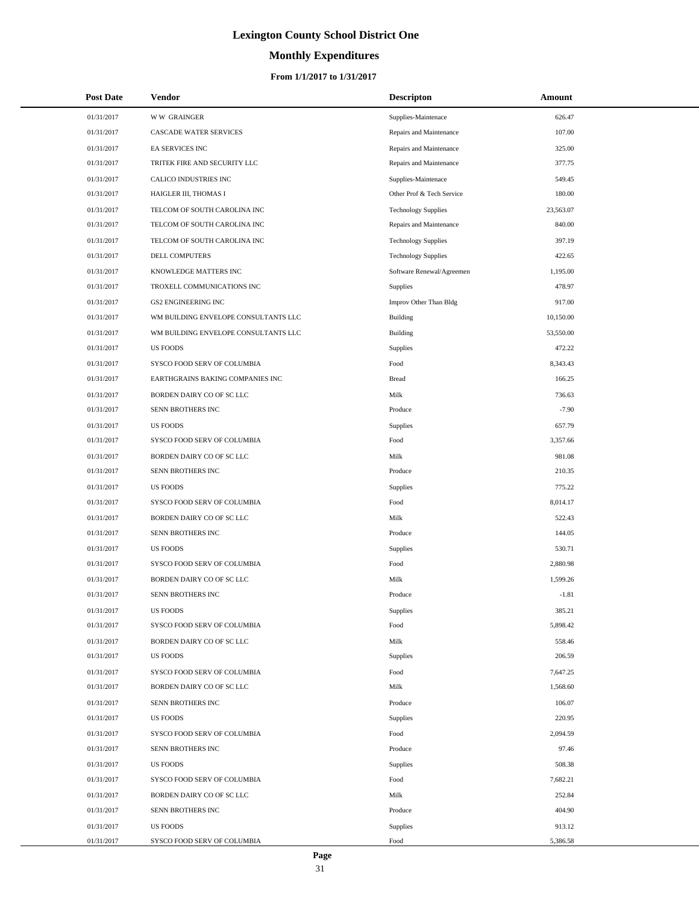# **Monthly Expenditures**

#### **From 1/1/2017 to 1/31/2017**

| <b>Post Date</b> | <b>Vendor</b>                        | <b>Descripton</b>          | Amount    |
|------------------|--------------------------------------|----------------------------|-----------|
| 01/31/2017       | <b>WW GRAINGER</b>                   | Supplies-Maintenace        | 626.47    |
| 01/31/2017       | CASCADE WATER SERVICES               | Repairs and Maintenance    | 107.00    |
| 01/31/2017       | EA SERVICES INC                      | Repairs and Maintenance    | 325.00    |
| 01/31/2017       | TRITEK FIRE AND SECURITY LLC         | Repairs and Maintenance    | 377.75    |
| 01/31/2017       | CALICO INDUSTRIES INC                | Supplies-Maintenace        | 549.45    |
| 01/31/2017       | HAIGLER III, THOMAS I                | Other Prof & Tech Service  | 180.00    |
| 01/31/2017       | TELCOM OF SOUTH CAROLINA INC         | <b>Technology Supplies</b> | 23,563.07 |
| 01/31/2017       | TELCOM OF SOUTH CAROLINA INC         | Repairs and Maintenance    | 840.00    |
| 01/31/2017       | TELCOM OF SOUTH CAROLINA INC         | <b>Technology Supplies</b> | 397.19    |
| 01/31/2017       | <b>DELL COMPUTERS</b>                | <b>Technology Supplies</b> | 422.65    |
| 01/31/2017       | KNOWLEDGE MATTERS INC                | Software Renewal/Agreemen  | 1,195.00  |
| 01/31/2017       | TROXELL COMMUNICATIONS INC           | Supplies                   | 478.97    |
| 01/31/2017       | GS2 ENGINEERING INC                  | Improv Other Than Bldg     | 917.00    |
| 01/31/2017       | WM BUILDING ENVELOPE CONSULTANTS LLC | Building                   | 10,150.00 |
| 01/31/2017       | WM BUILDING ENVELOPE CONSULTANTS LLC | Building                   | 53,550.00 |
| 01/31/2017       | <b>US FOODS</b>                      | <b>Supplies</b>            | 472.22    |
| 01/31/2017       | SYSCO FOOD SERV OF COLUMBIA          | Food                       | 8,343.43  |
| 01/31/2017       | EARTHGRAINS BAKING COMPANIES INC     | <b>Bread</b>               | 166.25    |
| 01/31/2017       | BORDEN DAIRY CO OF SC LLC            | Milk                       | 736.63    |
| 01/31/2017       | SENN BROTHERS INC                    | Produce                    | $-7.90$   |
| 01/31/2017       | <b>US FOODS</b>                      | Supplies                   | 657.79    |
| 01/31/2017       | SYSCO FOOD SERV OF COLUMBIA          | Food                       | 3,357.66  |
| 01/31/2017       | BORDEN DAIRY CO OF SC LLC            | Milk                       | 981.08    |
| 01/31/2017       | SENN BROTHERS INC                    | Produce                    | 210.35    |
| 01/31/2017       | <b>US FOODS</b>                      | Supplies                   | 775.22    |
| 01/31/2017       | SYSCO FOOD SERV OF COLUMBIA          | Food                       | 8,014.17  |
| 01/31/2017       | BORDEN DAIRY CO OF SC LLC            | Milk                       | 522.43    |
| 01/31/2017       | SENN BROTHERS INC                    | Produce                    | 144.05    |
| 01/31/2017       | <b>US FOODS</b>                      | Supplies                   | 530.71    |
| 01/31/2017       | SYSCO FOOD SERV OF COLUMBIA          | Food                       | 2,880.98  |
| 01/31/2017       | BORDEN DAIRY CO OF SC LLC            | Milk                       | 1,599.26  |
| 01/31/2017       | SENN BROTHERS INC                    | Produce                    | $-1.81$   |
| 01/31/2017       | <b>US FOODS</b>                      | Supplies                   | 385.21    |
| 01/31/2017       | SYSCO FOOD SERV OF COLUMBIA          | Food                       | 5,898.42  |
| 01/31/2017       | BORDEN DAIRY CO OF SC LLC            | Milk                       | 558.46    |
| 01/31/2017       | <b>US FOODS</b>                      | <b>Supplies</b>            | 206.59    |
| 01/31/2017       | SYSCO FOOD SERV OF COLUMBIA          | Food                       | 7,647.25  |
| 01/31/2017       | BORDEN DAIRY CO OF SC LLC            | Milk                       | 1,568.60  |
| 01/31/2017       | SENN BROTHERS INC                    | Produce                    | 106.07    |
| 01/31/2017       | US FOODS                             | Supplies                   | 220.95    |
| 01/31/2017       | SYSCO FOOD SERV OF COLUMBIA          | Food                       | 2,094.59  |
| 01/31/2017       | SENN BROTHERS INC                    | Produce                    | 97.46     |
| 01/31/2017       | <b>US FOODS</b>                      | Supplies                   | 508.38    |
| 01/31/2017       | SYSCO FOOD SERV OF COLUMBIA          | Food                       | 7,682.21  |
| 01/31/2017       | BORDEN DAIRY CO OF SC LLC            | Milk                       | 252.84    |
| 01/31/2017       | SENN BROTHERS INC                    | Produce                    | 404.90    |
| 01/31/2017       | US FOODS                             | Supplies                   | 913.12    |
| 01/31/2017       | SYSCO FOOD SERV OF COLUMBIA          | Food                       | 5,386.58  |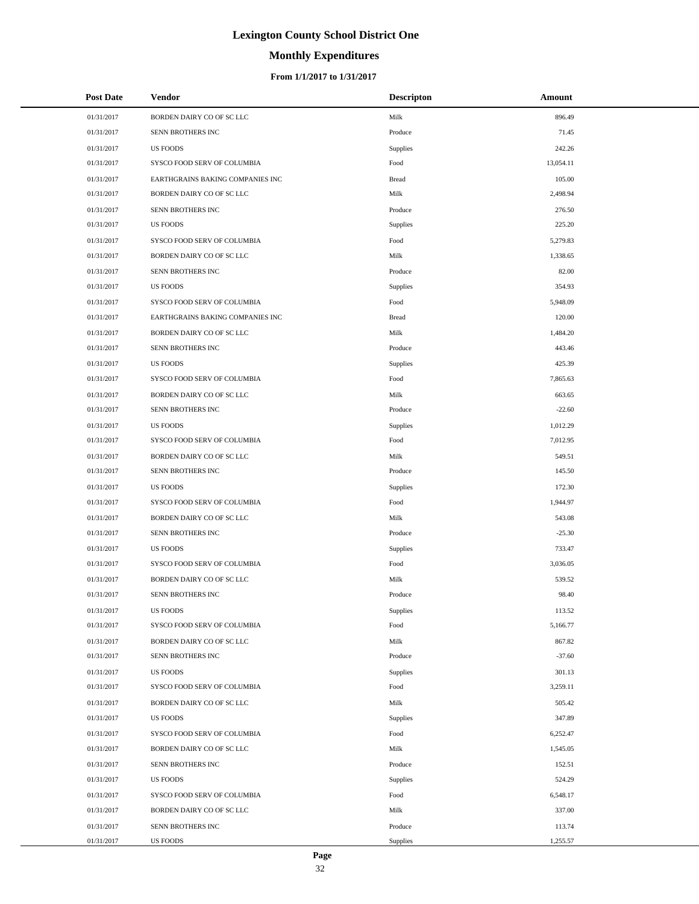# **Monthly Expenditures**

#### **From 1/1/2017 to 1/31/2017**

| <b>Post Date</b> | <b>Vendor</b>                    | <b>Descripton</b> | Amount    |
|------------------|----------------------------------|-------------------|-----------|
| 01/31/2017       | BORDEN DAIRY CO OF SC LLC        | Milk              | 896.49    |
| 01/31/2017       | SENN BROTHERS INC                | Produce           | 71.45     |
| 01/31/2017       | <b>US FOODS</b>                  | Supplies          | 242.26    |
| 01/31/2017       | SYSCO FOOD SERV OF COLUMBIA      | Food              | 13,054.11 |
| 01/31/2017       | EARTHGRAINS BAKING COMPANIES INC | <b>Bread</b>      | 105.00    |
| 01/31/2017       | BORDEN DAIRY CO OF SC LLC        | Milk              | 2,498.94  |
| 01/31/2017       | SENN BROTHERS INC                | Produce           | 276.50    |
| 01/31/2017       | <b>US FOODS</b>                  | Supplies          | 225.20    |
| 01/31/2017       | SYSCO FOOD SERV OF COLUMBIA      | Food              | 5,279.83  |
| 01/31/2017       | BORDEN DAIRY CO OF SC LLC        | Milk              | 1,338.65  |
| 01/31/2017       | SENN BROTHERS INC                | Produce           | 82.00     |
| 01/31/2017       | <b>US FOODS</b>                  | Supplies          | 354.93    |
| 01/31/2017       | SYSCO FOOD SERV OF COLUMBIA      | Food              | 5,948.09  |
| 01/31/2017       | EARTHGRAINS BAKING COMPANIES INC | <b>Bread</b>      | 120.00    |
| 01/31/2017       | BORDEN DAIRY CO OF SC LLC        | Milk              | 1,484.20  |
| 01/31/2017       | SENN BROTHERS INC                | Produce           | 443.46    |
| 01/31/2017       | <b>US FOODS</b>                  | Supplies          | 425.39    |
| 01/31/2017       | SYSCO FOOD SERV OF COLUMBIA      | Food              | 7,865.63  |
| 01/31/2017       | BORDEN DAIRY CO OF SC LLC        | Milk              | 663.65    |
| 01/31/2017       | SENN BROTHERS INC                | Produce           | $-22.60$  |
| 01/31/2017       | <b>US FOODS</b>                  | Supplies          | 1,012.29  |
| 01/31/2017       | SYSCO FOOD SERV OF COLUMBIA      | Food              | 7,012.95  |
| 01/31/2017       | BORDEN DAIRY CO OF SC LLC        | Milk              | 549.51    |
| 01/31/2017       | SENN BROTHERS INC                | Produce           | 145.50    |
| 01/31/2017       | <b>US FOODS</b>                  | Supplies          | 172.30    |
| 01/31/2017       | SYSCO FOOD SERV OF COLUMBIA      | Food              | 1,944.97  |
| 01/31/2017       | BORDEN DAIRY CO OF SC LLC        | Milk              | 543.08    |
| 01/31/2017       | SENN BROTHERS INC                | Produce           | $-25.30$  |
| 01/31/2017       | <b>US FOODS</b>                  | Supplies          | 733.47    |
| 01/31/2017       | SYSCO FOOD SERV OF COLUMBIA      | Food              | 3,036.05  |
| 01/31/2017       | BORDEN DAIRY CO OF SC LLC        | Milk              | 539.52    |
| 01/31/2017       | SENN BROTHERS INC                | Produce           | 98.40     |
| 01/31/2017       | <b>US FOODS</b>                  | Supplies          | 113.52    |
| 01/31/2017       | SYSCO FOOD SERV OF COLUMBIA      | Food              | 5,166.77  |
| 01/31/2017       | BORDEN DAIRY CO OF SC LLC        | Milk              | 867.82    |
| 01/31/2017       | SENN BROTHERS INC                | Produce           | $-37.60$  |
| 01/31/2017       | <b>US FOODS</b>                  | Supplies          | 301.13    |
| 01/31/2017       | SYSCO FOOD SERV OF COLUMBIA      | Food              | 3,259.11  |
| 01/31/2017       | BORDEN DAIRY CO OF SC LLC        | Milk              | 505.42    |
| 01/31/2017       | <b>US FOODS</b>                  | Supplies          | 347.89    |
| 01/31/2017       | SYSCO FOOD SERV OF COLUMBIA      | Food              | 6,252.47  |
| 01/31/2017       | BORDEN DAIRY CO OF SC LLC        | Milk              | 1,545.05  |
| 01/31/2017       | SENN BROTHERS INC                | Produce           | 152.51    |
| 01/31/2017       | <b>US FOODS</b>                  | Supplies          | 524.29    |
| 01/31/2017       | SYSCO FOOD SERV OF COLUMBIA      | Food              | 6,548.17  |
| 01/31/2017       | BORDEN DAIRY CO OF SC LLC        | Milk              | 337.00    |
| 01/31/2017       | SENN BROTHERS INC                | Produce           | 113.74    |
| 01/31/2017       | US FOODS                         | Supplies          | 1,255.57  |